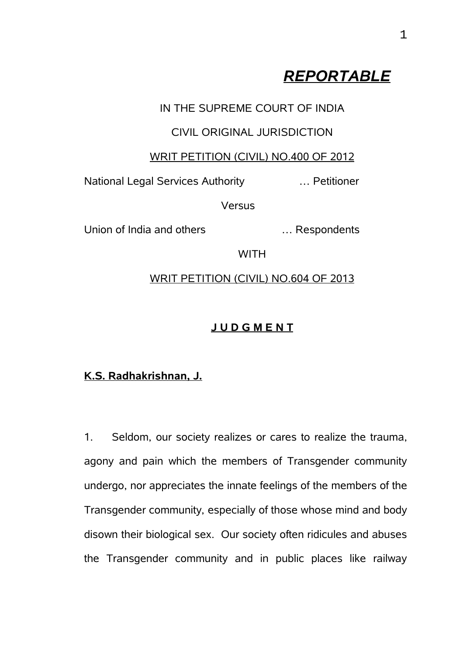# *REPORTABLE*

#### IN THE SUPREME COURT OF INDIA

### CIVIL ORIGINAL JURISDICTION

#### WRIT PETITION (CIVIL) NO.400 OF 2012

National Legal Services Authority … Petitioner

**Versus** 

Union of India and others **Exercise 2.1** messential extending to the Union of India and others **Exercise 2.1** 

**WITH** 

WRIT PETITION (CIVIL) NO.604 OF 2013

### **J U D G M E N T**

#### **K.S. Radhakrishnan, J.**

1. Seldom, our society realizes or cares to realize the trauma, agony and pain which the members of Transgender community undergo, nor appreciates the innate feelings of the members of the Transgender community, especially of those whose mind and body disown their biological sex. Our society often ridicules and abuses the Transgender community and in public places like railway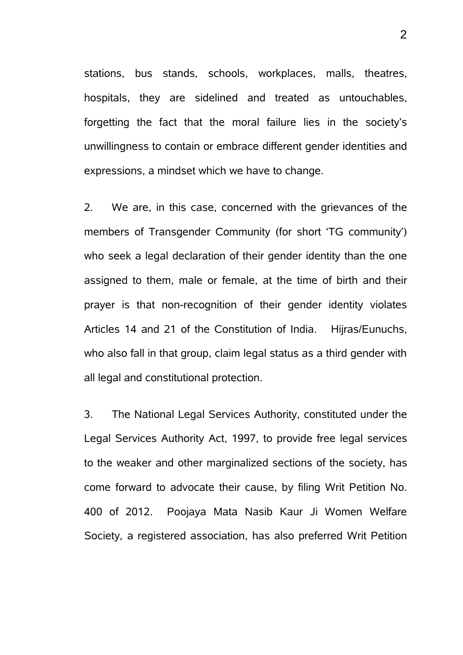stations, bus stands, schools, workplaces, malls, theatres, hospitals, they are sidelined and treated as untouchables, forgetting the fact that the moral failure lies in the society's unwillingness to contain or embrace different gender identities and expressions, a mindset which we have to change.

2. We are, in this case, concerned with the grievances of the members of Transgender Community (for short 'TG community') who seek a legal declaration of their gender identity than the one assigned to them, male or female, at the time of birth and their prayer is that non-recognition of their gender identity violates Articles 14 and 21 of the Constitution of India. Hijras/Eunuchs, who also fall in that group, claim legal status as a third gender with all legal and constitutional protection.

3. The National Legal Services Authority, constituted under the Legal Services Authority Act, 1997, to provide free legal services to the weaker and other marginalized sections of the society, has come forward to advocate their cause, by filing Writ Petition No. 400 of 2012. Poojaya Mata Nasib Kaur Ji Women Welfare Society, a registered association, has also preferred Writ Petition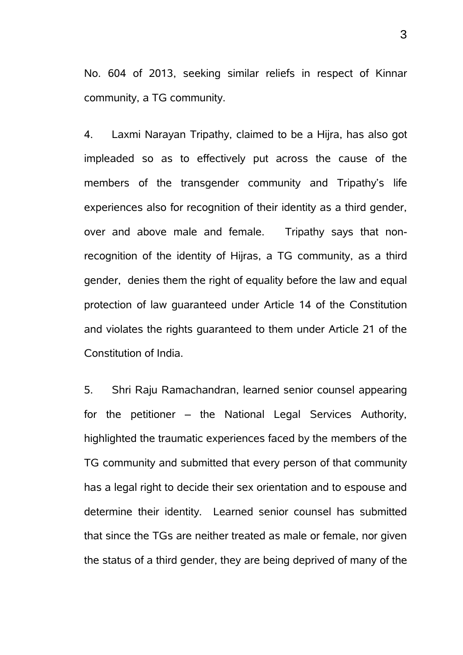No. 604 of 2013, seeking similar reliefs in respect of Kinnar community, a TG community.

4. Laxmi Narayan Tripathy, claimed to be a Hijra, has also got impleaded so as to effectively put across the cause of the members of the transgender community and Tripathy's life experiences also for recognition of their identity as a third gender, over and above male and female. Tripathy says that nonrecognition of the identity of Hijras, a TG community, as a third gender, denies them the right of equality before the law and equal protection of law guaranteed under Article 14 of the Constitution and violates the rights guaranteed to them under Article 21 of the Constitution of India.

5. Shri Raju Ramachandran, learned senior counsel appearing for the petitioner – the National Legal Services Authority, highlighted the traumatic experiences faced by the members of the TG community and submitted that every person of that community has a legal right to decide their sex orientation and to espouse and determine their identity. Learned senior counsel has submitted that since the TGs are neither treated as male or female, nor given the status of a third gender, they are being deprived of many of the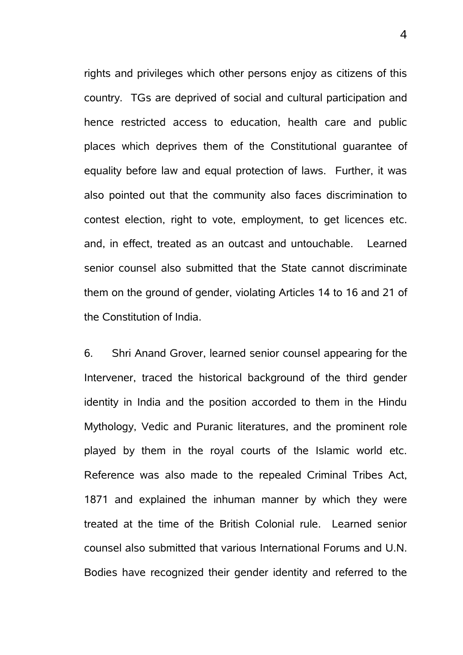rights and privileges which other persons enjoy as citizens of this country. TGs are deprived of social and cultural participation and hence restricted access to education, health care and public places which deprives them of the Constitutional guarantee of equality before law and equal protection of laws. Further, it was also pointed out that the community also faces discrimination to contest election, right to vote, employment, to get licences etc. and, in effect, treated as an outcast and untouchable. Learned senior counsel also submitted that the State cannot discriminate them on the ground of gender, violating Articles 14 to 16 and 21 of the Constitution of India.

6. Shri Anand Grover, learned senior counsel appearing for the Intervener, traced the historical background of the third gender identity in India and the position accorded to them in the Hindu Mythology, Vedic and Puranic literatures, and the prominent role played by them in the royal courts of the Islamic world etc. Reference was also made to the repealed Criminal Tribes Act, 1871 and explained the inhuman manner by which they were treated at the time of the British Colonial rule. Learned senior counsel also submitted that various International Forums and U.N. Bodies have recognized their gender identity and referred to the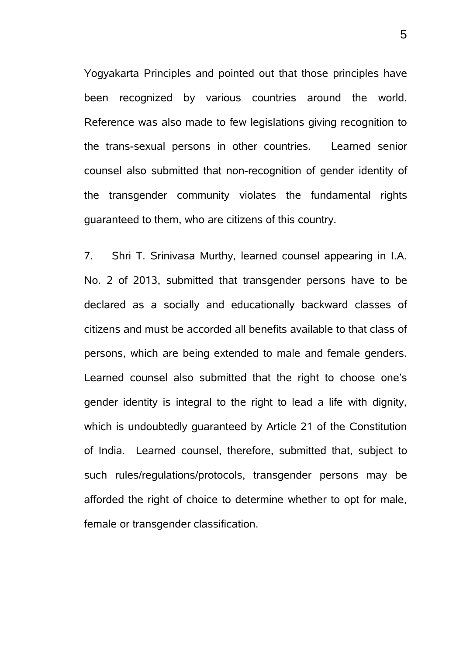Yogyakarta Principles and pointed out that those principles have been recognized by various countries around the world. Reference was also made to few legislations giving recognition to the trans-sexual persons in other countries. Learned senior counsel also submitted that non-recognition of gender identity of the transgender community violates the fundamental rights guaranteed to them, who are citizens of this country.

7. Shri T. Srinivasa Murthy, learned counsel appearing in I.A. No. 2 of 2013, submitted that transgender persons have to be declared as a socially and educationally backward classes of citizens and must be accorded all benefits available to that class of persons, which are being extended to male and female genders. Learned counsel also submitted that the right to choose one's gender identity is integral to the right to lead a life with dignity, which is undoubtedly guaranteed by Article 21 of the Constitution of India. Learned counsel, therefore, submitted that, subject to such rules/regulations/protocols, transgender persons may be afforded the right of choice to determine whether to opt for male, female or transgender classification.

5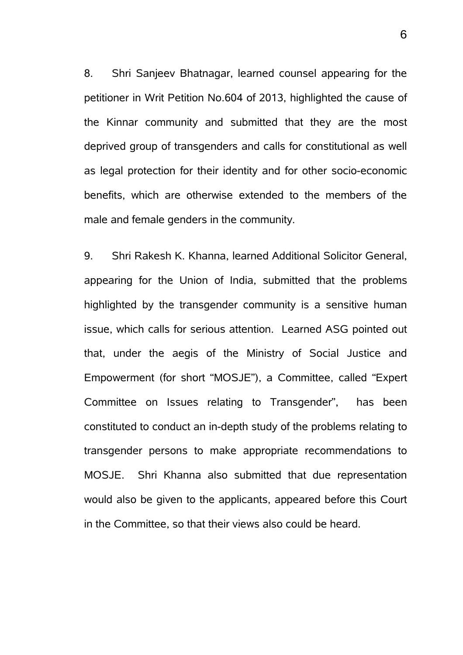8. Shri Sanjeev Bhatnagar, learned counsel appearing for the petitioner in Writ Petition No.604 of 2013, highlighted the cause of the Kinnar community and submitted that they are the most deprived group of transgenders and calls for constitutional as well as legal protection for their identity and for other socio-economic benefits, which are otherwise extended to the members of the male and female genders in the community.

9. Shri Rakesh K. Khanna, learned Additional Solicitor General, appearing for the Union of India, submitted that the problems highlighted by the transgender community is a sensitive human issue, which calls for serious attention. Learned ASG pointed out that, under the aegis of the Ministry of Social Justice and Empowerment (for short "MOSJE"), a Committee, called "Expert Committee on Issues relating to Transgender", has been constituted to conduct an in-depth study of the problems relating to transgender persons to make appropriate recommendations to MOSJE. Shri Khanna also submitted that due representation would also be given to the applicants, appeared before this Court in the Committee, so that their views also could be heard.

6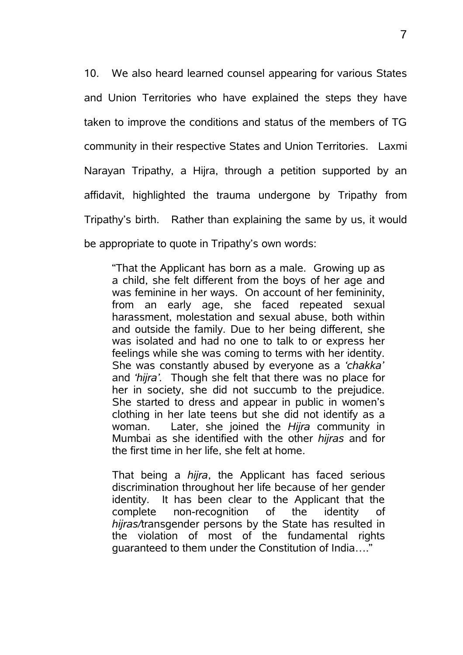10. We also heard learned counsel appearing for various States and Union Territories who have explained the steps they have taken to improve the conditions and status of the members of TG community in their respective States and Union Territories. Laxmi Narayan Tripathy, a Hijra, through a petition supported by an affidavit, highlighted the trauma undergone by Tripathy from Tripathy's birth. Rather than explaining the same by us, it would be appropriate to quote in Tripathy's own words:

"That the Applicant has born as a male. Growing up as a child, she felt different from the boys of her age and was feminine in her ways. On account of her femininity, from an early age, she faced repeated sexual harassment, molestation and sexual abuse, both within and outside the family. Due to her being different, she was isolated and had no one to talk to or express her feelings while she was coming to terms with her identity. She was constantly abused by everyone as a *'chakka'* and *'hijra'.* Though she felt that there was no place for her in society, she did not succumb to the prejudice. She started to dress and appear in public in women's clothing in her late teens but she did not identify as a woman. Later, she joined the *Hijra* community in Mumbai as she identified with the other *hijras* and for the first time in her life, she felt at home.

That being a *hijra*, the Applicant has faced serious discrimination throughout her life because of her gender identity. It has been clear to the Applicant that the complete non-recognition of the identity of *hijras/*transgender persons by the State has resulted in the violation of most of the fundamental rights guaranteed to them under the Constitution of India…."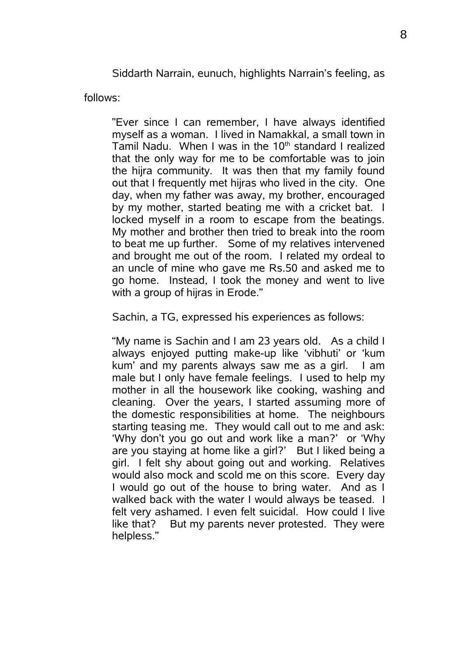Siddarth Narrain, eunuch, highlights Narrain's feeling, as

follows:

"Ever since I can remember, I have always identified myself as a woman. I lived in Namakkal, a small town in Tamil Nadu. When I was in the  $10<sup>th</sup>$  standard I realized that the only way for me to be comfortable was to join the hijra community. It was then that my family found out that I frequently met hijras who lived in the city. One day, when my father was away, my brother, encouraged by my mother, started beating me with a cricket bat. I locked myself in a room to escape from the beatings. My mother and brother then tried to break into the room to beat me up further. Some of my relatives intervened and brought me out of the room. I related my ordeal to an uncle of mine who gave me Rs.50 and asked me to go home. Instead, I took the money and went to live with a group of hijras in Erode."

Sachin, a TG, expressed his experiences as follows:

"My name is Sachin and I am 23 years old. As a child I always enjoyed putting make-up like 'vibhuti' or 'kum kum' and my parents always saw me as a girl. I am male but I only have female feelings. I used to help my mother in all the housework like cooking, washing and cleaning. Over the years, I started assuming more of the domestic responsibilities at home. The neighbours starting teasing me. They would call out to me and ask: 'Why don't you go out and work like a man?' or 'Why are you staying at home like a girl?' But I liked being a girl. I felt shy about going out and working. Relatives would also mock and scold me on this score. Every day I would go out of the house to bring water. And as I walked back with the water I would always be teased. I felt very ashamed. I even felt suicidal. How could I live like that? But my parents never protested. They were helpless."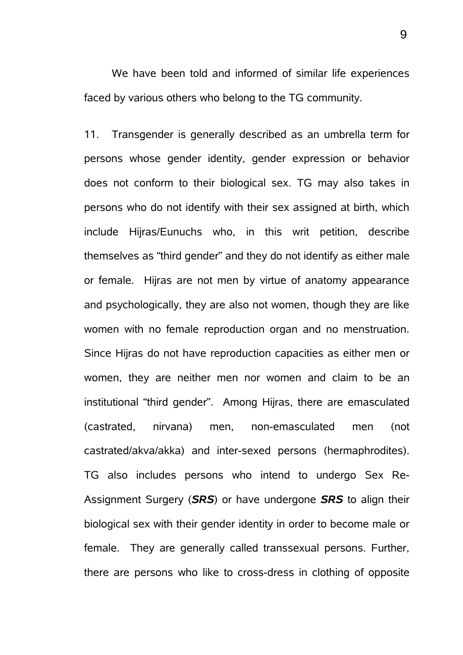We have been told and informed of similar life experiences faced by various others who belong to the TG community.

11. Transgender is generally described as an umbrella term for persons whose gender identity, gender expression or behavior does not conform to their biological sex. TG may also takes in persons who do not identify with their sex assigned at birth, which include Hijras/Eunuchs who, in this writ petition, describe themselves as "third gender" and they do not identify as either male or female. Hijras are not men by virtue of anatomy appearance and psychologically, they are also not women, though they are like women with no female reproduction organ and no menstruation. Since Hijras do not have reproduction capacities as either men or women, they are neither men nor women and claim to be an institutional "third gender". Among Hijras, there are emasculated (castrated, nirvana) men, non-emasculated men (not castrated/akva/akka) and inter-sexed persons (hermaphrodites). TG also includes persons who intend to undergo Sex Re-Assignment Surgery (*SRS*) or have undergone *SRS* to align their biological sex with their gender identity in order to become male or female. They are generally called transsexual persons. Further, there are persons who like to cross-dress in clothing of opposite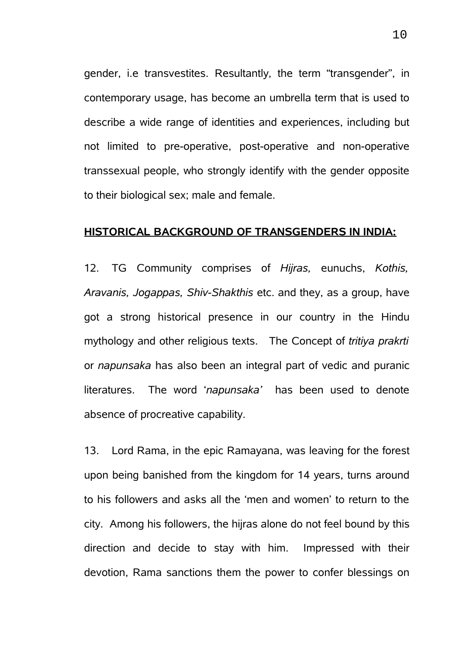gender, i.e transvestites. Resultantly, the term "transgender", in contemporary usage, has become an umbrella term that is used to describe a wide range of identities and experiences, including but not limited to pre-operative, post-operative and non-operative transsexual people, who strongly identify with the gender opposite to their biological sex; male and female.

#### **HISTORICAL BACKGROUND OF TRANSGENDERS IN INDIA:**

12. TG Community comprises of *Hijras,* eunuchs, *Kothis, Aravanis, Jogappas, Shiv-Shakthis* etc. and they, as a group, have got a strong historical presence in our country in the Hindu mythology and other religious texts. The Concept of *tritiya prakrti* or *napunsaka* has also been an integral part of vedic and puranic literatures. The word '*napunsaka'* has been used to denote absence of procreative capability.

13. Lord Rama, in the epic Ramayana, was leaving for the forest upon being banished from the kingdom for 14 years, turns around to his followers and asks all the 'men and women' to return to the city. Among his followers, the hijras alone do not feel bound by this direction and decide to stay with him. Impressed with their devotion, Rama sanctions them the power to confer blessings on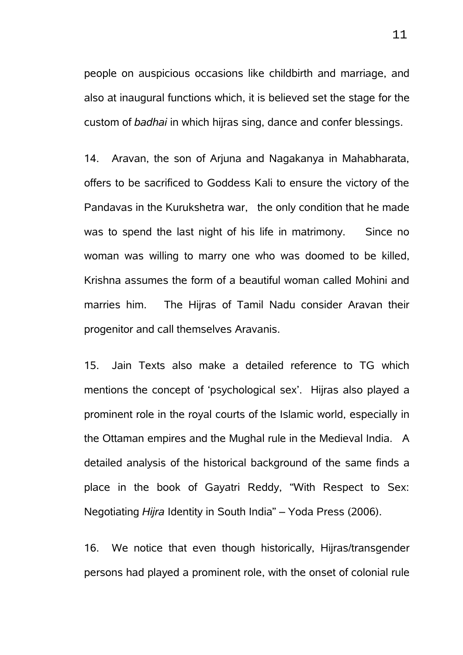people on auspicious occasions like childbirth and marriage, and also at inaugural functions which, it is believed set the stage for the custom of *badhai* in which hijras sing, dance and confer blessings.

14. Aravan, the son of Arjuna and Nagakanya in Mahabharata, offers to be sacrificed to Goddess Kali to ensure the victory of the Pandavas in the Kurukshetra war, the only condition that he made was to spend the last night of his life in matrimony. Since no woman was willing to marry one who was doomed to be killed, Krishna assumes the form of a beautiful woman called Mohini and marries him. The Hijras of Tamil Nadu consider Aravan their progenitor and call themselves Aravanis.

15. Jain Texts also make a detailed reference to TG which mentions the concept of 'psychological sex'. Hijras also played a prominent role in the royal courts of the Islamic world, especially in the Ottaman empires and the Mughal rule in the Medieval India. A detailed analysis of the historical background of the same finds a place in the book of Gayatri Reddy, "With Respect to Sex: Negotiating *Hijra* Identity in South India" – Yoda Press (2006).

16. We notice that even though historically, Hijras/transgender persons had played a prominent role, with the onset of colonial rule

11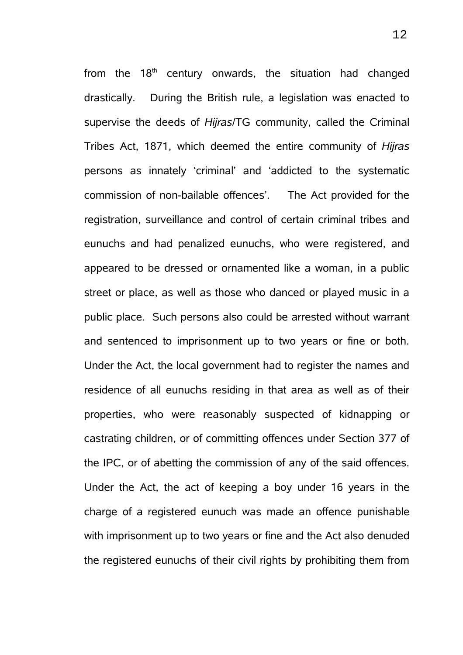from the  $18<sup>th</sup>$  century onwards, the situation had changed drastically. During the British rule, a legislation was enacted to supervise the deeds of *Hijras*/TG community, called the Criminal Tribes Act, 1871, which deemed the entire community of *Hijras* persons as innately 'criminal' and 'addicted to the systematic commission of non-bailable offences'. The Act provided for the registration, surveillance and control of certain criminal tribes and eunuchs and had penalized eunuchs, who were registered, and appeared to be dressed or ornamented like a woman, in a public street or place, as well as those who danced or played music in a public place. Such persons also could be arrested without warrant and sentenced to imprisonment up to two years or fine or both. Under the Act, the local government had to register the names and residence of all eunuchs residing in that area as well as of their properties, who were reasonably suspected of kidnapping or castrating children, or of committing offences under Section 377 of the IPC, or of abetting the commission of any of the said offences. Under the Act, the act of keeping a boy under 16 years in the charge of a registered eunuch was made an offence punishable with imprisonment up to two years or fine and the Act also denuded the registered eunuchs of their civil rights by prohibiting them from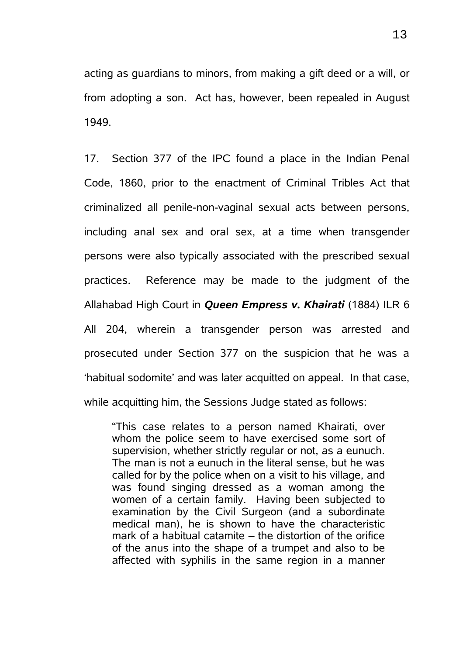acting as guardians to minors, from making a gift deed or a will, or from adopting a son. Act has, however, been repealed in August 1949.

17. Section 377 of the IPC found a place in the Indian Penal Code, 1860, prior to the enactment of Criminal Tribles Act that criminalized all penile-non-vaginal sexual acts between persons, including anal sex and oral sex, at a time when transgender persons were also typically associated with the prescribed sexual practices. Reference may be made to the judgment of the Allahabad High Court in *Queen Empress v. Khairati* (1884) ILR 6 All 204, wherein a transgender person was arrested and prosecuted under Section 377 on the suspicion that he was a 'habitual sodomite' and was later acquitted on appeal. In that case, while acquitting him, the Sessions Judge stated as follows:

"This case relates to a person named Khairati, over whom the police seem to have exercised some sort of supervision, whether strictly regular or not, as a eunuch. The man is not a eunuch in the literal sense, but he was called for by the police when on a visit to his village, and was found singing dressed as a woman among the women of a certain family. Having been subjected to examination by the Civil Surgeon (and a subordinate medical man), he is shown to have the characteristic mark of a habitual catamite – the distortion of the orifice of the anus into the shape of a trumpet and also to be affected with syphilis in the same region in a manner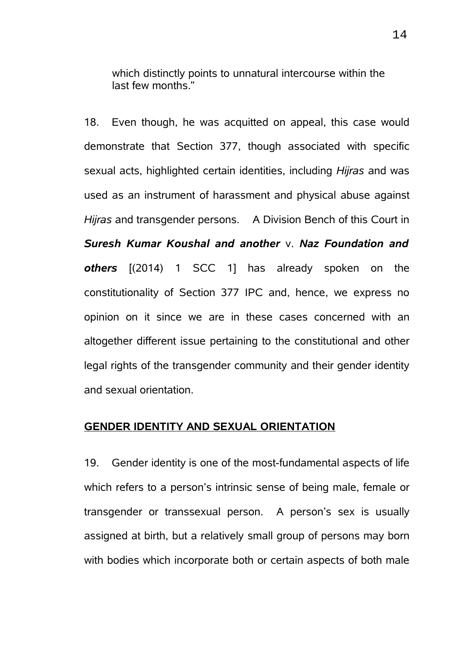which distinctly points to unnatural intercourse within the last few months."

18. Even though, he was acquitted on appeal, this case would demonstrate that Section 377, though associated with specific sexual acts, highlighted certain identities, including *Hijras* and was used as an instrument of harassment and physical abuse against *Hijras* and transgender persons. A Division Bench of this Court in *Suresh Kumar Koushal and another* v. *Naz Foundation and others* [(2014) 1 SCC 1] has already spoken on the constitutionality of Section 377 IPC and, hence, we express no opinion on it since we are in these cases concerned with an altogether different issue pertaining to the constitutional and other legal rights of the transgender community and their gender identity and sexual orientation.

#### **GENDER IDENTITY AND SEXUAL ORIENTATION**

19. Gender identity is one of the most-fundamental aspects of life which refers to a person's intrinsic sense of being male, female or transgender or transsexual person. A person's sex is usually assigned at birth, but a relatively small group of persons may born with bodies which incorporate both or certain aspects of both male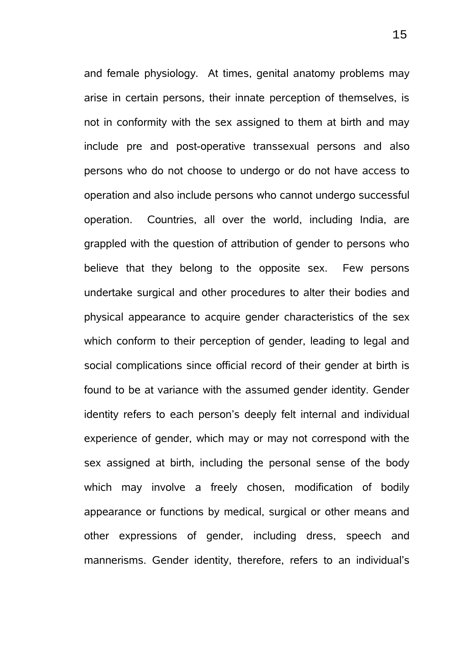and female physiology. At times, genital anatomy problems may arise in certain persons, their innate perception of themselves, is not in conformity with the sex assigned to them at birth and may include pre and post-operative transsexual persons and also persons who do not choose to undergo or do not have access to operation and also include persons who cannot undergo successful operation. Countries, all over the world, including India, are grappled with the question of attribution of gender to persons who believe that they belong to the opposite sex. Few persons undertake surgical and other procedures to alter their bodies and physical appearance to acquire gender characteristics of the sex which conform to their perception of gender, leading to legal and social complications since official record of their gender at birth is found to be at variance with the assumed gender identity. Gender identity refers to each person's deeply felt internal and individual experience of gender, which may or may not correspond with the sex assigned at birth, including the personal sense of the body which may involve a freely chosen, modification of bodily appearance or functions by medical, surgical or other means and other expressions of gender, including dress, speech and mannerisms. Gender identity, therefore, refers to an individual's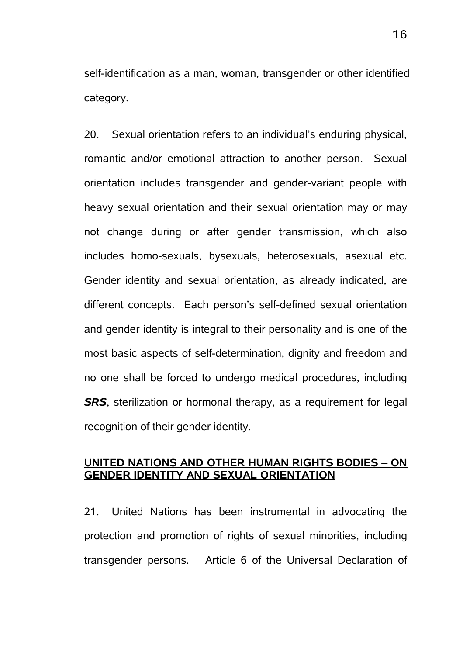self-identification as a man, woman, transgender or other identified category.

20. Sexual orientation refers to an individual's enduring physical, romantic and/or emotional attraction to another person. Sexual orientation includes transgender and gender-variant people with heavy sexual orientation and their sexual orientation may or may not change during or after gender transmission, which also includes homo-sexuals, bysexuals, heterosexuals, asexual etc. Gender identity and sexual orientation, as already indicated, are different concepts. Each person's self-defined sexual orientation and gender identity is integral to their personality and is one of the most basic aspects of self-determination, dignity and freedom and no one shall be forced to undergo medical procedures, including **SRS**, sterilization or hormonal therapy, as a requirement for legal recognition of their gender identity.

#### **UNITED NATIONS AND OTHER HUMAN RIGHTS BODIES – ON GENDER IDENTITY AND SEXUAL ORIENTATION**

21. United Nations has been instrumental in advocating the protection and promotion of rights of sexual minorities, including transgender persons. Article 6 of the Universal Declaration of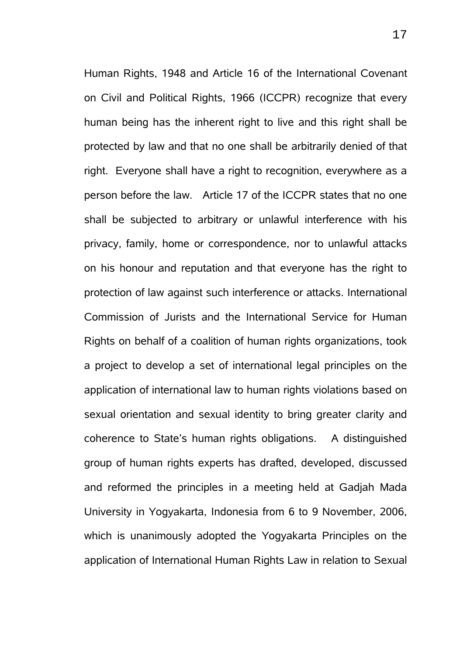Human Rights, 1948 and Article 16 of the International Covenant on Civil and Political Rights, 1966 (ICCPR) recognize that every human being has the inherent right to live and this right shall be protected by law and that no one shall be arbitrarily denied of that right. Everyone shall have a right to recognition, everywhere as a person before the law. Article 17 of the ICCPR states that no one shall be subjected to arbitrary or unlawful interference with his privacy, family, home or correspondence, nor to unlawful attacks on his honour and reputation and that everyone has the right to protection of law against such interference or attacks. International Commission of Jurists and the International Service for Human Rights on behalf of a coalition of human rights organizations, took a project to develop a set of international legal principles on the application of international law to human rights violations based on sexual orientation and sexual identity to bring greater clarity and coherence to State's human rights obligations. A distinguished group of human rights experts has drafted, developed, discussed and reformed the principles in a meeting held at Gadjah Mada University in Yogyakarta, Indonesia from 6 to 9 November, 2006, which is unanimously adopted the Yogyakarta Principles on the application of International Human Rights Law in relation to Sexual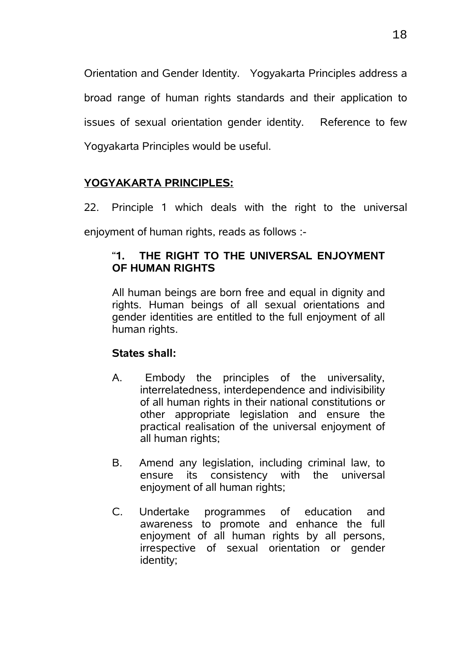Orientation and Gender Identity. Yogyakarta Principles address a broad range of human rights standards and their application to issues of sexual orientation gender identity. Reference to few Yogyakarta Principles would be useful.

# **YOGYAKARTA PRINCIPLES:**

22. Principle 1 which deals with the right to the universal enjoyment of human rights, reads as follows :-

# "**1. THE RIGHT TO THE UNIVERSAL ENJOYMENT OF HUMAN RIGHTS**

All human beings are born free and equal in dignity and rights. Human beings of all sexual orientations and gender identities are entitled to the full enjoyment of all human rights.

- A. Embody the principles of the universality, interrelatedness, interdependence and indivisibility of all human rights in their national constitutions or other appropriate legislation and ensure the practical realisation of the universal enjoyment of all human rights;
- B. Amend any legislation, including criminal law, to ensure its consistency with the universal enjoyment of all human rights;
- C. Undertake programmes of education and awareness to promote and enhance the full enjoyment of all human rights by all persons, irrespective of sexual orientation or gender identity;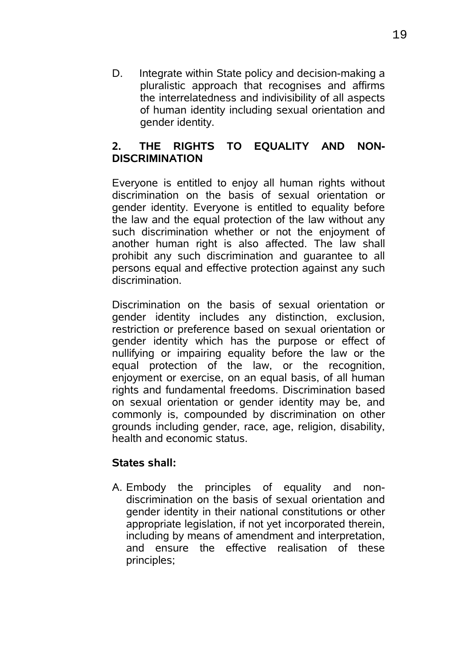D. Integrate within State policy and decision-making a pluralistic approach that recognises and affirms the interrelatedness and indivisibility of all aspects of human identity including sexual orientation and gender identity.

# **2. THE RIGHTS TO EQUALITY AND NON-DISCRIMINATION**

Everyone is entitled to enjoy all human rights without discrimination on the basis of sexual orientation or gender identity. Everyone is entitled to equality before the law and the equal protection of the law without any such discrimination whether or not the enjoyment of another human right is also affected. The law shall prohibit any such discrimination and guarantee to all persons equal and effective protection against any such discrimination.

Discrimination on the basis of sexual orientation or gender identity includes any distinction, exclusion, restriction or preference based on sexual orientation or gender identity which has the purpose or effect of nullifying or impairing equality before the law or the equal protection of the law, or the recognition, enjoyment or exercise, on an equal basis, of all human rights and fundamental freedoms. Discrimination based on sexual orientation or gender identity may be, and commonly is, compounded by discrimination on other grounds including gender, race, age, religion, disability, health and economic status.

## **States shall:**

A. Embody the principles of equality and nondiscrimination on the basis of sexual orientation and gender identity in their national constitutions or other appropriate legislation, if not yet incorporated therein, including by means of amendment and interpretation, and ensure the effective realisation of these principles;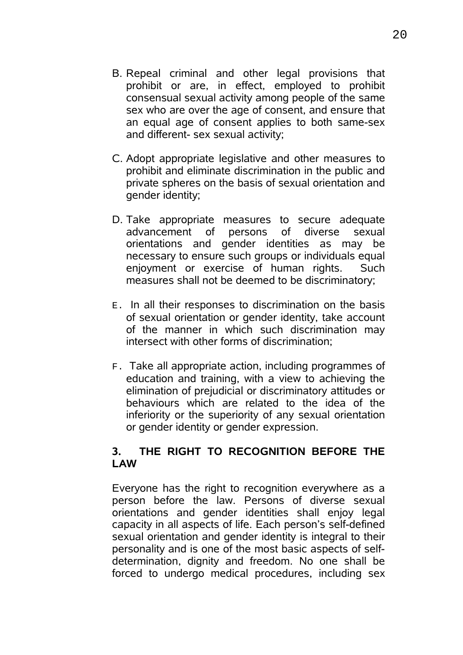- B. Repeal criminal and other legal provisions that prohibit or are, in effect, employed to prohibit consensual sexual activity among people of the same sex who are over the age of consent, and ensure that an equal age of consent applies to both same-sex and different- sex sexual activity;
- C. Adopt appropriate legislative and other measures to prohibit and eliminate discrimination in the public and private spheres on the basis of sexual orientation and gender identity;
- D. Take appropriate measures to secure adequate advancement of persons of diverse sexual orientations and gender identities as may be necessary to ensure such groups or individuals equal enjoyment or exercise of human rights. Such measures shall not be deemed to be discriminatory;
- $E$ . In all their responses to discrimination on the basis of sexual orientation or gender identity, take account of the manner in which such discrimination may intersect with other forms of discrimination;
- $F<sub>F</sub>$ . Take all appropriate action, including programmes of education and training, with a view to achieving the elimination of prejudicial or discriminatory attitudes or behaviours which are related to the idea of the inferiority or the superiority of any sexual orientation or gender identity or gender expression.

## **3. THE RIGHT TO RECOGNITION BEFORE THE LAW**

Everyone has the right to recognition everywhere as a person before the law. Persons of diverse sexual orientations and gender identities shall enjoy legal capacity in all aspects of life. Each person's self-defined sexual orientation and gender identity is integral to their personality and is one of the most basic aspects of selfdetermination, dignity and freedom. No one shall be forced to undergo medical procedures, including sex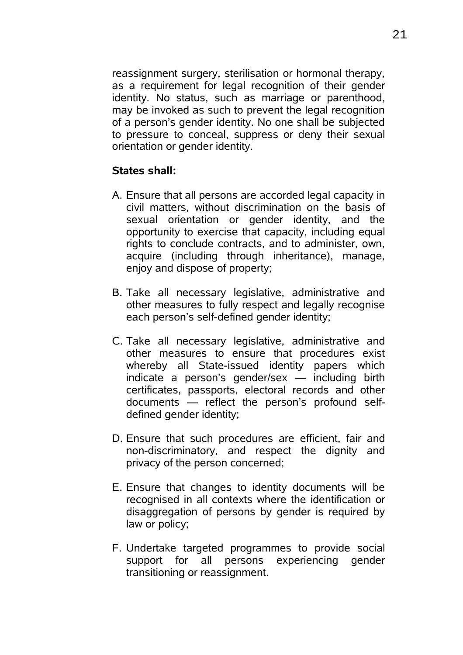reassignment surgery, sterilisation or hormonal therapy, as a requirement for legal recognition of their gender identity. No status, such as marriage or parenthood, may be invoked as such to prevent the legal recognition of a person's gender identity. No one shall be subjected to pressure to conceal, suppress or deny their sexual orientation or gender identity.

- A. Ensure that all persons are accorded legal capacity in civil matters, without discrimination on the basis of sexual orientation or gender identity, and the opportunity to exercise that capacity, including equal rights to conclude contracts, and to administer, own, acquire (including through inheritance), manage, enjoy and dispose of property;
- B. Take all necessary legislative, administrative and other measures to fully respect and legally recognise each person's self-defined gender identity;
- C. Take all necessary legislative, administrative and other measures to ensure that procedures exist whereby all State-issued identity papers which indicate a person's gender/sex — including birth certificates, passports, electoral records and other documents — reflect the person's profound selfdefined gender identity;
- D. Ensure that such procedures are efficient, fair and non-discriminatory, and respect the dignity and privacy of the person concerned;
- E. Ensure that changes to identity documents will be recognised in all contexts where the identification or disaggregation of persons by gender is required by law or policy;
- F. Undertake targeted programmes to provide social support for all persons experiencing gender transitioning or reassignment.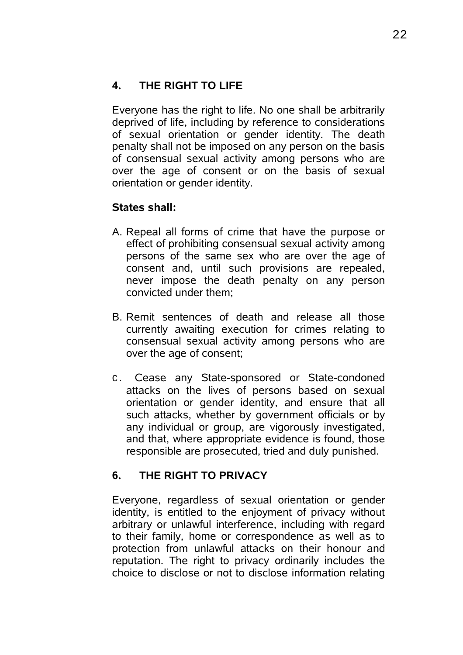Everyone has the right to life. No one shall be arbitrarily deprived of life, including by reference to considerations of sexual orientation or gender identity. The death penalty shall not be imposed on any person on the basis of consensual sexual activity among persons who are over the age of consent or on the basis of sexual orientation or gender identity.

# **States shall:**

- A. Repeal all forms of crime that have the purpose or effect of prohibiting consensual sexual activity among persons of the same sex who are over the age of consent and, until such provisions are repealed, never impose the death penalty on any person convicted under them;
- B. Remit sentences of death and release all those currently awaiting execution for crimes relating to consensual sexual activity among persons who are over the age of consent;
- C. Cease any State-sponsored or State-condoned attacks on the lives of persons based on sexual orientation or gender identity, and ensure that all such attacks, whether by government officials or by any individual or group, are vigorously investigated, and that, where appropriate evidence is found, those responsible are prosecuted, tried and duly punished.

# **6. THE RIGHT TO PRIVACY**

Everyone, regardless of sexual orientation or gender identity, is entitled to the enjoyment of privacy without arbitrary or unlawful interference, including with regard to their family, home or correspondence as well as to protection from unlawful attacks on their honour and reputation. The right to privacy ordinarily includes the choice to disclose or not to disclose information relating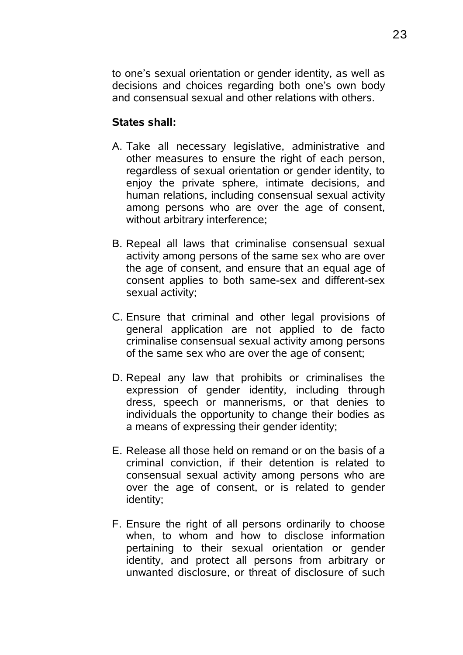to one's sexual orientation or gender identity, as well as decisions and choices regarding both one's own body and consensual sexual and other relations with others.

- A. Take all necessary legislative, administrative and other measures to ensure the right of each person, regardless of sexual orientation or gender identity, to enjoy the private sphere, intimate decisions, and human relations, including consensual sexual activity among persons who are over the age of consent, without arbitrary interference;
- B. Repeal all laws that criminalise consensual sexual activity among persons of the same sex who are over the age of consent, and ensure that an equal age of consent applies to both same-sex and different-sex sexual activity;
- C. Ensure that criminal and other legal provisions of general application are not applied to de facto criminalise consensual sexual activity among persons of the same sex who are over the age of consent;
- D. Repeal any law that prohibits or criminalises the expression of gender identity, including through dress, speech or mannerisms, or that denies to individuals the opportunity to change their bodies as a means of expressing their gender identity;
- E. Release all those held on remand or on the basis of a criminal conviction, if their detention is related to consensual sexual activity among persons who are over the age of consent, or is related to gender identity;
- F. Ensure the right of all persons ordinarily to choose when, to whom and how to disclose information pertaining to their sexual orientation or gender identity, and protect all persons from arbitrary or unwanted disclosure, or threat of disclosure of such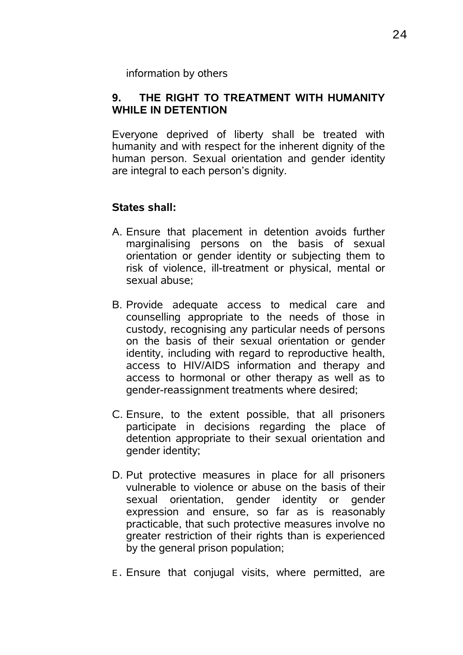information by others

## **9. THE RIGHT TO TREATMENT WITH HUMANITY WHILE IN DETENTION**

Everyone deprived of liberty shall be treated with humanity and with respect for the inherent dignity of the human person. Sexual orientation and gender identity are integral to each person's dignity.

- A. Ensure that placement in detention avoids further marginalising persons on the basis of sexual orientation or gender identity or subjecting them to risk of violence, ill-treatment or physical, mental or sexual abuse;
- B. Provide adequate access to medical care and counselling appropriate to the needs of those in custody, recognising any particular needs of persons on the basis of their sexual orientation or gender identity, including with regard to reproductive health, access to HIV/AIDS information and therapy and access to hormonal or other therapy as well as to gender-reassignment treatments where desired;
- C. Ensure, to the extent possible, that all prisoners participate in decisions regarding the place of detention appropriate to their sexual orientation and gender identity;
- D. Put protective measures in place for all prisoners vulnerable to violence or abuse on the basis of their sexual orientation, gender identity or gender expression and ensure, so far as is reasonably practicable, that such protective measures involve no greater restriction of their rights than is experienced by the general prison population;
- $E$ . Ensure that conjugal visits, where permitted, are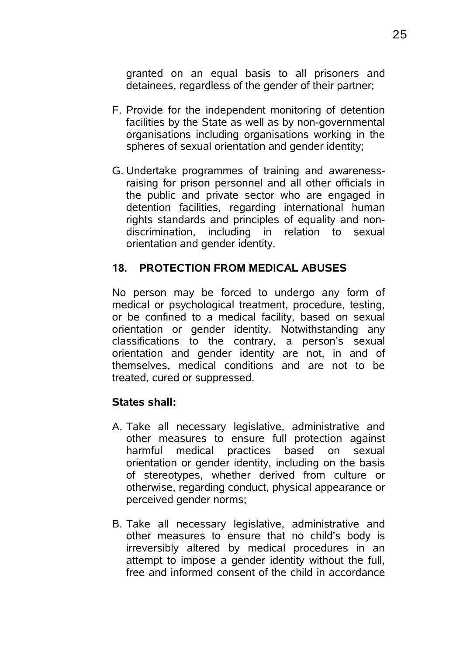granted on an equal basis to all prisoners and detainees, regardless of the gender of their partner;

- F. Provide for the independent monitoring of detention facilities by the State as well as by non-governmental organisations including organisations working in the spheres of sexual orientation and gender identity;
- G. Undertake programmes of training and awarenessraising for prison personnel and all other officials in the public and private sector who are engaged in detention facilities, regarding international human rights standards and principles of equality and nondiscrimination, including in relation to sexual orientation and gender identity.

## **18. PROTECTION FROM MEDICAL ABUSES**

No person may be forced to undergo any form of medical or psychological treatment, procedure, testing, or be confined to a medical facility, based on sexual orientation or gender identity. Notwithstanding any classifications to the contrary, a person's sexual orientation and gender identity are not, in and of themselves, medical conditions and are not to be treated, cured or suppressed.

- A. Take all necessary legislative, administrative and other measures to ensure full protection against harmful medical practices based on sexual orientation or gender identity, including on the basis of stereotypes, whether derived from culture or otherwise, regarding conduct, physical appearance or perceived gender norms;
- B. Take all necessary legislative, administrative and other measures to ensure that no child's body is irreversibly altered by medical procedures in an attempt to impose a gender identity without the full, free and informed consent of the child in accordance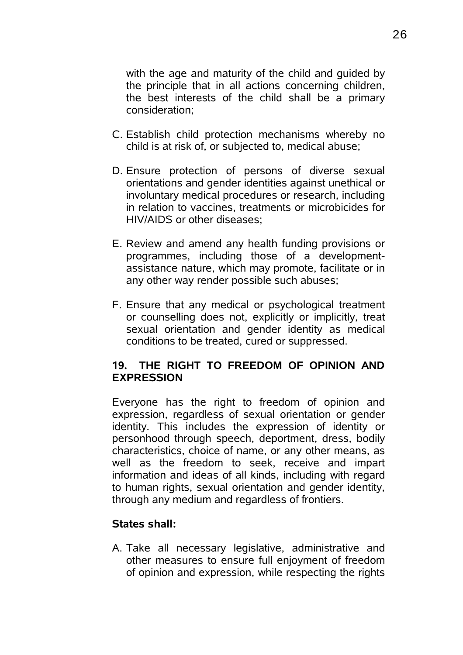with the age and maturity of the child and guided by the principle that in all actions concerning children, the best interests of the child shall be a primary consideration;

- C. Establish child protection mechanisms whereby no child is at risk of, or subjected to, medical abuse;
- D. Ensure protection of persons of diverse sexual orientations and gender identities against unethical or involuntary medical procedures or research, including in relation to vaccines, treatments or microbicides for HIV/AIDS or other diseases;
- E. Review and amend any health funding provisions or programmes, including those of a developmentassistance nature, which may promote, facilitate or in any other way render possible such abuses;
- F. Ensure that any medical or psychological treatment or counselling does not, explicitly or implicitly, treat sexual orientation and gender identity as medical conditions to be treated, cured or suppressed.

## **19. THE RIGHT TO FREEDOM OF OPINION AND EXPRESSION**

Everyone has the right to freedom of opinion and expression, regardless of sexual orientation or gender identity. This includes the expression of identity or personhood through speech, deportment, dress, bodily characteristics, choice of name, or any other means, as well as the freedom to seek, receive and impart information and ideas of all kinds, including with regard to human rights, sexual orientation and gender identity, through any medium and regardless of frontiers.

#### **States shall:**

A. Take all necessary legislative, administrative and other measures to ensure full enjoyment of freedom of opinion and expression, while respecting the rights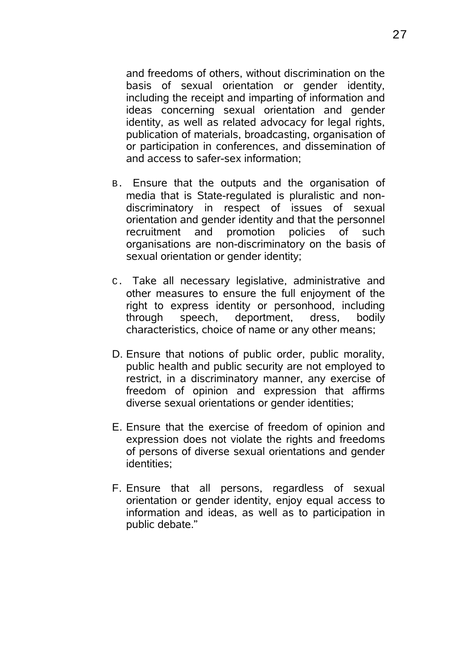and freedoms of others, without discrimination on the basis of sexual orientation or gender identity, including the receipt and imparting of information and ideas concerning sexual orientation and gender identity, as well as related advocacy for legal rights, publication of materials, broadcasting, organisation of or participation in conferences, and dissemination of and access to safer-sex information;

- B. Ensure that the outputs and the organisation of media that is State-regulated is pluralistic and nondiscriminatory in respect of issues of sexual orientation and gender identity and that the personnel recruitment and promotion policies of such organisations are non-discriminatory on the basis of sexual orientation or gender identity;
- C. Take all necessary legislative, administrative and other measures to ensure the full enjoyment of the right to express identity or personhood, including through speech, deportment, dress, bodily characteristics, choice of name or any other means;
- D. Ensure that notions of public order, public morality, public health and public security are not employed to restrict, in a discriminatory manner, any exercise of freedom of opinion and expression that affirms diverse sexual orientations or gender identities;
- E. Ensure that the exercise of freedom of opinion and expression does not violate the rights and freedoms of persons of diverse sexual orientations and gender identities;
- F. Ensure that all persons, regardless of sexual orientation or gender identity, enjoy equal access to information and ideas, as well as to participation in public debate."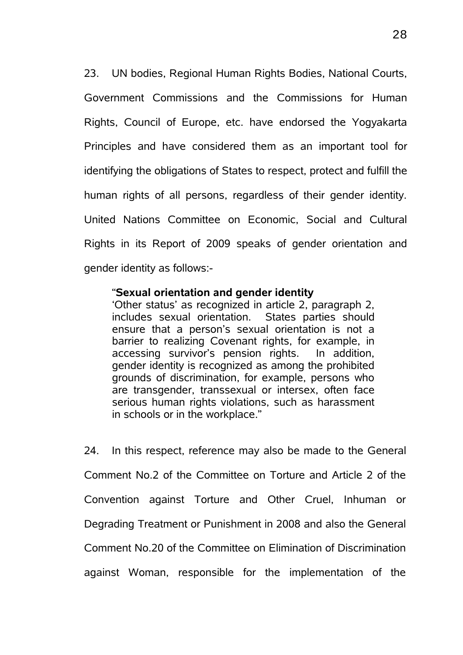23. UN bodies, Regional Human Rights Bodies, National Courts, Government Commissions and the Commissions for Human Rights, Council of Europe, etc. have endorsed the Yogyakarta Principles and have considered them as an important tool for identifying the obligations of States to respect, protect and fulfill the human rights of all persons, regardless of their gender identity. United Nations Committee on Economic, Social and Cultural Rights in its Report of 2009 speaks of gender orientation and gender identity as follows:-

#### "**Sexual orientation and gender identity**

'Other status' as recognized in article 2, paragraph 2, includes sexual orientation. States parties should ensure that a person's sexual orientation is not a barrier to realizing Covenant rights, for example, in accessing survivor's pension rights. In addition, gender identity is recognized as among the prohibited grounds of discrimination, for example, persons who are transgender, transsexual or intersex, often face serious human rights violations, such as harassment in schools or in the workplace."

24. In this respect, reference may also be made to the General Comment No.2 of the Committee on Torture and Article 2 of the Convention against Torture and Other Cruel, Inhuman or Degrading Treatment or Punishment in 2008 and also the General Comment No.20 of the Committee on Elimination of Discrimination against Woman, responsible for the implementation of the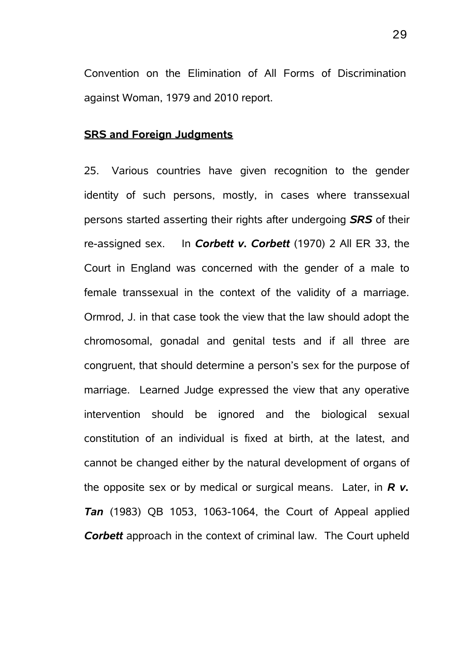Convention on the Elimination of All Forms of Discrimination against Woman, 1979 and 2010 report.

#### **SRS and Foreign Judgments**

25. Various countries have given recognition to the gender identity of such persons, mostly, in cases where transsexual persons started asserting their rights after undergoing *SRS* of their re-assigned sex. In *Corbett v. Corbett* (1970) 2 All ER 33, the Court in England was concerned with the gender of a male to female transsexual in the context of the validity of a marriage. Ormrod, J. in that case took the view that the law should adopt the chromosomal, gonadal and genital tests and if all three are congruent, that should determine a person's sex for the purpose of marriage. Learned Judge expressed the view that any operative intervention should be ignored and the biological sexual constitution of an individual is fixed at birth, at the latest, and cannot be changed either by the natural development of organs of the opposite sex or by medical or surgical means. Later, in *R v. Tan* (1983) QB 1053, 1063-1064, the Court of Appeal applied *Corbett* approach in the context of criminal law. The Court upheld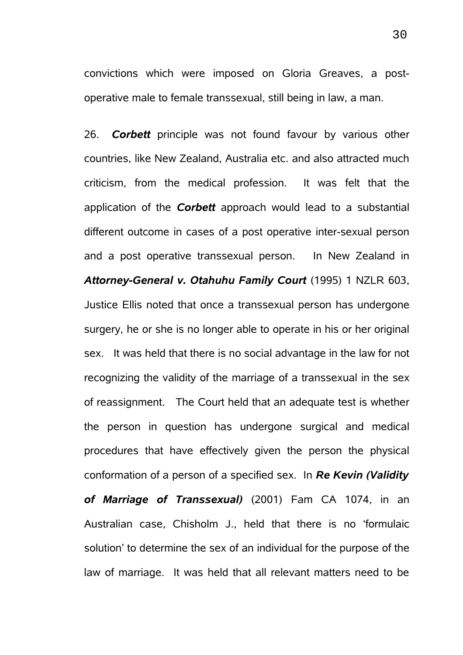convictions which were imposed on Gloria Greaves, a postoperative male to female transsexual, still being in law, a man.

26. *Corbett* principle was not found favour by various other countries, like New Zealand, Australia etc. and also attracted much criticism, from the medical profession. It was felt that the application of the *Corbett* approach would lead to a substantial different outcome in cases of a post operative inter-sexual person and a post operative transsexual person. In New Zealand in *Attorney-General v. Otahuhu Family Court* (1995) 1 NZLR 603, Justice Ellis noted that once a transsexual person has undergone surgery, he or she is no longer able to operate in his or her original sex. It was held that there is no social advantage in the law for not recognizing the validity of the marriage of a transsexual in the sex of reassignment. The Court held that an adequate test is whether the person in question has undergone surgical and medical procedures that have effectively given the person the physical conformation of a person of a specified sex. In *Re Kevin (Validity of Marriage of Transsexual)* (2001) Fam CA 1074, in an Australian case, Chisholm J., held that there is no 'formulaic solution' to determine the sex of an individual for the purpose of the law of marriage. It was held that all relevant matters need to be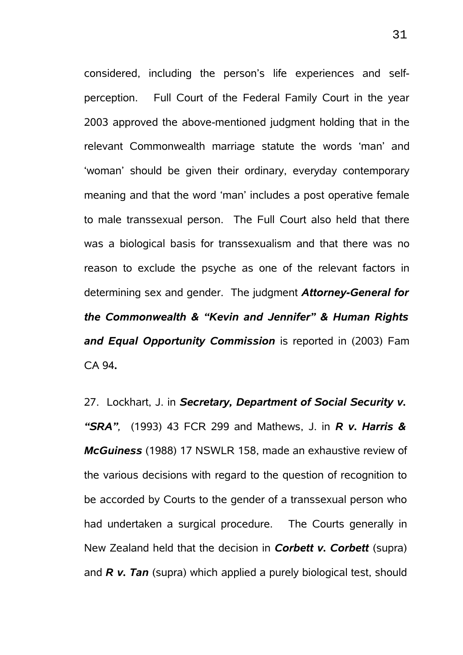considered, including the person's life experiences and selfperception. Full Court of the Federal Family Court in the year 2003 approved the above-mentioned judgment holding that in the relevant Commonwealth marriage statute the words 'man' and 'woman' should be given their ordinary, everyday contemporary meaning and that the word 'man' includes a post operative female to male transsexual person. The Full Court also held that there was a biological basis for transsexualism and that there was no reason to exclude the psyche as one of the relevant factors in determining sex and gender. The judgment *Attorney-General for the Commonwealth & "Kevin and Jennifer" & Human Rights and Equal Opportunity Commission* is reported in (2003) Fam CA 94*.*

27. Lockhart, J. in *Secretary, Department of Social Security v. "SRA",* (1993) 43 FCR 299 and Mathews, J. in *R v. Harris & McGuiness* (1988) 17 NSWLR 158, made an exhaustive review of the various decisions with regard to the question of recognition to be accorded by Courts to the gender of a transsexual person who had undertaken a surgical procedure. The Courts generally in New Zealand held that the decision in *Corbett v. Corbett* (supra) and *R v. Tan* (supra) which applied a purely biological test, should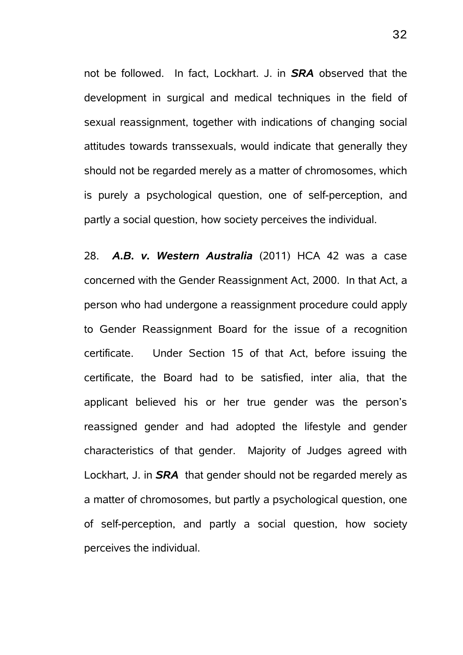not be followed. In fact, Lockhart. J. in *SRA* observed that the development in surgical and medical techniques in the field of sexual reassignment, together with indications of changing social attitudes towards transsexuals, would indicate that generally they should not be regarded merely as a matter of chromosomes, which is purely a psychological question, one of self-perception, and partly a social question, how society perceives the individual.

28. *A.B. v. Western Australia* (2011) HCA 42 was a case concerned with the Gender Reassignment Act, 2000. In that Act, a person who had undergone a reassignment procedure could apply to Gender Reassignment Board for the issue of a recognition certificate. Under Section 15 of that Act, before issuing the certificate, the Board had to be satisfied, inter alia, that the applicant believed his or her true gender was the person's reassigned gender and had adopted the lifestyle and gender characteristics of that gender. Majority of Judges agreed with Lockhart, J. in *SRA* that gender should not be regarded merely as a matter of chromosomes, but partly a psychological question, one of self-perception, and partly a social question, how society perceives the individual.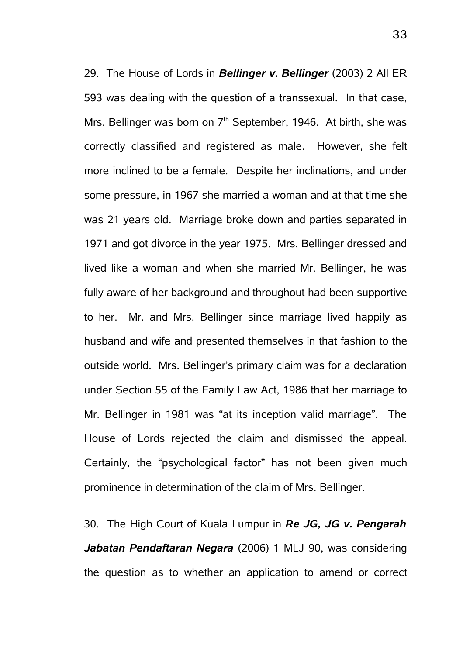29. The House of Lords in *Bellinger v. Bellinger* (2003) 2 All ER 593 was dealing with the question of a transsexual. In that case, Mrs. Bellinger was born on 7<sup>th</sup> September, 1946. At birth, she was correctly classified and registered as male. However, she felt more inclined to be a female. Despite her inclinations, and under some pressure, in 1967 she married a woman and at that time she was 21 years old. Marriage broke down and parties separated in 1971 and got divorce in the year 1975. Mrs. Bellinger dressed and lived like a woman and when she married Mr. Bellinger, he was fully aware of her background and throughout had been supportive to her. Mr. and Mrs. Bellinger since marriage lived happily as husband and wife and presented themselves in that fashion to the outside world. Mrs. Bellinger's primary claim was for a declaration under Section 55 of the Family Law Act, 1986 that her marriage to Mr. Bellinger in 1981 was "at its inception valid marriage". The House of Lords rejected the claim and dismissed the appeal. Certainly, the "psychological factor" has not been given much prominence in determination of the claim of Mrs. Bellinger.

30. The High Court of Kuala Lumpur in *Re JG, JG v. Pengarah Jabatan Pendaftaran Negara* (2006) 1 MLJ 90, was considering the question as to whether an application to amend or correct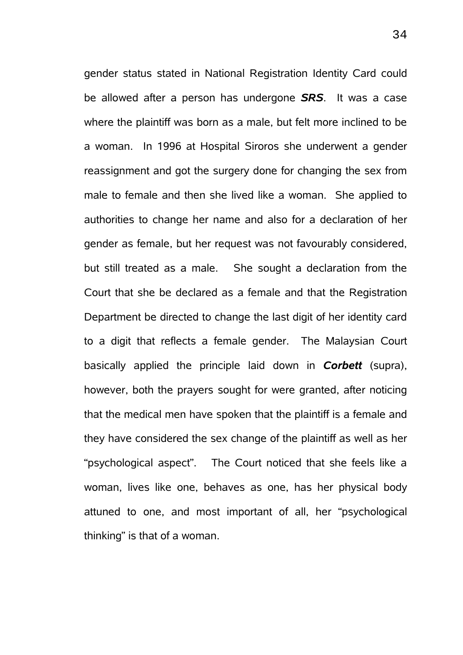gender status stated in National Registration Identity Card could be allowed after a person has undergone *SRS*. It was a case where the plaintiff was born as a male, but felt more inclined to be a woman. In 1996 at Hospital Siroros she underwent a gender reassignment and got the surgery done for changing the sex from male to female and then she lived like a woman. She applied to authorities to change her name and also for a declaration of her gender as female, but her request was not favourably considered, but still treated as a male. She sought a declaration from the Court that she be declared as a female and that the Registration Department be directed to change the last digit of her identity card to a digit that reflects a female gender. The Malaysian Court basically applied the principle laid down in *Corbett* (supra), however, both the prayers sought for were granted, after noticing that the medical men have spoken that the plaintiff is a female and they have considered the sex change of the plaintiff as well as her "psychological aspect". The Court noticed that she feels like a woman, lives like one, behaves as one, has her physical body attuned to one, and most important of all, her "psychological thinking" is that of a woman.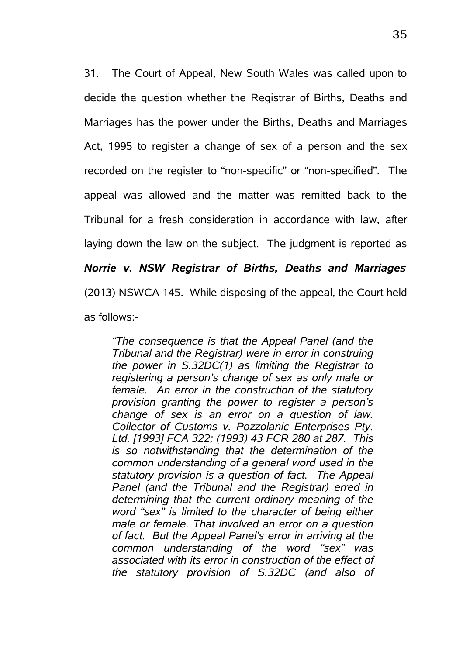31. The Court of Appeal, New South Wales was called upon to decide the question whether the Registrar of Births, Deaths and Marriages has the power under the Births, Deaths and Marriages Act, 1995 to register a change of sex of a person and the sex recorded on the register to "non-specific" or "non-specified". The appeal was allowed and the matter was remitted back to the Tribunal for a fresh consideration in accordance with law, after laying down the law on the subject. The judgment is reported as *Norrie v. NSW Registrar of Births, Deaths and Marriages* (2013) NSWCA 145. While disposing of the appeal, the Court held as follows:-

*"The consequence is that the Appeal Panel (and the Tribunal and the Registrar) were in error in construing the power in S.32DC(1) as limiting the Registrar to registering a person's change of sex as only male or female. An error in the construction of the statutory provision granting the power to register a person's change of sex is an error on a question of law. Collector of Customs v. Pozzolanic Enterprises Pty. Ltd. [1993] FCA 322; (1993) 43 FCR 280 at 287. This is so notwithstanding that the determination of the common understanding of a general word used in the statutory provision is a question of fact. The Appeal Panel (and the Tribunal and the Registrar) erred in determining that the current ordinary meaning of the word "sex" is limited to the character of being either male or female. That involved an error on a question of fact. But the Appeal Panel's error in arriving at the common understanding of the word "sex" was associated with its error in construction of the effect of the statutory provision of S.32DC (and also of*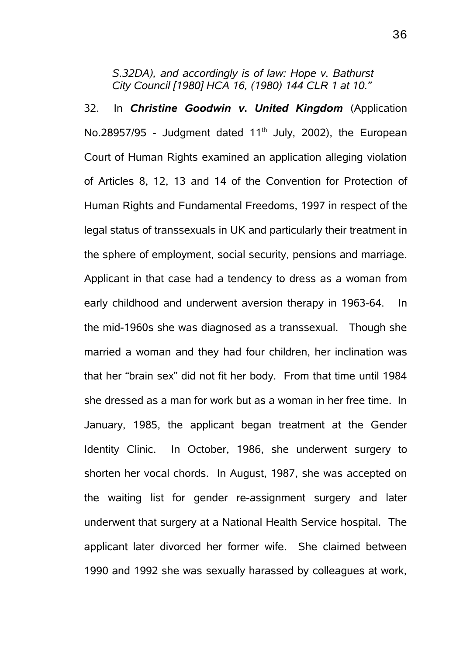*S.32DA), and accordingly is of law: Hope v. Bathurst City Council [1980] HCA 16, (1980) 144 CLR 1 at 10."*

32. In *Christine Goodwin v. United Kingdom* (Application No.28957/95 - Judgment dated  $11<sup>th</sup>$  July, 2002), the European Court of Human Rights examined an application alleging violation of Articles 8, 12, 13 and 14 of the Convention for Protection of Human Rights and Fundamental Freedoms, 1997 in respect of the legal status of transsexuals in UK and particularly their treatment in the sphere of employment, social security, pensions and marriage. Applicant in that case had a tendency to dress as a woman from early childhood and underwent aversion therapy in 1963-64. In the mid-1960s she was diagnosed as a transsexual. Though she married a woman and they had four children, her inclination was that her "brain sex" did not fit her body. From that time until 1984 she dressed as a man for work but as a woman in her free time. In January, 1985, the applicant began treatment at the Gender Identity Clinic. In October, 1986, she underwent surgery to shorten her vocal chords. In August, 1987, she was accepted on the waiting list for gender re-assignment surgery and later underwent that surgery at a National Health Service hospital. The applicant later divorced her former wife. She claimed between 1990 and 1992 she was sexually harassed by colleagues at work,

36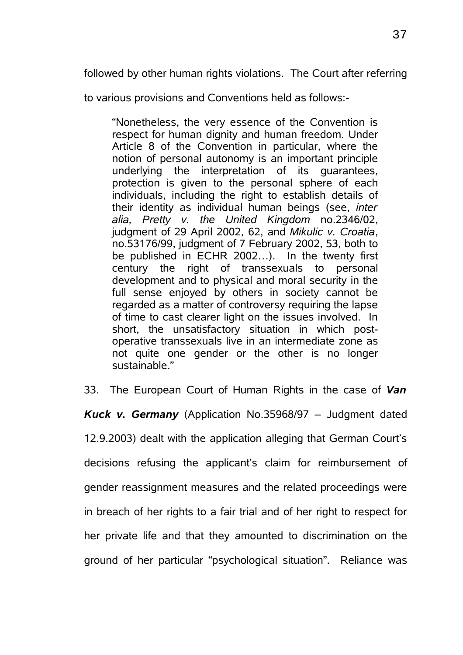followed by other human rights violations. The Court after referring

to various provisions and Conventions held as follows:-

"Nonetheless, the very essence of the Convention is respect for human dignity and human freedom. Under Article 8 of the Convention in particular, where the notion of personal autonomy is an important principle underlying the interpretation of its guarantees, protection is given to the personal sphere of each individuals, including the right to establish details of their identity as individual human beings (see, *inter alia, Pretty v. the United Kingdom* no.2346/02, judgment of 29 April 2002, 62, and *Mikulic v. Croatia*, no.53176/99, judgment of 7 February 2002, 53, both to be published in ECHR 2002…). In the twenty first century the right of transsexuals to personal development and to physical and moral security in the full sense enjoyed by others in society cannot be regarded as a matter of controversy requiring the lapse of time to cast clearer light on the issues involved. In short, the unsatisfactory situation in which postoperative transsexuals live in an intermediate zone as not quite one gender or the other is no longer sustainable."

33. The European Court of Human Rights in the case of *Van Kuck v. Germany* (Application No.35968/97 – Judgment dated 12.9.2003) dealt with the application alleging that German Court's decisions refusing the applicant's claim for reimbursement of gender reassignment measures and the related proceedings were in breach of her rights to a fair trial and of her right to respect for her private life and that they amounted to discrimination on the ground of her particular "psychological situation". Reliance was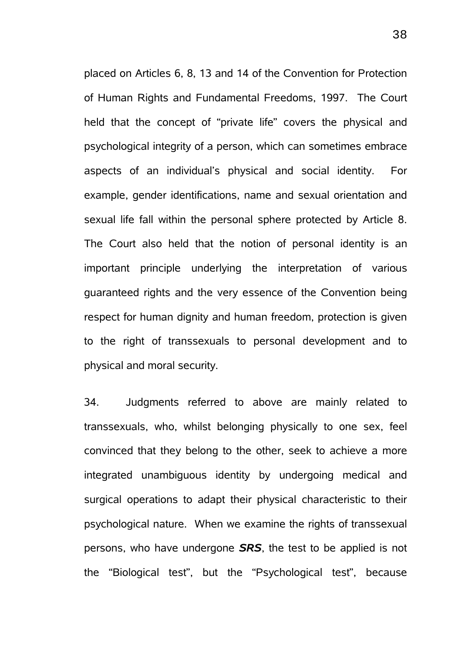placed on Articles 6, 8, 13 and 14 of the Convention for Protection of Human Rights and Fundamental Freedoms, 1997. The Court held that the concept of "private life" covers the physical and psychological integrity of a person, which can sometimes embrace aspects of an individual's physical and social identity. For example, gender identifications, name and sexual orientation and sexual life fall within the personal sphere protected by Article 8. The Court also held that the notion of personal identity is an important principle underlying the interpretation of various guaranteed rights and the very essence of the Convention being respect for human dignity and human freedom, protection is given to the right of transsexuals to personal development and to physical and moral security.

34. Judgments referred to above are mainly related to transsexuals, who, whilst belonging physically to one sex, feel convinced that they belong to the other, seek to achieve a more integrated unambiguous identity by undergoing medical and surgical operations to adapt their physical characteristic to their psychological nature. When we examine the rights of transsexual persons, who have undergone *SRS*, the test to be applied is not the "Biological test", but the "Psychological test", because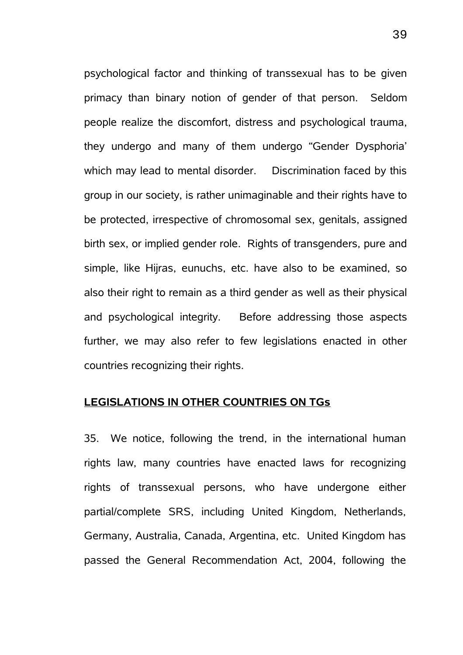psychological factor and thinking of transsexual has to be given primacy than binary notion of gender of that person. Seldom people realize the discomfort, distress and psychological trauma, they undergo and many of them undergo "Gender Dysphoria' which may lead to mental disorder. Discrimination faced by this group in our society, is rather unimaginable and their rights have to be protected, irrespective of chromosomal sex, genitals, assigned birth sex, or implied gender role. Rights of transgenders, pure and simple, like Hijras, eunuchs, etc. have also to be examined, so also their right to remain as a third gender as well as their physical and psychological integrity. Before addressing those aspects further, we may also refer to few legislations enacted in other countries recognizing their rights.

### **LEGISLATIONS IN OTHER COUNTRIES ON TGs**

35. We notice, following the trend, in the international human rights law, many countries have enacted laws for recognizing rights of transsexual persons, who have undergone either partial/complete SRS, including United Kingdom, Netherlands, Germany, Australia, Canada, Argentina, etc. United Kingdom has passed the General Recommendation Act, 2004, following the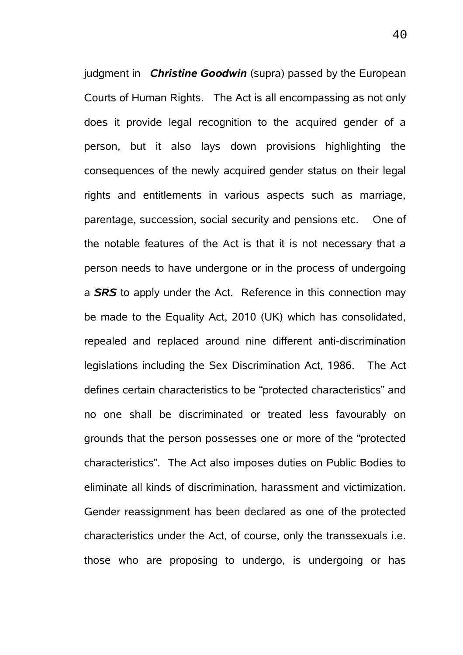judgment in *Christine Goodwin* (supra) passed by the European Courts of Human Rights. The Act is all encompassing as not only does it provide legal recognition to the acquired gender of a person, but it also lays down provisions highlighting the consequences of the newly acquired gender status on their legal rights and entitlements in various aspects such as marriage, parentage, succession, social security and pensions etc. One of the notable features of the Act is that it is not necessary that a person needs to have undergone or in the process of undergoing a *SRS* to apply under the Act. Reference in this connection may be made to the Equality Act, 2010 (UK) which has consolidated, repealed and replaced around nine different anti-discrimination legislations including the Sex Discrimination Act, 1986. The Act defines certain characteristics to be "protected characteristics" and no one shall be discriminated or treated less favourably on grounds that the person possesses one or more of the "protected characteristics". The Act also imposes duties on Public Bodies to eliminate all kinds of discrimination, harassment and victimization. Gender reassignment has been declared as one of the protected characteristics under the Act, of course, only the transsexuals i.e. those who are proposing to undergo, is undergoing or has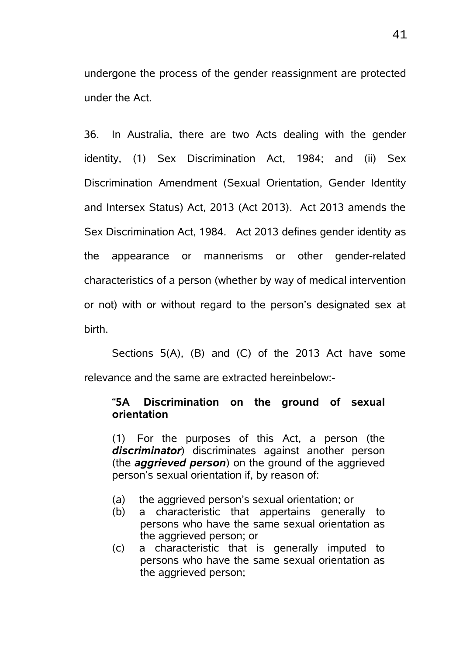undergone the process of the gender reassignment are protected under the Act.

36. In Australia, there are two Acts dealing with the gender identity, (1) Sex Discrimination Act, 1984; and (ii) Sex Discrimination Amendment (Sexual Orientation, Gender Identity and Intersex Status) Act, 2013 (Act 2013). Act 2013 amends the Sex Discrimination Act, 1984. Act 2013 defines gender identity as the appearance or mannerisms or other gender-related characteristics of a person (whether by way of medical intervention or not) with or without regard to the person's designated sex at birth.

 Sections 5(A), (B) and (C) of the 2013 Act have some relevance and the same are extracted hereinbelow:-

## "**5A Discrimination on the ground of sexual orientation**

(1) For the purposes of this Act, a person (the *discriminator*) discriminates against another person (the *aggrieved person*) on the ground of the aggrieved person's sexual orientation if, by reason of:

- (a) the aggrieved person's sexual orientation; or
- (b) a characteristic that appertains generally to persons who have the same sexual orientation as the aggrieved person; or
- (c) a characteristic that is generally imputed to persons who have the same sexual orientation as the aggrieved person;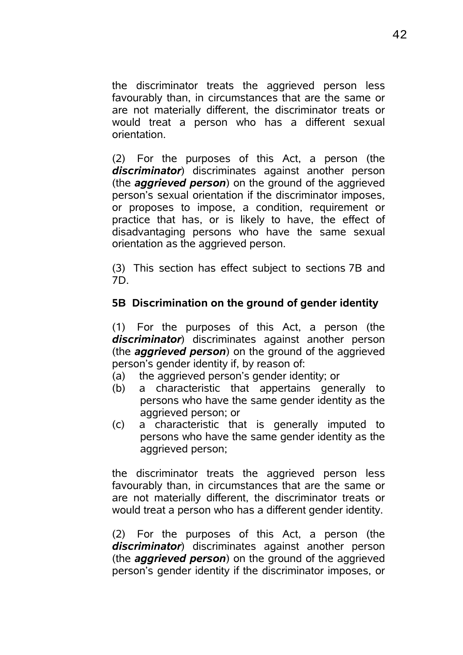the discriminator treats the aggrieved person less favourably than, in circumstances that are the same or are not materially different, the discriminator treats or would treat a person who has a different sexual orientation.

(2) For the purposes of this Act, a person (the *discriminator*) discriminates against another person (the *aggrieved person*) on the ground of the aggrieved person's sexual orientation if the discriminator imposes, or proposes to impose, a condition, requirement or practice that has, or is likely to have, the effect of disadvantaging persons who have the same sexual orientation as the aggrieved person.

(3) This section has effect subject to sections 7B and 7D.

# **5B Discrimination on the ground of gender identity**

(1) For the purposes of this Act, a person (the *discriminator*) discriminates against another person (the *aggrieved person*) on the ground of the aggrieved person's gender identity if, by reason of:

- (a) the aggrieved person's gender identity; or
- (b) a characteristic that appertains generally to persons who have the same gender identity as the aggrieved person; or
- (c) a characteristic that is generally imputed to persons who have the same gender identity as the aggrieved person;

the discriminator treats the aggrieved person less favourably than, in circumstances that are the same or are not materially different, the discriminator treats or would treat a person who has a different gender identity.

(2) For the purposes of this Act, a person (the *discriminator*) discriminates against another person (the *aggrieved person*) on the ground of the aggrieved person's gender identity if the discriminator imposes, or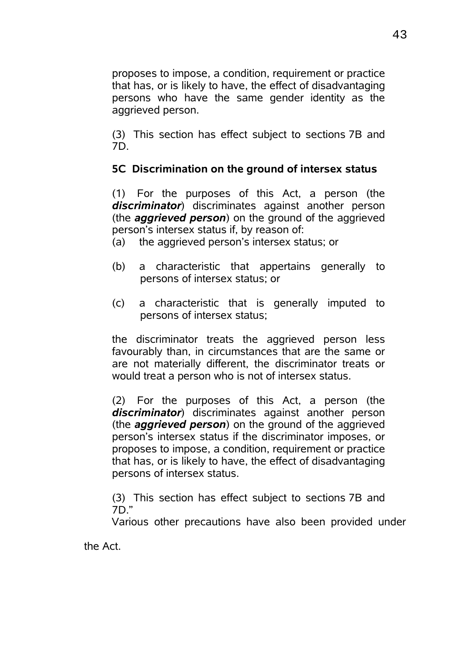proposes to impose, a condition, requirement or practice that has, or is likely to have, the effect of disadvantaging persons who have the same gender identity as the aggrieved person.

(3) This section has effect subject to sections 7B and 7D.

# **5C Discrimination on the ground of intersex status**

(1) For the purposes of this Act, a person (the *discriminator*) discriminates against another person (the *aggrieved person*) on the ground of the aggrieved person's intersex status if, by reason of:

(a) the aggrieved person's intersex status; or

- (b) a characteristic that appertains generally to persons of intersex status; or
- (c) a characteristic that is generally imputed to persons of intersex status;

the discriminator treats the aggrieved person less favourably than, in circumstances that are the same or are not materially different, the discriminator treats or would treat a person who is not of intersex status.

(2) For the purposes of this Act, a person (the *discriminator*) discriminates against another person (the *aggrieved person*) on the ground of the aggrieved person's intersex status if the discriminator imposes, or proposes to impose, a condition, requirement or practice that has, or is likely to have, the effect of disadvantaging persons of intersex status.

(3) This section has effect subject to sections 7B and 7D."

Various other precautions have also been provided under

the Act.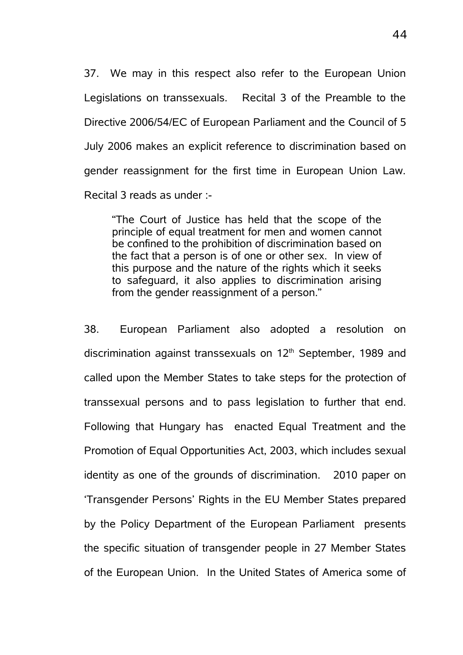37. We may in this respect also refer to the European Union Legislations on transsexuals. Recital 3 of the Preamble to the Directive 2006/54/EC of European Parliament and the Council of 5 July 2006 makes an explicit reference to discrimination based on gender reassignment for the first time in European Union Law. Recital 3 reads as under :-

"The Court of Justice has held that the scope of the principle of equal treatment for men and women cannot be confined to the prohibition of discrimination based on the fact that a person is of one or other sex. In view of this purpose and the nature of the rights which it seeks to safeguard, it also applies to discrimination arising from the gender reassignment of a person."

38. European Parliament also adopted a resolution on discrimination against transsexuals on  $12<sup>th</sup>$  September, 1989 and called upon the Member States to take steps for the protection of transsexual persons and to pass legislation to further that end. Following that Hungary has enacted Equal Treatment and the Promotion of Equal Opportunities Act, 2003, which includes sexual identity as one of the grounds of discrimination. 2010 paper on 'Transgender Persons' Rights in the EU Member States prepared by the Policy Department of the European Parliament presents the specific situation of transgender people in 27 Member States of the European Union. In the United States of America some of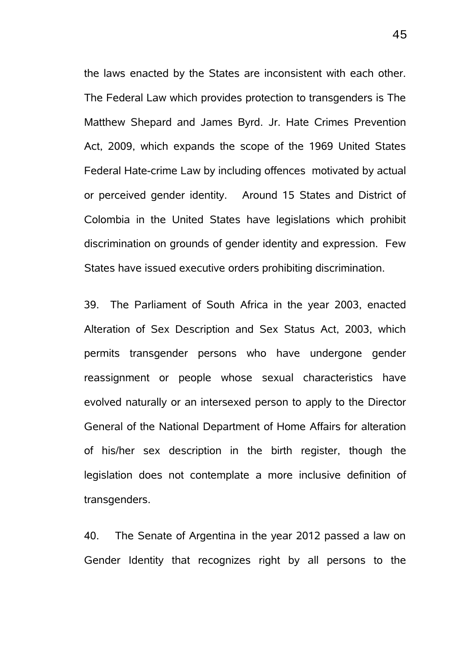the laws enacted by the States are inconsistent with each other. The Federal Law which provides protection to transgenders is The Matthew Shepard and James Byrd. Jr. Hate Crimes Prevention Act, 2009, which expands the scope of the 1969 United States Federal Hate-crime Law by including offences motivated by actual or perceived gender identity. Around 15 States and District of Colombia in the United States have legislations which prohibit discrimination on grounds of gender identity and expression. Few States have issued executive orders prohibiting discrimination.

39. The Parliament of South Africa in the year 2003, enacted Alteration of Sex Description and Sex Status Act, 2003, which permits transgender persons who have undergone gender reassignment or people whose sexual characteristics have evolved naturally or an intersexed person to apply to the Director General of the National Department of Home Affairs for alteration of his/her sex description in the birth register, though the legislation does not contemplate a more inclusive definition of transgenders.

40. The Senate of Argentina in the year 2012 passed a law on Gender Identity that recognizes right by all persons to the

45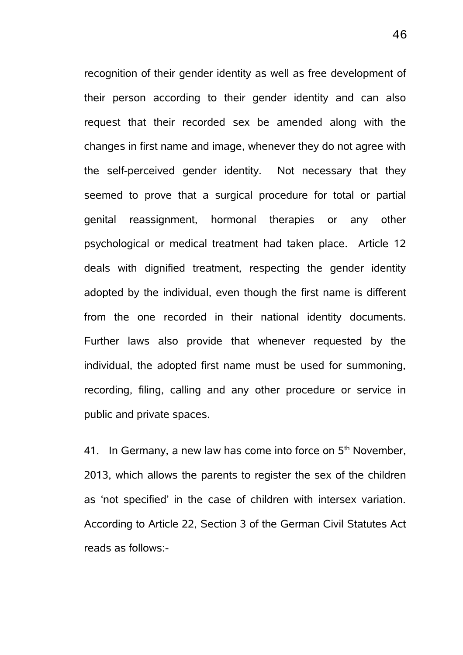recognition of their gender identity as well as free development of their person according to their gender identity and can also request that their recorded sex be amended along with the changes in first name and image, whenever they do not agree with the self-perceived gender identity. Not necessary that they seemed to prove that a surgical procedure for total or partial genital reassignment, hormonal therapies or any other psychological or medical treatment had taken place. Article 12 deals with dignified treatment, respecting the gender identity adopted by the individual, even though the first name is different from the one recorded in their national identity documents. Further laws also provide that whenever requested by the individual, the adopted first name must be used for summoning, recording, filing, calling and any other procedure or service in public and private spaces.

41. In Germany, a new law has come into force on  $5<sup>th</sup>$  November, 2013, which allows the parents to register the sex of the children as 'not specified' in the case of children with intersex variation. According to Article 22, Section 3 of the German Civil Statutes Act reads as follows:-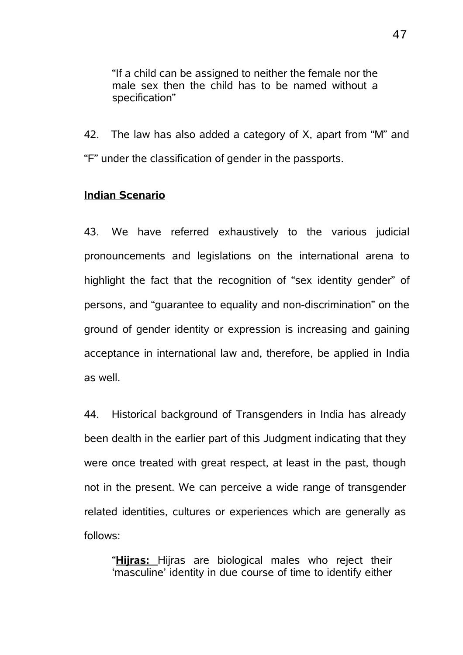"If a child can be assigned to neither the female nor the male sex then the child has to be named without a specification"

42. The law has also added a category of X, apart from "M" and "F" under the classification of gender in the passports.

## **Indian Scenario**

43. We have referred exhaustively to the various judicial pronouncements and legislations on the international arena to highlight the fact that the recognition of "sex identity gender" of persons, and "guarantee to equality and non-discrimination" on the ground of gender identity or expression is increasing and gaining acceptance in international law and, therefore, be applied in India as well.

44. Historical background of Transgenders in India has already been dealth in the earlier part of this Judgment indicating that they were once treated with great respect, at least in the past, though not in the present. We can perceive a wide range of transgender related identities, cultures or experiences which are generally as follows:

"**Hijras:** Hijras are biological males who reject their 'masculine' identity in due course of time to identify either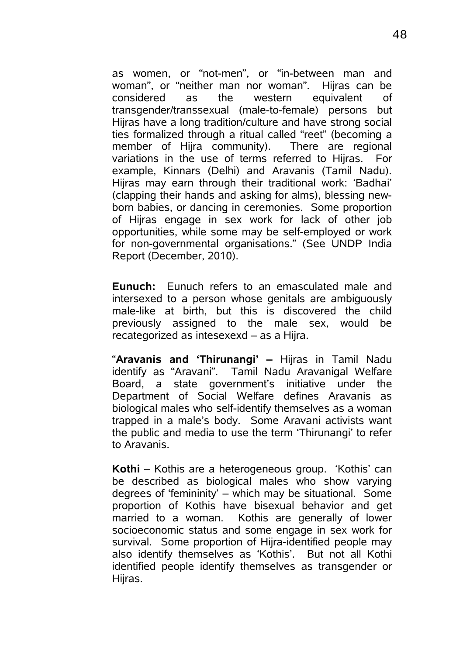as women, or "not-men", or "in-between man and woman", or "neither man nor woman". Hijras can be considered as the western equivalent of transgender/transsexual (male-to-female) persons but Hijras have a long tradition/culture and have strong social ties formalized through a ritual called "reet" (becoming a member of Hijra community). There are regional variations in the use of terms referred to Hijras. For example, Kinnars (Delhi) and Aravanis (Tamil Nadu). Hijras may earn through their traditional work: 'Badhai' (clapping their hands and asking for alms), blessing newborn babies, or dancing in ceremonies. Some proportion of Hijras engage in sex work for lack of other job opportunities, while some may be self-employed or work for non-governmental organisations." (See UNDP India Report (December, 2010).

**Eunuch:** Eunuch refers to an emasculated male and intersexed to a person whose genitals are ambiguously male-like at birth, but this is discovered the child previously assigned to the male sex, would be recategorized as intesexexd – as a Hijra.

"**Aravanis and 'Thirunangi' –** Hijras in Tamil Nadu identify as "Aravani". Tamil Nadu Aravanigal Welfare Board, a state government's initiative under the Department of Social Welfare defines Aravanis as biological males who self-identify themselves as a woman trapped in a male's body. Some Aravani activists want the public and media to use the term 'Thirunangi' to refer to Aravanis.

**Kothi** – Kothis are a heterogeneous group. 'Kothis' can be described as biological males who show varying degrees of 'femininity' – which may be situational. Some proportion of Kothis have bisexual behavior and get married to a woman. Kothis are generally of lower socioeconomic status and some engage in sex work for survival. Some proportion of Hijra-identified people may also identify themselves as 'Kothis'. But not all Kothi identified people identify themselves as transgender or Hiiras.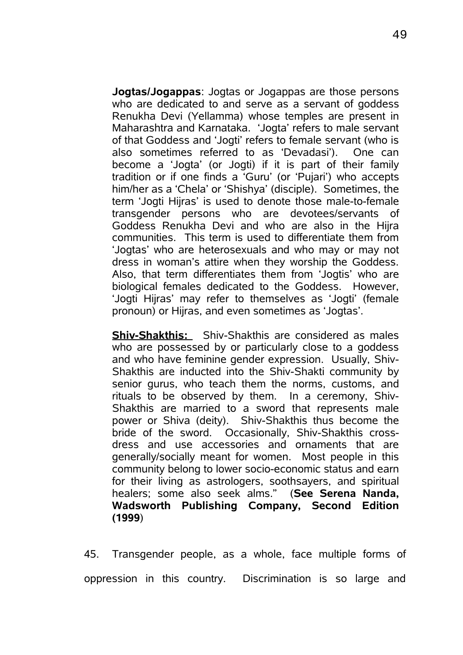**Jogtas/Jogappas**: Jogtas or Jogappas are those persons who are dedicated to and serve as a servant of goddess Renukha Devi (Yellamma) whose temples are present in Maharashtra and Karnataka. 'Jogta' refers to male servant of that Goddess and 'Jogti' refers to female servant (who is also sometimes referred to as 'Devadasi'). One can become a 'Jogta' (or Jogti) if it is part of their family tradition or if one finds a 'Guru' (or 'Pujari') who accepts him/her as a 'Chela' or 'Shishya' (disciple). Sometimes, the term 'Jogti Hijras' is used to denote those male-to-female transgender persons who are devotees/servants of Goddess Renukha Devi and who are also in the Hijra communities. This term is used to differentiate them from 'Jogtas' who are heterosexuals and who may or may not dress in woman's attire when they worship the Goddess. Also, that term differentiates them from 'Jogtis' who are biological females dedicated to the Goddess. However, 'Jogti Hijras' may refer to themselves as 'Jogti' (female pronoun) or Hijras, and even sometimes as 'Jogtas'.

**Shiv-Shakthis:** Shiv-Shakthis are considered as males who are possessed by or particularly close to a goddess and who have feminine gender expression. Usually, Shiv-Shakthis are inducted into the Shiv-Shakti community by senior gurus, who teach them the norms, customs, and rituals to be observed by them. In a ceremony, Shiv-Shakthis are married to a sword that represents male power or Shiva (deity). Shiv-Shakthis thus become the bride of the sword. Occasionally, Shiv-Shakthis crossdress and use accessories and ornaments that are generally/socially meant for women. Most people in this community belong to lower socio-economic status and earn for their living as astrologers, soothsayers, and spiritual healers; some also seek alms." (**See Serena Nanda, Wadsworth Publishing Company, Second Edition (1999**)

45. Transgender people, as a whole, face multiple forms of oppression in this country. Discrimination is so large and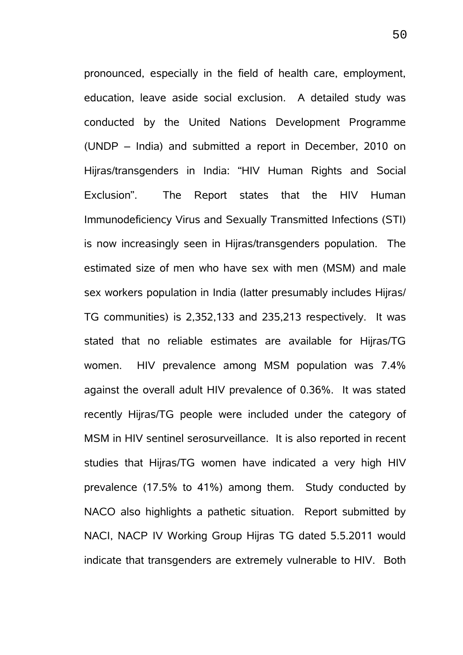pronounced, especially in the field of health care, employment, education, leave aside social exclusion. A detailed study was conducted by the United Nations Development Programme (UNDP – India) and submitted a report in December, 2010 on Hijras/transgenders in India: "HIV Human Rights and Social Exclusion". The Report states that the HIV Human Immunodeficiency Virus and Sexually Transmitted Infections (STI) is now increasingly seen in Hijras/transgenders population. The estimated size of men who have sex with men (MSM) and male sex workers population in India (latter presumably includes Hijras/ TG communities) is 2,352,133 and 235,213 respectively. It was stated that no reliable estimates are available for Hijras/TG women. HIV prevalence among MSM population was 7.4% against the overall adult HIV prevalence of 0.36%. It was stated recently Hijras/TG people were included under the category of MSM in HIV sentinel serosurveillance. It is also reported in recent studies that Hijras/TG women have indicated a very high HIV prevalence (17.5% to 41%) among them. Study conducted by NACO also highlights a pathetic situation. Report submitted by NACI, NACP IV Working Group Hijras TG dated 5.5.2011 would indicate that transgenders are extremely vulnerable to HIV. Both

50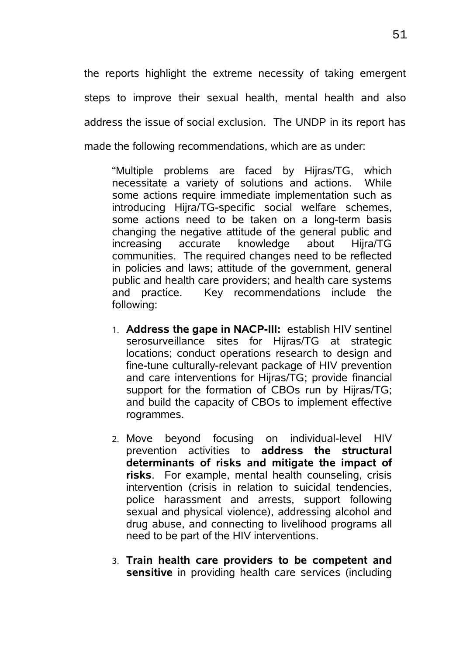the reports highlight the extreme necessity of taking emergent steps to improve their sexual health, mental health and also address the issue of social exclusion. The UNDP in its report has made the following recommendations, which are as under:

"Multiple problems are faced by Hijras/TG, which necessitate a variety of solutions and actions. While some actions require immediate implementation such as introducing Hijra/TG-specific social welfare schemes, some actions need to be taken on a long-term basis changing the negative attitude of the general public and increasing accurate knowledge about Hijra/TG communities. The required changes need to be reflected in policies and laws; attitude of the government, general public and health care providers; and health care systems and practice. Key recommendations include the following:

- 1. **Address the gape in NACP-III:** establish HIV sentinel serosurveillance sites for Hiiras/TG at strategic locations; conduct operations research to design and fine-tune culturally-relevant package of HIV prevention and care interventions for Hijras/TG; provide financial support for the formation of CBOs run by Hijras/TG; and build the capacity of CBOs to implement effective rogrammes.
- 2. Move beyond focusing on individual-level HIV prevention activities to **address the structural determinants of risks and mitigate the impact of risks**. For example, mental health counseling, crisis intervention (crisis in relation to suicidal tendencies, police harassment and arrests, support following sexual and physical violence), addressing alcohol and drug abuse, and connecting to livelihood programs all need to be part of the HIV interventions.
- 3. **Train health care providers to be competent and sensitive** in providing health care services (including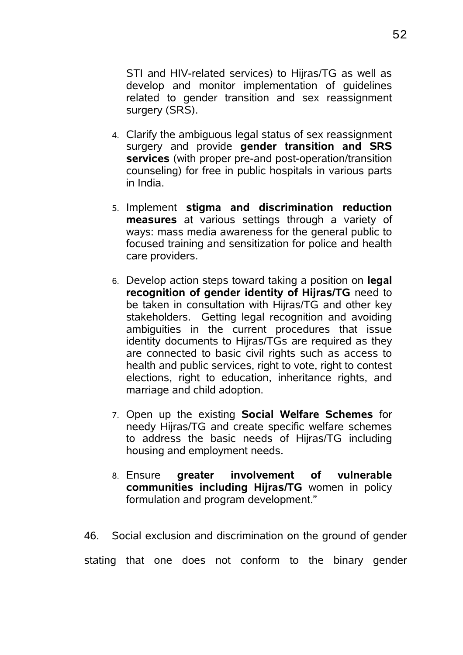STI and HIV-related services) to Hijras/TG as well as develop and monitor implementation of guidelines related to gender transition and sex reassignment surgery (SRS).

- 4. Clarify the ambiguous legal status of sex reassignment surgery and provide **gender transition and SRS services** (with proper pre-and post-operation/transition counseling) for free in public hospitals in various parts in India.
- 5. Implement **stigma and discrimination reduction measures** at various settings through a variety of ways: mass media awareness for the general public to focused training and sensitization for police and health care providers.
- 6. Develop action steps toward taking a position on **legal recognition of gender identity of Hijras/TG** need to be taken in consultation with Hijras/TG and other key stakeholders. Getting legal recognition and avoiding ambiguities in the current procedures that issue identity documents to Hijras/TGs are required as they are connected to basic civil rights such as access to health and public services, right to vote, right to contest elections, right to education, inheritance rights, and marriage and child adoption.
- 7. Open up the existing **Social Welfare Schemes** for needy Hijras/TG and create specific welfare schemes to address the basic needs of Hijras/TG including housing and employment needs.
- 8. Ensure **greater involvement of vulnerable communities including Hijras/TG** women in policy formulation and program development."

46. Social exclusion and discrimination on the ground of gender

stating that one does not conform to the binary gender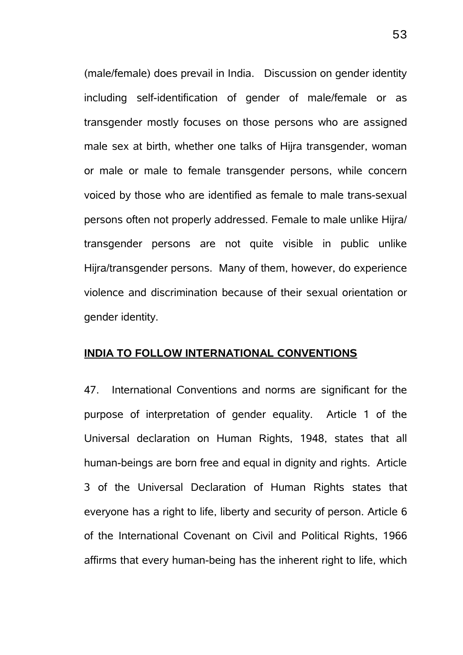(male/female) does prevail in India. Discussion on gender identity including self-identification of gender of male/female or as transgender mostly focuses on those persons who are assigned male sex at birth, whether one talks of Hijra transgender, woman or male or male to female transgender persons, while concern voiced by those who are identified as female to male trans-sexual persons often not properly addressed. Female to male unlike Hijra/ transgender persons are not quite visible in public unlike Hijra/transgender persons. Many of them, however, do experience violence and discrimination because of their sexual orientation or gender identity.

### **INDIA TO FOLLOW INTERNATIONAL CONVENTIONS**

47. International Conventions and norms are significant for the purpose of interpretation of gender equality. Article 1 of the Universal declaration on Human Rights, 1948, states that all human-beings are born free and equal in dignity and rights. Article 3 of the Universal Declaration of Human Rights states that everyone has a right to life, liberty and security of person. Article 6 of the International Covenant on Civil and Political Rights, 1966 affirms that every human-being has the inherent right to life, which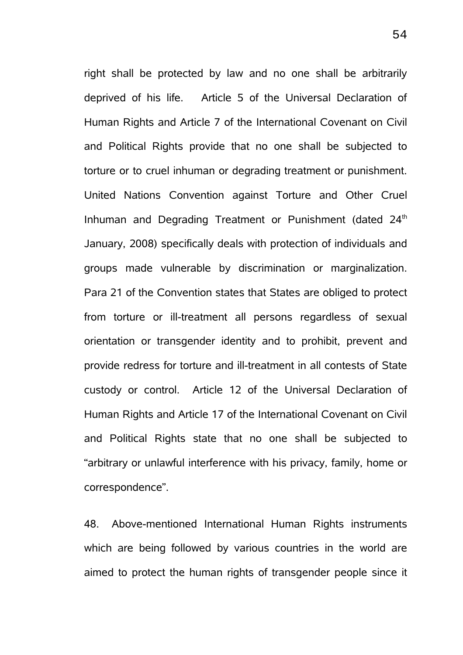right shall be protected by law and no one shall be arbitrarily deprived of his life. Article 5 of the Universal Declaration of Human Rights and Article 7 of the International Covenant on Civil and Political Rights provide that no one shall be subjected to torture or to cruel inhuman or degrading treatment or punishment. United Nations Convention against Torture and Other Cruel Inhuman and Degrading Treatment or Punishment (dated 24<sup>th</sup>) January, 2008) specifically deals with protection of individuals and groups made vulnerable by discrimination or marginalization. Para 21 of the Convention states that States are obliged to protect from torture or ill-treatment all persons regardless of sexual orientation or transgender identity and to prohibit, prevent and provide redress for torture and ill-treatment in all contests of State custody or control. Article 12 of the Universal Declaration of Human Rights and Article 17 of the International Covenant on Civil and Political Rights state that no one shall be subjected to "arbitrary or unlawful interference with his privacy, family, home or correspondence".

48. Above-mentioned International Human Rights instruments which are being followed by various countries in the world are aimed to protect the human rights of transgender people since it

54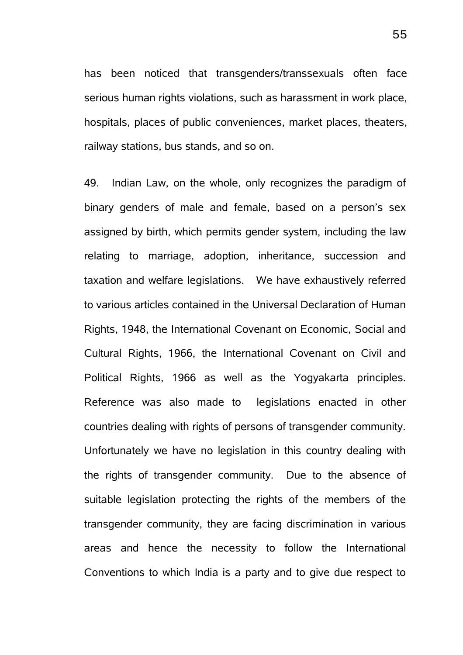has been noticed that transgenders/transsexuals often face serious human rights violations, such as harassment in work place, hospitals, places of public conveniences, market places, theaters, railway stations, bus stands, and so on.

49. Indian Law, on the whole, only recognizes the paradigm of binary genders of male and female, based on a person's sex assigned by birth, which permits gender system, including the law relating to marriage, adoption, inheritance, succession and taxation and welfare legislations. We have exhaustively referred to various articles contained in the Universal Declaration of Human Rights, 1948, the International Covenant on Economic, Social and Cultural Rights, 1966, the International Covenant on Civil and Political Rights, 1966 as well as the Yogyakarta principles. Reference was also made to legislations enacted in other countries dealing with rights of persons of transgender community. Unfortunately we have no legislation in this country dealing with the rights of transgender community. Due to the absence of suitable legislation protecting the rights of the members of the transgender community, they are facing discrimination in various areas and hence the necessity to follow the International Conventions to which India is a party and to give due respect to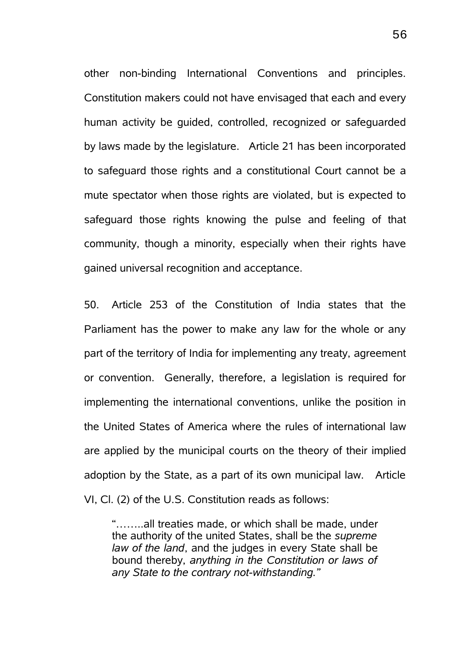other non-binding International Conventions and principles. Constitution makers could not have envisaged that each and every human activity be guided, controlled, recognized or safeguarded by laws made by the legislature. Article 21 has been incorporated to safeguard those rights and a constitutional Court cannot be a mute spectator when those rights are violated, but is expected to safeguard those rights knowing the pulse and feeling of that community, though a minority, especially when their rights have gained universal recognition and acceptance.

50. Article 253 of the Constitution of India states that the Parliament has the power to make any law for the whole or any part of the territory of India for implementing any treaty, agreement or convention. Generally, therefore, a legislation is required for implementing the international conventions, unlike the position in the United States of America where the rules of international law are applied by the municipal courts on the theory of their implied adoption by the State, as a part of its own municipal law. Article VI, Cl. (2) of the U.S. Constitution reads as follows:

"……..all treaties made, or which shall be made, under the authority of the united States, shall be the *supreme law of the land*, and the judges in every State shall be bound thereby, *anything in the Constitution or laws of any State to the contrary not-withstanding."*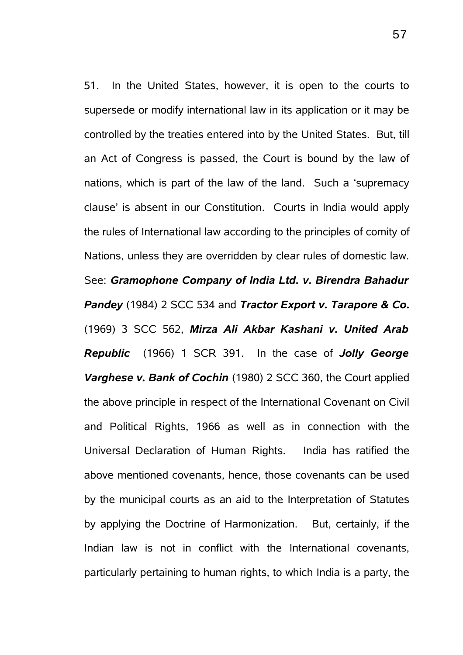51. In the United States, however, it is open to the courts to supersede or modify international law in its application or it may be controlled by the treaties entered into by the United States. But, till an Act of Congress is passed, the Court is bound by the law of nations, which is part of the law of the land. Such a 'supremacy clause' is absent in our Constitution. Courts in India would apply the rules of International law according to the principles of comity of Nations, unless they are overridden by clear rules of domestic law. See: *Gramophone Company of India Ltd. v. Birendra Bahadur Pandey* (1984) 2 SCC 534 and *Tractor Export v. Tarapore & Co.* (1969) 3 SCC 562, *Mirza Ali Akbar Kashani v. United Arab Republic* (1966) 1 SCR 391. In the case of *Jolly George Varghese v. Bank of Cochin* (1980) 2 SCC 360, the Court applied the above principle in respect of the International Covenant on Civil and Political Rights, 1966 as well as in connection with the Universal Declaration of Human Rights. India has ratified the above mentioned covenants, hence, those covenants can be used by the municipal courts as an aid to the Interpretation of Statutes by applying the Doctrine of Harmonization. But, certainly, if the Indian law is not in conflict with the International covenants, particularly pertaining to human rights, to which India is a party, the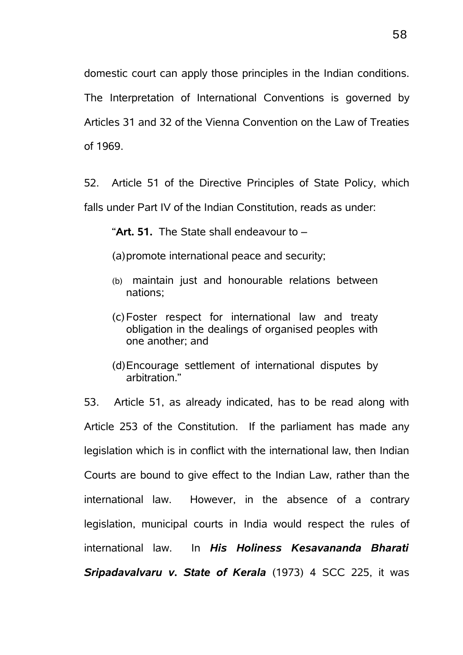domestic court can apply those principles in the Indian conditions.

The Interpretation of International Conventions is governed by Articles 31 and 32 of the Vienna Convention on the Law of Treaties of 1969.

52. Article 51 of the Directive Principles of State Policy, which

falls under Part IV of the Indian Constitution, reads as under:

"**Art. 51.** The State shall endeavour to –

- (a)promote international peace and security;
- (b) maintain just and honourable relations between nations;
- (c)Foster respect for international law and treaty obligation in the dealings of organised peoples with one another; and
- (d)Encourage settlement of international disputes by arbitration."

53. Article 51, as already indicated, has to be read along with Article 253 of the Constitution. If the parliament has made any legislation which is in conflict with the international law, then Indian Courts are bound to give effect to the Indian Law, rather than the international law. However, in the absence of a contrary legislation, municipal courts in India would respect the rules of international law. In *His Holiness Kesavananda Bharati* **Sripadavalvaru v. State of Kerala** (1973) 4 SCC 225, it was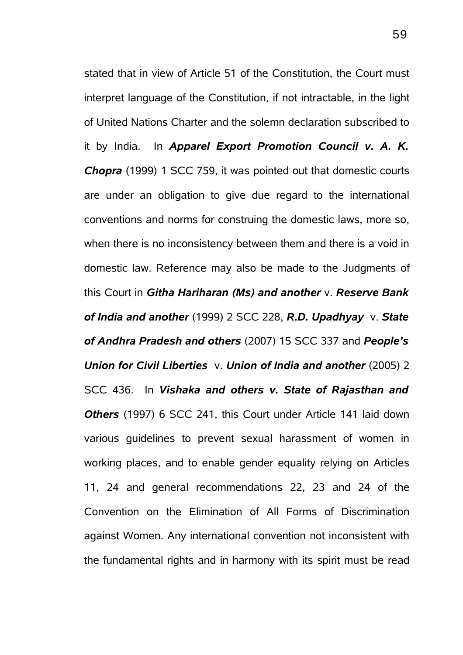stated that in view of Article 51 of the Constitution, the Court must interpret language of the Constitution, if not intractable, in the light of United Nations Charter and the solemn declaration subscribed to it by India. In *Apparel Export Promotion Council v. A. K. Chopra* (1999) 1 SCC 759, it was pointed out that domestic courts are under an obligation to give due regard to the international conventions and norms for construing the domestic laws, more so, when there is no inconsistency between them and there is a void in domestic law. Reference may also be made to the Judgments of this Court in *Githa Hariharan (Ms) and another* v. *Reserve Bank of India and another* (1999) 2 SCC 228, *R.D. Upadhyay* v. *State of Andhra Pradesh and others* (2007) 15 SCC 337 and *People's Union for Civil Liberties* v. *Union of India and another* (2005) 2 SCC 436. In *Vishaka and others v. State of Rajasthan and Others* (1997) 6 SCC 241, this Court under Article 141 laid down various guidelines to prevent sexual harassment of women in working places, and to enable gender equality relying on Articles 11, 24 and general recommendations 22, 23 and 24 of the Convention on the Elimination of All Forms of Discrimination against Women. Any international convention not inconsistent with the fundamental rights and in harmony with its spirit must be read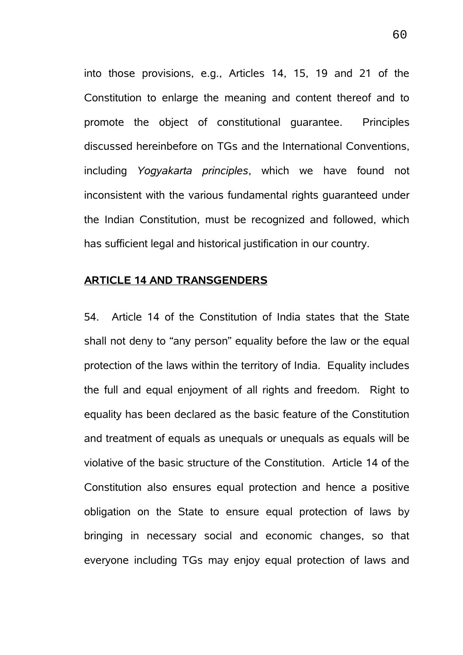into those provisions, e.g., Articles 14, 15, 19 and 21 of the Constitution to enlarge the meaning and content thereof and to promote the object of constitutional guarantee. Principles discussed hereinbefore on TGs and the International Conventions, including *Yogyakarta principles*, which we have found not inconsistent with the various fundamental rights guaranteed under the Indian Constitution, must be recognized and followed, which has sufficient legal and historical justification in our country.

#### **ARTICLE 14 AND TRANSGENDERS**

54. Article 14 of the Constitution of India states that the State shall not deny to "any person" equality before the law or the equal protection of the laws within the territory of India. Equality includes the full and equal enjoyment of all rights and freedom. Right to equality has been declared as the basic feature of the Constitution and treatment of equals as unequals or unequals as equals will be violative of the basic structure of the Constitution. Article 14 of the Constitution also ensures equal protection and hence a positive obligation on the State to ensure equal protection of laws by bringing in necessary social and economic changes, so that everyone including TGs may enjoy equal protection of laws and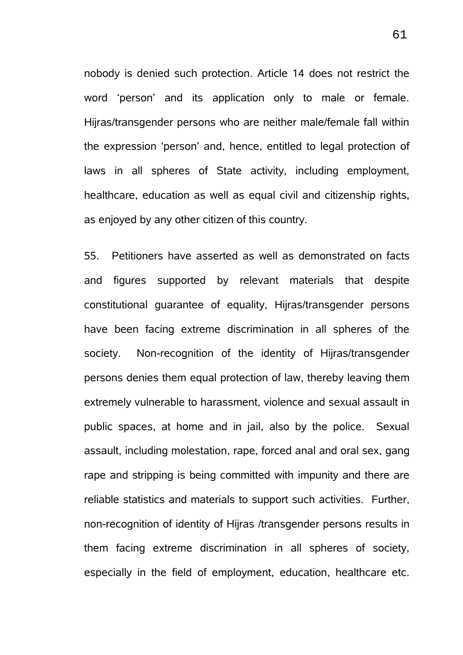nobody is denied such protection. Article 14 does not restrict the word 'person' and its application only to male or female. Hijras/transgender persons who are neither male/female fall within the expression 'person' and, hence, entitled to legal protection of laws in all spheres of State activity, including employment, healthcare, education as well as equal civil and citizenship rights, as enjoyed by any other citizen of this country.

55. Petitioners have asserted as well as demonstrated on facts and figures supported by relevant materials that despite constitutional guarantee of equality, Hijras/transgender persons have been facing extreme discrimination in all spheres of the society. Non-recognition of the identity of Hijras/transgender persons denies them equal protection of law, thereby leaving them extremely vulnerable to harassment, violence and sexual assault in public spaces, at home and in jail, also by the police. Sexual assault, including molestation, rape, forced anal and oral sex, gang rape and stripping is being committed with impunity and there are reliable statistics and materials to support such activities. Further, non-recognition of identity of Hijras /transgender persons results in them facing extreme discrimination in all spheres of society, especially in the field of employment, education, healthcare etc.

61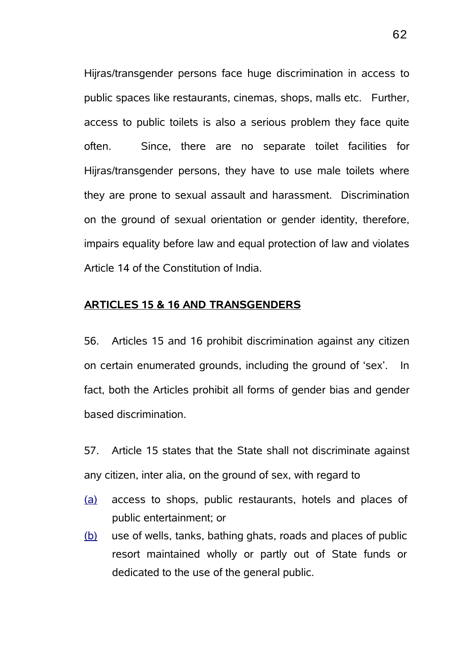Hijras/transgender persons face huge discrimination in access to public spaces like restaurants, cinemas, shops, malls etc. Further, access to public toilets is also a serious problem they face quite often. Since, there are no separate toilet facilities for Hijras/transgender persons, they have to use male toilets where they are prone to sexual assault and harassment. Discrimination on the ground of sexual orientation or gender identity, therefore, impairs equality before law and equal protection of law and violates Article 14 of the Constitution of India.

### **ARTICLES 15 & 16 AND TRANSGENDERS**

56. Articles 15 and 16 prohibit discrimination against any citizen on certain enumerated grounds, including the ground of 'sex'. In fact, both the Articles prohibit all forms of gender bias and gender based discrimination.

57. Article 15 states that the State shall not discriminate against any citizen, inter alia, on the ground of sex, with regard to

- [\(a\)](http://www.indiankanoon.org/doc/1732536/) access to shops, public restaurants, hotels and places of public entertainment; or
- [\(b\)](http://www.indiankanoon.org/doc/820476/) use of wells, tanks, bathing ghats, roads and places of public resort maintained wholly or partly out of State funds or dedicated to the use of the general public.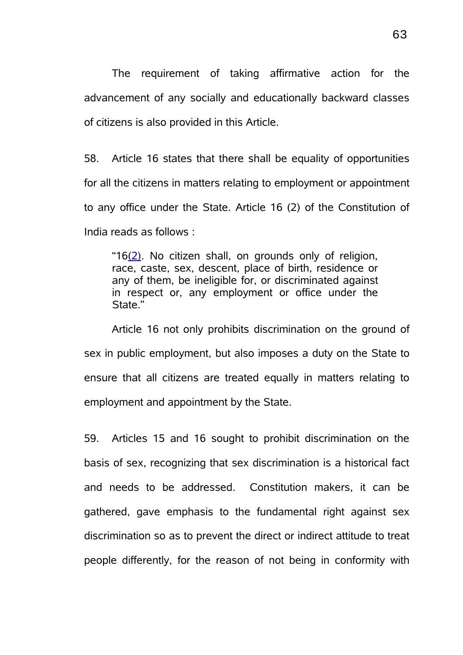The requirement of taking affirmative action for the advancement of any socially and educationally backward classes of citizens is also provided in this Article.

58. Article 16 states that there shall be equality of opportunities for all the citizens in matters relating to employment or appointment to any office under the State. Article 16 (2) of the Constitution of India reads as follows :

"1[6\(2\).](http://indiankanoon.org/doc/1011960/) No citizen shall, on grounds only of religion, race, caste, sex, descent, place of birth, residence or any of them, be ineligible for, or discriminated against in respect or, any employment or office under the State."

Article 16 not only prohibits discrimination on the ground of sex in public employment, but also imposes a duty on the State to ensure that all citizens are treated equally in matters relating to employment and appointment by the State.

59. Articles 15 and 16 sought to prohibit discrimination on the basis of sex, recognizing that sex discrimination is a historical fact and needs to be addressed. Constitution makers, it can be gathered, gave emphasis to the fundamental right against sex discrimination so as to prevent the direct or indirect attitude to treat people differently, for the reason of not being in conformity with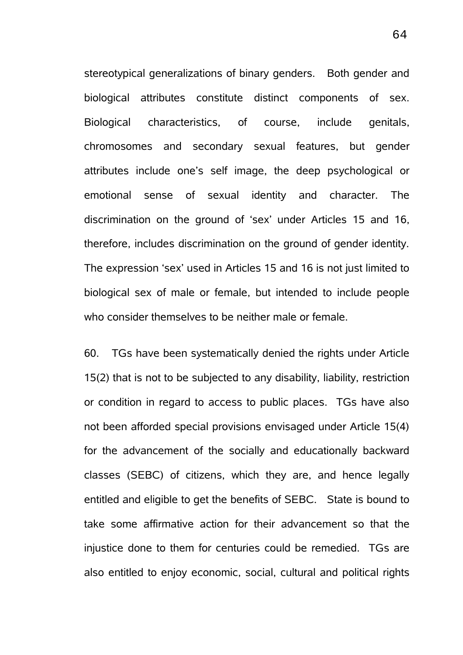stereotypical generalizations of binary genders. Both gender and biological attributes constitute distinct components of sex. Biological characteristics, of course, include genitals, chromosomes and secondary sexual features, but gender attributes include one's self image, the deep psychological or emotional sense of sexual identity and character. The discrimination on the ground of 'sex' under Articles 15 and 16, therefore, includes discrimination on the ground of gender identity. The expression 'sex' used in Articles 15 and 16 is not just limited to biological sex of male or female, but intended to include people who consider themselves to be neither male or female.

60. TGs have been systematically denied the rights under Article 15(2) that is not to be subjected to any disability, liability, restriction or condition in regard to access to public places. TGs have also not been afforded special provisions envisaged under Article 15(4) for the advancement of the socially and educationally backward classes (SEBC) of citizens, which they are, and hence legally entitled and eligible to get the benefits of SEBC. State is bound to take some affirmative action for their advancement so that the injustice done to them for centuries could be remedied. TGs are also entitled to enjoy economic, social, cultural and political rights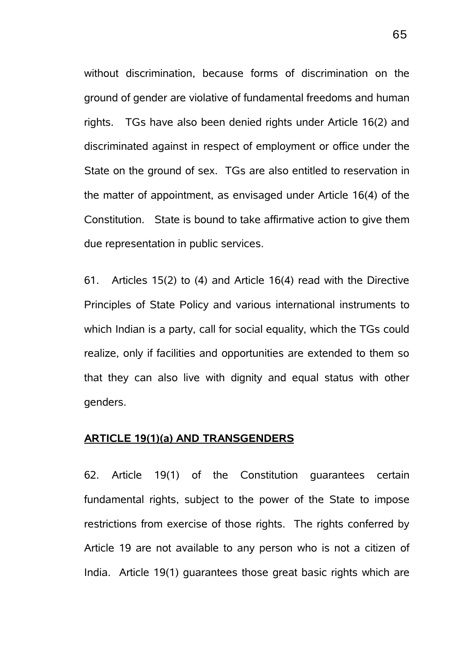without discrimination, because forms of discrimination on the ground of gender are violative of fundamental freedoms and human rights. TGs have also been denied rights under Article 16(2) and discriminated against in respect of employment or office under the State on the ground of sex. TGs are also entitled to reservation in the matter of appointment, as envisaged under Article 16(4) of the Constitution. State is bound to take affirmative action to give them due representation in public services.

61. Articles 15(2) to (4) and Article 16(4) read with the Directive Principles of State Policy and various international instruments to which Indian is a party, call for social equality, which the TGs could realize, only if facilities and opportunities are extended to them so that they can also live with dignity and equal status with other genders.

# **ARTICLE 19(1)(a) AND TRANSGENDERS**

62. Article 19(1) of the Constitution guarantees certain fundamental rights, subject to the power of the State to impose restrictions from exercise of those rights. The rights conferred by Article 19 are not available to any person who is not a citizen of India. Article 19(1) guarantees those great basic rights which are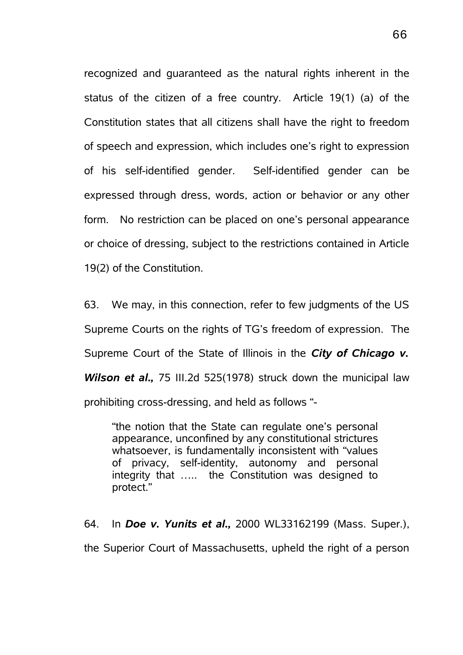recognized and guaranteed as the natural rights inherent in the status of the citizen of a free country. Article 19(1) (a) of the Constitution states that all citizens shall have the right to freedom of speech and expression, which includes one's right to expression of his self-identified gender. Self-identified gender can be expressed through dress, words, action or behavior or any other form. No restriction can be placed on one's personal appearance or choice of dressing, subject to the restrictions contained in Article 19(2) of the Constitution.

63. We may, in this connection, refer to few judgments of the US Supreme Courts on the rights of TG's freedom of expression. The Supreme Court of the State of Illinois in the *City of Chicago v. Wilson et al.,* 75 III.2d 525(1978) struck down the municipal law prohibiting cross-dressing, and held as follows "-

"the notion that the State can regulate one's personal appearance, unconfined by any constitutional strictures whatsoever, is fundamentally inconsistent with "values of privacy, self-identity, autonomy and personal integrity that ….. the Constitution was designed to protect."

64. In *Doe v. Yunits et al.,* 2000 WL33162199 (Mass. Super.), the Superior Court of Massachusetts, upheld the right of a person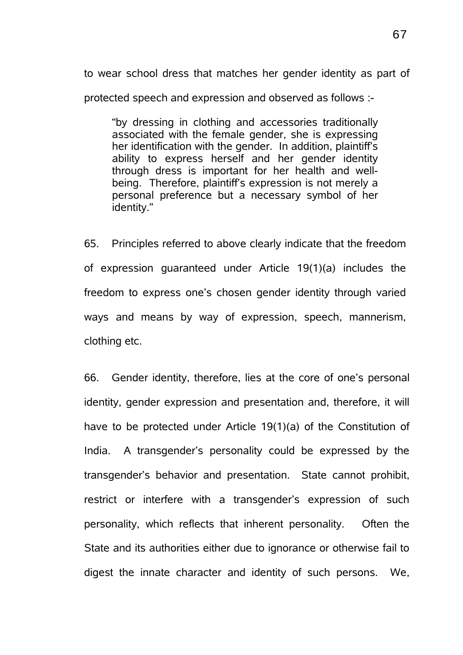to wear school dress that matches her gender identity as part of protected speech and expression and observed as follows :-

"by dressing in clothing and accessories traditionally associated with the female gender, she is expressing her identification with the gender. In addition, plaintiff's ability to express herself and her gender identity through dress is important for her health and wellbeing. Therefore, plaintiff's expression is not merely a personal preference but a necessary symbol of her identity."

65. Principles referred to above clearly indicate that the freedom of expression guaranteed under Article 19(1)(a) includes the freedom to express one's chosen gender identity through varied ways and means by way of expression, speech, mannerism, clothing etc.

66. Gender identity, therefore, lies at the core of one's personal identity, gender expression and presentation and, therefore, it will have to be protected under Article 19(1)(a) of the Constitution of India. A transgender's personality could be expressed by the transgender's behavior and presentation. State cannot prohibit, restrict or interfere with a transgender's expression of such personality, which reflects that inherent personality. Often the State and its authorities either due to ignorance or otherwise fail to digest the innate character and identity of such persons. We,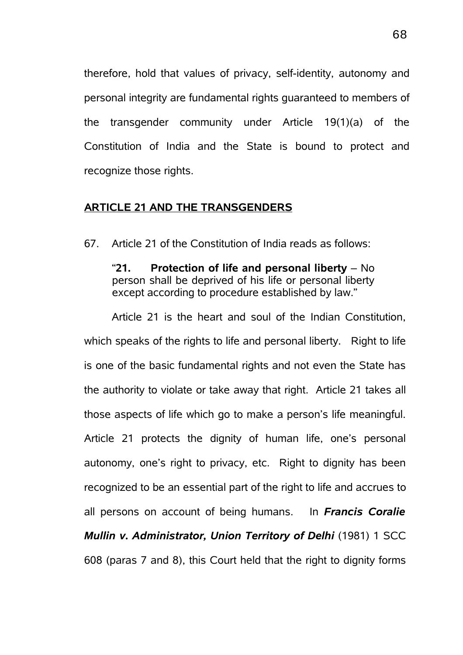therefore, hold that values of privacy, self-identity, autonomy and personal integrity are fundamental rights guaranteed to members of the transgender community under Article 19(1)(a) of the Constitution of India and the State is bound to protect and recognize those rights.

# **ARTICLE 21 AND THE TRANSGENDERS**

67. Article 21 of the Constitution of India reads as follows:

"**21. Protection of life and personal liberty** – No person shall be deprived of his life or personal liberty except according to procedure established by law."

Article 21 is the heart and soul of the Indian Constitution, which speaks of the rights to life and personal liberty. Right to life is one of the basic fundamental rights and not even the State has the authority to violate or take away that right. Article 21 takes all those aspects of life which go to make a person's life meaningful. Article 21 protects the dignity of human life, one's personal autonomy, one's right to privacy, etc. Right to dignity has been recognized to be an essential part of the right to life and accrues to all persons on account of being humans. In *Francis Coralie Mullin v. Administrator, Union Territory of Delhi* (1981) 1 SCC 608 (paras 7 and 8), this Court held that the right to dignity forms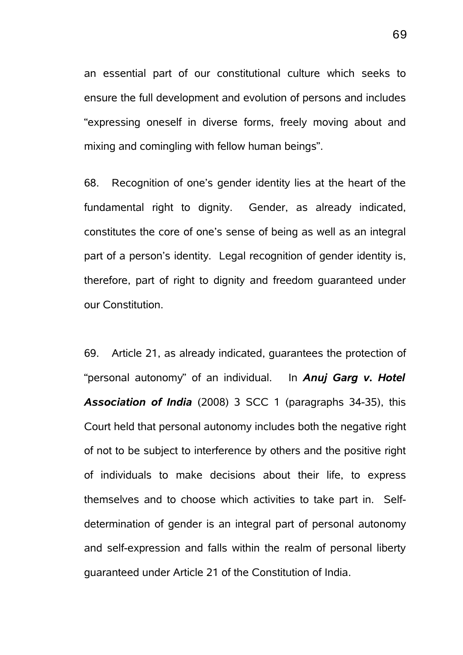an essential part of our constitutional culture which seeks to ensure the full development and evolution of persons and includes "expressing oneself in diverse forms, freely moving about and mixing and comingling with fellow human beings".

68. Recognition of one's gender identity lies at the heart of the fundamental right to dignity. Gender, as already indicated, constitutes the core of one's sense of being as well as an integral part of a person's identity. Legal recognition of gender identity is, therefore, part of right to dignity and freedom guaranteed under our Constitution.

69. Article 21, as already indicated, guarantees the protection of "personal autonomy" of an individual. In *Anuj Garg v. Hotel Association of India* (2008) 3 SCC 1 (paragraphs 34-35), this Court held that personal autonomy includes both the negative right of not to be subject to interference by others and the positive right of individuals to make decisions about their life, to express themselves and to choose which activities to take part in. Selfdetermination of gender is an integral part of personal autonomy and self-expression and falls within the realm of personal liberty guaranteed under Article 21 of the Constitution of India.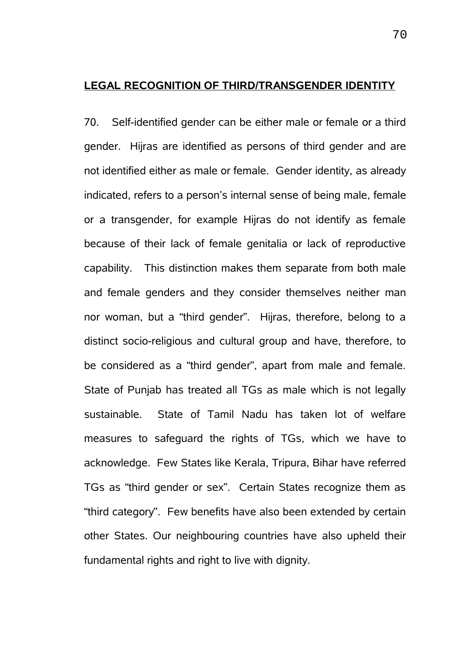### **LEGAL RECOGNITION OF THIRD/TRANSGENDER IDENTITY**

70. Self-identified gender can be either male or female or a third gender. Hijras are identified as persons of third gender and are not identified either as male or female. Gender identity, as already indicated, refers to a person's internal sense of being male, female or a transgender, for example Hijras do not identify as female because of their lack of female genitalia or lack of reproductive capability. This distinction makes them separate from both male and female genders and they consider themselves neither man nor woman, but a "third gender". Hijras, therefore, belong to a distinct socio-religious and cultural group and have, therefore, to be considered as a "third gender", apart from male and female. State of Punjab has treated all TGs as male which is not legally sustainable. State of Tamil Nadu has taken lot of welfare measures to safeguard the rights of TGs, which we have to acknowledge. Few States like Kerala, Tripura, Bihar have referred TGs as "third gender or sex". Certain States recognize them as "third category". Few benefits have also been extended by certain other States. Our neighbouring countries have also upheld their fundamental rights and right to live with dignity.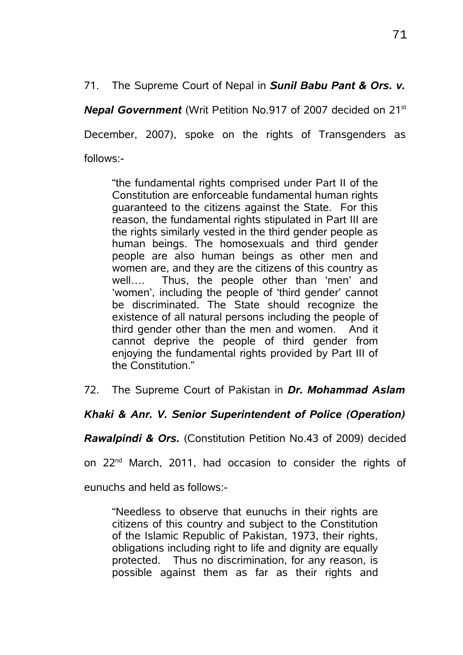71. The Supreme Court of Nepal in *Sunil Babu Pant & Ors. v.*

*Nepal Government* (Writ Petition No.917 of 2007 decided on 21<sup>st</sup>

December, 2007), spoke on the rights of Transgenders as follows:-

"the fundamental rights comprised under Part II of the Constitution are enforceable fundamental human rights guaranteed to the citizens against the State. For this reason, the fundamental rights stipulated in Part III are the rights similarly vested in the third gender people as human beings. The homosexuals and third gender people are also human beings as other men and women are, and they are the citizens of this country as well…. Thus, the people other than 'men' and 'women', including the people of 'third gender' cannot be discriminated. The State should recognize the existence of all natural persons including the people of third gender other than the men and women. And it cannot deprive the people of third gender from enjoying the fundamental rights provided by Part III of the Constitution."

72. The Supreme Court of Pakistan in *Dr. Mohammad Aslam*

# *Khaki & Anr. V. Senior Superintendent of Police (Operation)*

*Rawalpindi & Ors.* (Constitution Petition No.43 of 2009) decided

on 22nd March, 2011, had occasion to consider the rights of

eunuchs and held as follows:-

"Needless to observe that eunuchs in their rights are citizens of this country and subject to the Constitution of the Islamic Republic of Pakistan, 1973, their rights, obligations including right to life and dignity are equally protected. Thus no discrimination, for any reason, is possible against them as far as their rights and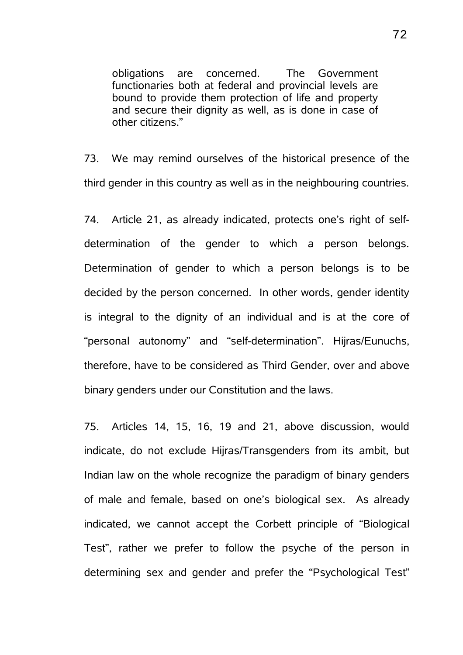obligations are concerned. The Government functionaries both at federal and provincial levels are bound to provide them protection of life and property and secure their dignity as well, as is done in case of other citizens."

73. We may remind ourselves of the historical presence of the third gender in this country as well as in the neighbouring countries.

74. Article 21, as already indicated, protects one's right of selfdetermination of the gender to which a person belongs. Determination of gender to which a person belongs is to be decided by the person concerned. In other words, gender identity is integral to the dignity of an individual and is at the core of "personal autonomy" and "self-determination". Hijras/Eunuchs, therefore, have to be considered as Third Gender, over and above binary genders under our Constitution and the laws.

75. Articles 14, 15, 16, 19 and 21, above discussion, would indicate, do not exclude Hijras/Transgenders from its ambit, but Indian law on the whole recognize the paradigm of binary genders of male and female, based on one's biological sex. As already indicated, we cannot accept the Corbett principle of "Biological Test", rather we prefer to follow the psyche of the person in determining sex and gender and prefer the "Psychological Test"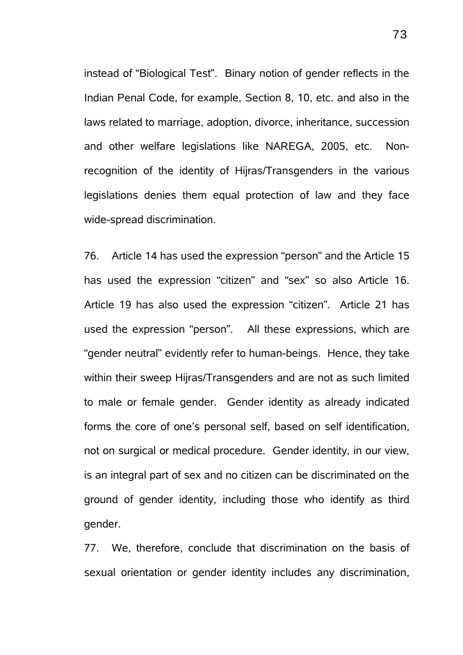instead of "Biological Test". Binary notion of gender reflects in the Indian Penal Code, for example, Section 8, 10, etc. and also in the laws related to marriage, adoption, divorce, inheritance, succession and other welfare legislations like NAREGA, 2005, etc. Nonrecognition of the identity of Hijras/Transgenders in the various legislations denies them equal protection of law and they face wide-spread discrimination.

76. Article 14 has used the expression "person" and the Article 15 has used the expression "citizen" and "sex" so also Article 16. Article 19 has also used the expression "citizen". Article 21 has used the expression "person". All these expressions, which are "gender neutral" evidently refer to human-beings. Hence, they take within their sweep Hijras/Transgenders and are not as such limited to male or female gender. Gender identity as already indicated forms the core of one's personal self, based on self identification, not on surgical or medical procedure. Gender identity, in our view, is an integral part of sex and no citizen can be discriminated on the ground of gender identity, including those who identify as third gender.

77. We, therefore, conclude that discrimination on the basis of sexual orientation or gender identity includes any discrimination,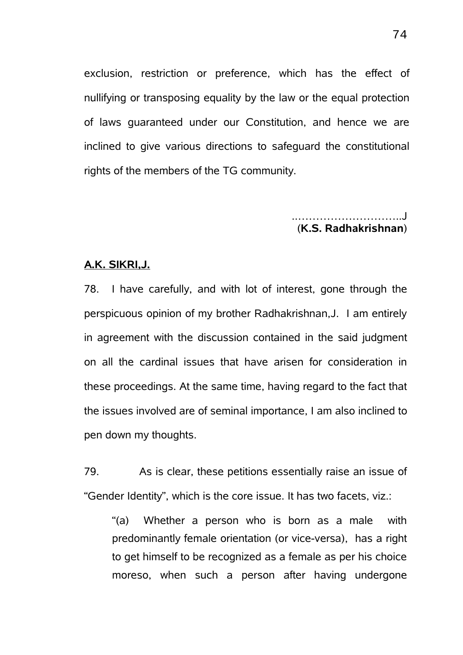exclusion, restriction or preference, which has the effect of nullifying or transposing equality by the law or the equal protection of laws guaranteed under our Constitution, and hence we are inclined to give various directions to safeguard the constitutional rights of the members of the TG community.

## ..………………………..J (**K.S. Radhakrishnan**)

## **A.K. SIKRI,J.**

78. I have carefully, and with lot of interest, gone through the perspicuous opinion of my brother Radhakrishnan,J. I am entirely in agreement with the discussion contained in the said judgment on all the cardinal issues that have arisen for consideration in these proceedings. At the same time, having regard to the fact that the issues involved are of seminal importance, I am also inclined to pen down my thoughts.

79. As is clear, these petitions essentially raise an issue of "Gender Identity", which is the core issue. It has two facets, viz.:

"(a) Whether a person who is born as a male with predominantly female orientation (or vice-versa), has a right to get himself to be recognized as a female as per his choice moreso, when such a person after having undergone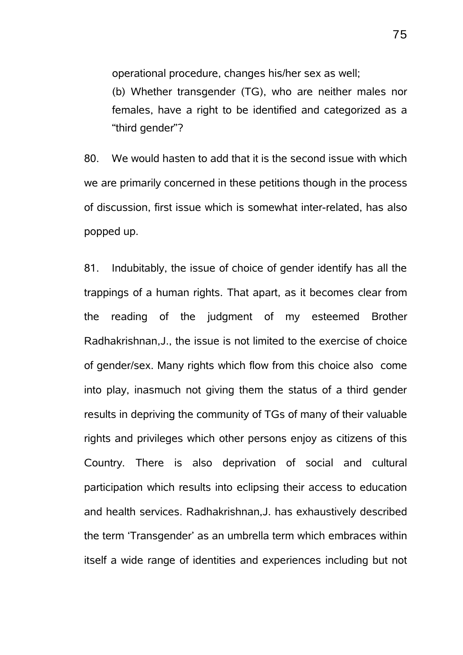operational procedure, changes his/her sex as well;

(b) Whether transgender (TG), who are neither males nor females, have a right to be identified and categorized as a "third gender"?

80. We would hasten to add that it is the second issue with which we are primarily concerned in these petitions though in the process of discussion, first issue which is somewhat inter-related, has also popped up.

81. Indubitably, the issue of choice of gender identify has all the trappings of a human rights. That apart, as it becomes clear from the reading of the judgment of my esteemed Brother Radhakrishnan,J., the issue is not limited to the exercise of choice of gender/sex. Many rights which flow from this choice also come into play, inasmuch not giving them the status of a third gender results in depriving the community of TGs of many of their valuable rights and privileges which other persons enjoy as citizens of this Country. There is also deprivation of social and cultural participation which results into eclipsing their access to education and health services. Radhakrishnan,J. has exhaustively described the term 'Transgender' as an umbrella term which embraces within itself a wide range of identities and experiences including but not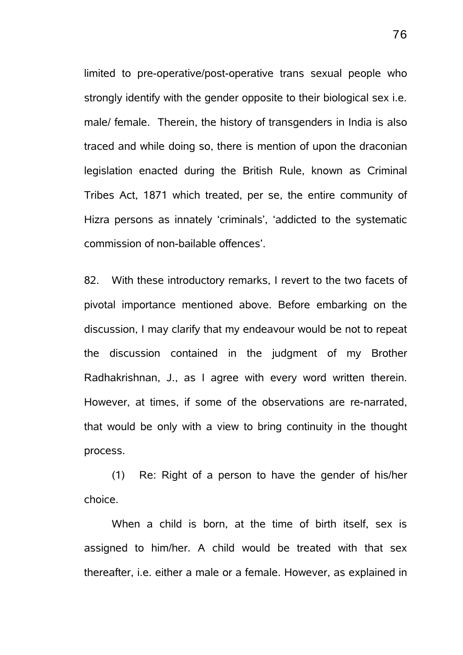limited to pre-operative/post-operative trans sexual people who strongly identify with the gender opposite to their biological sex i.e. male/ female. Therein, the history of transgenders in India is also traced and while doing so, there is mention of upon the draconian legislation enacted during the British Rule, known as Criminal Tribes Act, 1871 which treated, per se, the entire community of Hizra persons as innately 'criminals', 'addicted to the systematic commission of non-bailable offences'.

82. With these introductory remarks, I revert to the two facets of pivotal importance mentioned above. Before embarking on the discussion, I may clarify that my endeavour would be not to repeat the discussion contained in the judgment of my Brother Radhakrishnan, J., as I agree with every word written therein. However, at times, if some of the observations are re-narrated, that would be only with a view to bring continuity in the thought process.

(1) Re: Right of a person to have the gender of his/her choice.

When a child is born, at the time of birth itself, sex is assigned to him/her. A child would be treated with that sex thereafter, i.e. either a male or a female. However, as explained in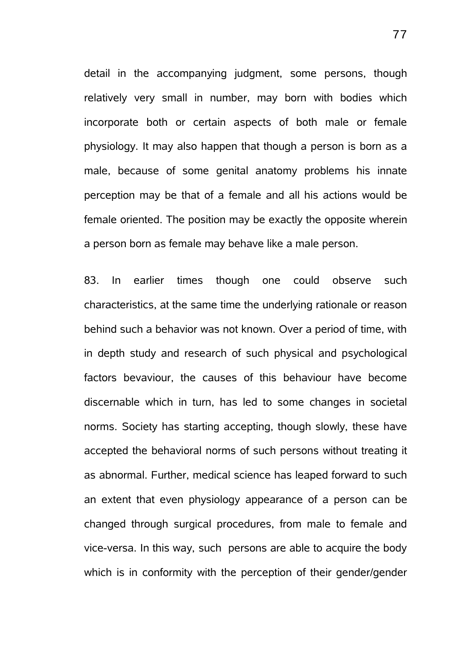detail in the accompanying judgment, some persons, though relatively very small in number, may born with bodies which incorporate both or certain aspects of both male or female physiology. It may also happen that though a person is born as a male, because of some genital anatomy problems his innate perception may be that of a female and all his actions would be female oriented. The position may be exactly the opposite wherein a person born as female may behave like a male person.

83. In earlier times though one could observe such characteristics, at the same time the underlying rationale or reason behind such a behavior was not known. Over a period of time, with in depth study and research of such physical and psychological factors bevaviour, the causes of this behaviour have become discernable which in turn, has led to some changes in societal norms. Society has starting accepting, though slowly, these have accepted the behavioral norms of such persons without treating it as abnormal. Further, medical science has leaped forward to such an extent that even physiology appearance of a person can be changed through surgical procedures, from male to female and vice-versa. In this way, such persons are able to acquire the body which is in conformity with the perception of their gender/gender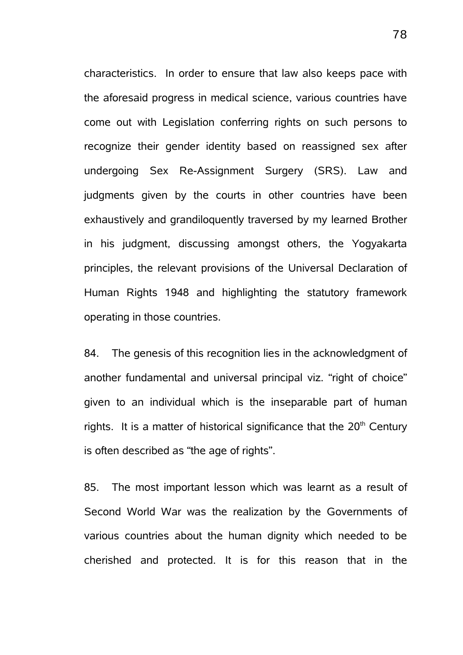characteristics. In order to ensure that law also keeps pace with the aforesaid progress in medical science, various countries have come out with Legislation conferring rights on such persons to recognize their gender identity based on reassigned sex after undergoing Sex Re-Assignment Surgery (SRS). Law and judgments given by the courts in other countries have been exhaustively and grandiloquently traversed by my learned Brother in his judgment, discussing amongst others, the Yogyakarta principles, the relevant provisions of the Universal Declaration of Human Rights 1948 and highlighting the statutory framework operating in those countries.

84. The genesis of this recognition lies in the acknowledgment of another fundamental and universal principal viz. "right of choice" given to an individual which is the inseparable part of human rights. It is a matter of historical significance that the  $20<sup>th</sup>$  Century is often described as "the age of rights".

85. The most important lesson which was learnt as a result of Second World War was the realization by the Governments of various countries about the human dignity which needed to be cherished and protected. It is for this reason that in the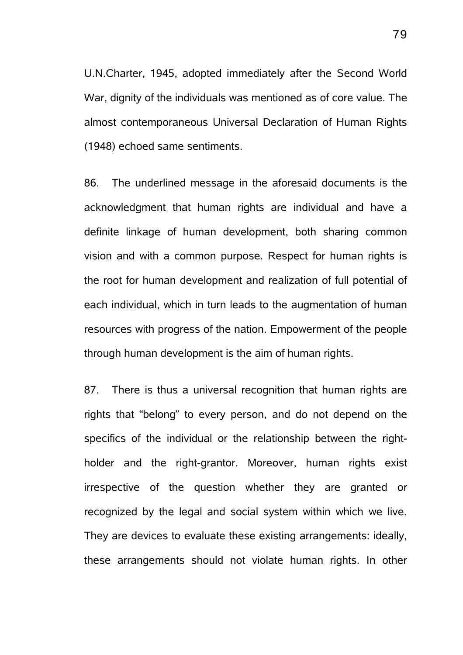U.N.Charter, 1945, adopted immediately after the Second World War, dignity of the individuals was mentioned as of core value. The almost contemporaneous Universal Declaration of Human Rights (1948) echoed same sentiments.

86. The underlined message in the aforesaid documents is the acknowledgment that human rights are individual and have a definite linkage of human development, both sharing common vision and with a common purpose. Respect for human rights is the root for human development and realization of full potential of each individual, which in turn leads to the augmentation of human resources with progress of the nation. Empowerment of the people through human development is the aim of human rights.

87. There is thus a universal recognition that human rights are rights that "belong" to every person, and do not depend on the specifics of the individual or the relationship between the rightholder and the right-grantor. Moreover, human rights exist irrespective of the question whether they are granted or recognized by the legal and social system within which we live. They are devices to evaluate these existing arrangements: ideally, these arrangements should not violate human rights. In other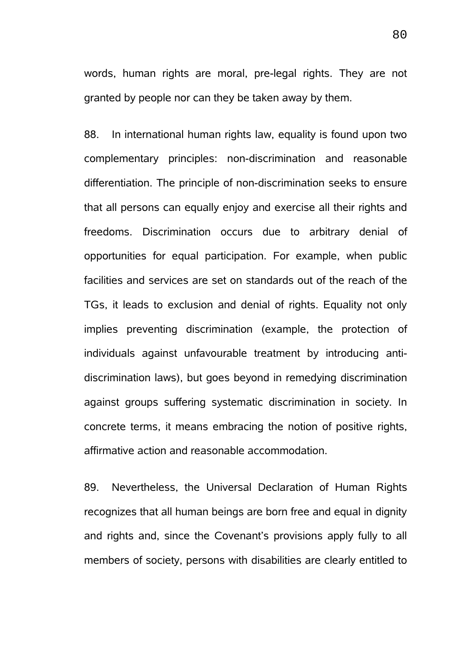words, human rights are moral, pre-legal rights. They are not granted by people nor can they be taken away by them.

88. In international human rights law, equality is found upon two complementary principles: non-discrimination and reasonable differentiation. The principle of non-discrimination seeks to ensure that all persons can equally enjoy and exercise all their rights and freedoms. Discrimination occurs due to arbitrary denial of opportunities for equal participation. For example, when public facilities and services are set on standards out of the reach of the TGs, it leads to exclusion and denial of rights. Equality not only implies preventing discrimination (example, the protection of individuals against unfavourable treatment by introducing antidiscrimination laws), but goes beyond in remedying discrimination against groups suffering systematic discrimination in society. In concrete terms, it means embracing the notion of positive rights, affirmative action and reasonable accommodation.

89. Nevertheless, the Universal Declaration of Human Rights recognizes that all human beings are born free and equal in dignity and rights and, since the Covenant's provisions apply fully to all members of society, persons with disabilities are clearly entitled to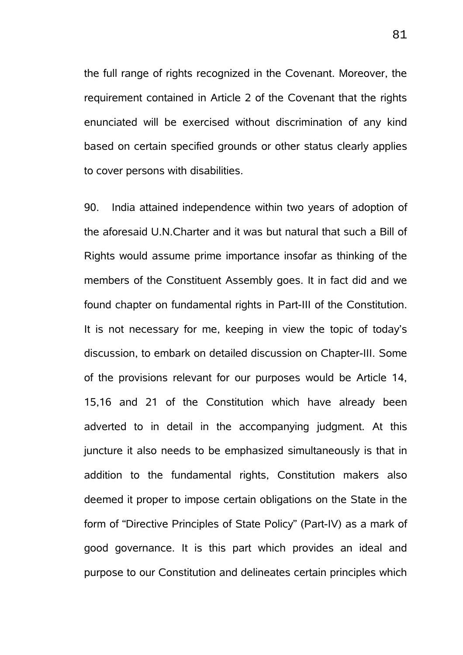the full range of rights recognized in the Covenant. Moreover, the requirement contained in Article 2 of the Covenant that the rights enunciated will be exercised without discrimination of any kind based on certain specified grounds or other status clearly applies to cover persons with disabilities.

90. India attained independence within two years of adoption of the aforesaid U.N.Charter and it was but natural that such a Bill of Rights would assume prime importance insofar as thinking of the members of the Constituent Assembly goes. It in fact did and we found chapter on fundamental rights in Part-III of the Constitution. It is not necessary for me, keeping in view the topic of today's discussion, to embark on detailed discussion on Chapter-III. Some of the provisions relevant for our purposes would be Article 14, 15,16 and 21 of the Constitution which have already been adverted to in detail in the accompanying judgment. At this juncture it also needs to be emphasized simultaneously is that in addition to the fundamental rights, Constitution makers also deemed it proper to impose certain obligations on the State in the form of "Directive Principles of State Policy" (Part-IV) as a mark of good governance. It is this part which provides an ideal and purpose to our Constitution and delineates certain principles which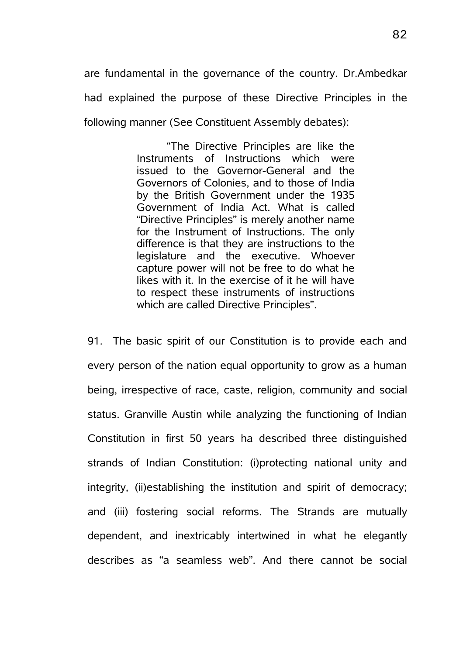are fundamental in the governance of the country. Dr.Ambedkar had explained the purpose of these Directive Principles in the following manner (See Constituent Assembly debates):

> "The Directive Principles are like the Instruments of Instructions which were issued to the Governor-General and the Governors of Colonies, and to those of India by the British Government under the 1935 Government of India Act. What is called "Directive Principles" is merely another name for the Instrument of Instructions. The only difference is that they are instructions to the legislature and the executive. Whoever capture power will not be free to do what he likes with it. In the exercise of it he will have to respect these instruments of instructions which are called Directive Principles".

91. The basic spirit of our Constitution is to provide each and every person of the nation equal opportunity to grow as a human being, irrespective of race, caste, religion, community and social status. Granville Austin while analyzing the functioning of Indian Constitution in first 50 years ha described three distinguished strands of Indian Constitution: (i)protecting national unity and integrity, (ii)establishing the institution and spirit of democracy; and (iii) fostering social reforms. The Strands are mutually dependent, and inextricably intertwined in what he elegantly describes as "a seamless web". And there cannot be social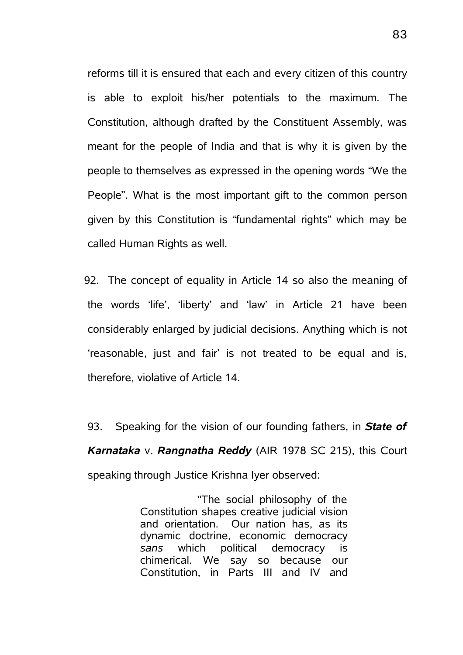reforms till it is ensured that each and every citizen of this country is able to exploit his/her potentials to the maximum. The Constitution, although drafted by the Constituent Assembly, was meant for the people of India and that is why it is given by the people to themselves as expressed in the opening words "We the People". What is the most important gift to the common person given by this Constitution is "fundamental rights" which may be called Human Rights as well.

92. The concept of equality in Article 14 so also the meaning of the words 'life', 'liberty' and 'law' in Article 21 have been considerably enlarged by judicial decisions. Anything which is not 'reasonable, just and fair' is not treated to be equal and is, therefore, violative of Article 14.

93. Speaking for the vision of our founding fathers, in *State of Karnataka* v. *Rangnatha Reddy* (AIR 1978 SC 215), this Court speaking through Justice Krishna Iyer observed:

> "The social philosophy of the Constitution shapes creative judicial vision and orientation. Our nation has, as its dynamic doctrine, economic democracy *sans* which political democracy is chimerical. We say so because our Constitution, in Parts III and IV and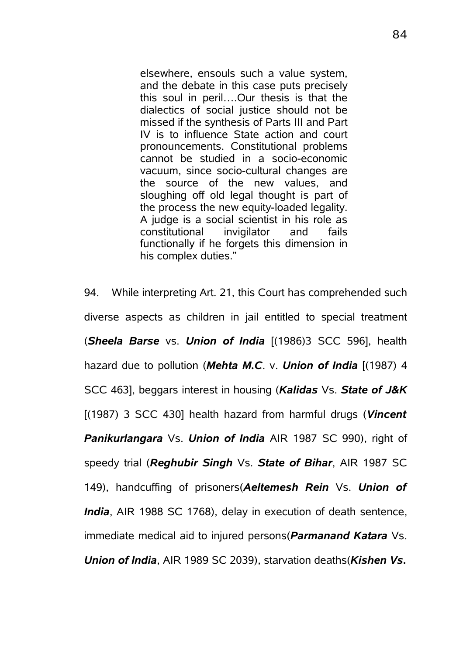elsewhere, ensouls such a value system, and the debate in this case puts precisely this soul in peril….Our thesis is that the dialectics of social justice should not be missed if the synthesis of Parts III and Part IV is to influence State action and court pronouncements. Constitutional problems cannot be studied in a socio-economic vacuum, since socio-cultural changes are the source of the new values, and sloughing off old legal thought is part of the process the new equity-loaded legality. A judge is a social scientist in his role as constitutional invigilator and fails functionally if he forgets this dimension in his complex duties."

94. While interpreting Art. 21, this Court has comprehended such diverse aspects as children in jail entitled to special treatment (*Sheela Barse* vs. *Union of India* [(1986)3 SCC 596], health hazard due to pollution (*Mehta M.C*. v. *Union of India* [(1987) 4 SCC 463], beggars interest in housing (*Kalidas* Vs. *State of J&K* [(1987) 3 SCC 430] health hazard from harmful drugs (*Vincent Panikurlangara* Vs. *Union of India* AIR 1987 SC 990), right of speedy trial (*Reghubir Singh* Vs. *State of Bihar*, AIR 1987 SC 149), handcuffing of prisoners(*Aeltemesh Rein* Vs. *Union of India*, AIR 1988 SC 1768), delay in execution of death sentence, immediate medical aid to injured persons(*Parmanand Katara* Vs. *Union of India*, AIR 1989 SC 2039), starvation deaths(*Kishen Vs.*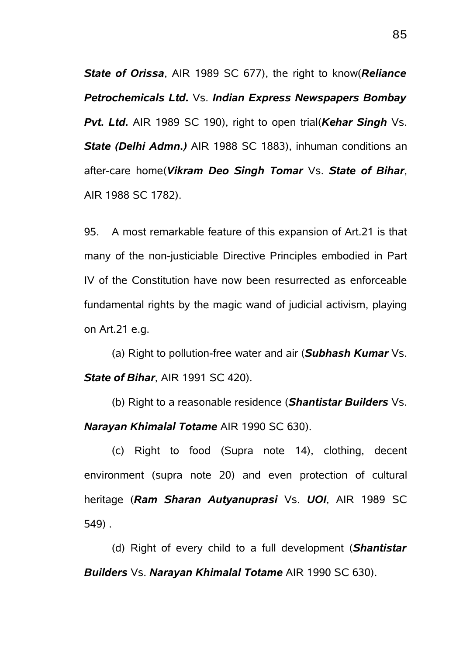*State of Orissa*, AIR 1989 SC 677), the right to know(*Reliance Petrochemicals Ltd.* Vs. *Indian Express Newspapers Bombay Pvt. Ltd.* AIR 1989 SC 190), right to open trial(*Kehar Singh* Vs. *State (Delhi Admn.)* AIR 1988 SC 1883), inhuman conditions an after-care home(*Vikram Deo Singh Tomar* Vs. *State of Bihar*, AIR 1988 SC 1782).

95. A most remarkable feature of this expansion of Art.21 is that many of the non-justiciable Directive Principles embodied in Part IV of the Constitution have now been resurrected as enforceable fundamental rights by the magic wand of judicial activism, playing on Art.21 e.g.

(a) Right to pollution-free water and air (*Subhash Kumar* Vs. *State of Bihar*, AIR 1991 SC 420).

(b) Right to a reasonable residence (*Shantistar Builders* Vs. *Narayan Khimalal Totame* AIR 1990 SC 630).

(c) Right to food (Supra note 14), clothing, decent environment (supra note 20) and even protection of cultural heritage (*Ram Sharan Autyanuprasi* Vs. *UOI*, AIR 1989 SC 549) .

(d) Right of every child to a full development (*Shantistar Builders* Vs. *Narayan Khimalal Totame* AIR 1990 SC 630).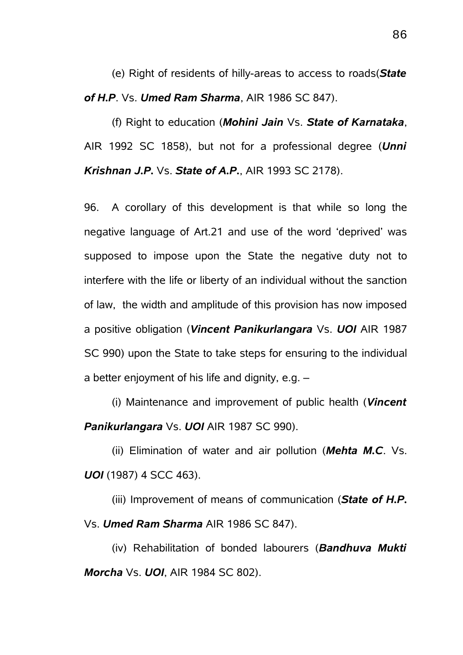(e) Right of residents of hilly-areas to access to roads(*State of H.P*. Vs. *Umed Ram Sharma*, AIR 1986 SC 847).

(f) Right to education (*Mohini Jain* Vs. *State of Karnataka*, AIR 1992 SC 1858), but not for a professional degree (*Unni Krishnan J.P.* Vs. *State of A.P.*, AIR 1993 SC 2178).

96. A corollary of this development is that while so long the negative language of Art.21 and use of the word 'deprived' was supposed to impose upon the State the negative duty not to interfere with the life or liberty of an individual without the sanction of law, the width and amplitude of this provision has now imposed a positive obligation (*Vincent Panikurlangara* Vs. *UOI* AIR 1987 SC 990) upon the State to take steps for ensuring to the individual a better enjoyment of his life and dignity, e.g. –

(i) Maintenance and improvement of public health (*Vincent Panikurlangara* Vs. *UOI* AIR 1987 SC 990).

(ii) Elimination of water and air pollution (*Mehta M.C*. Vs. *UOI* (1987) 4 SCC 463).

(iii) Improvement of means of communication (*State of H.P.* Vs. *Umed Ram Sharma* AIR 1986 SC 847).

(iv) Rehabilitation of bonded labourers (*Bandhuva Mukti Morcha* Vs. *UOI*, AIR 1984 SC 802).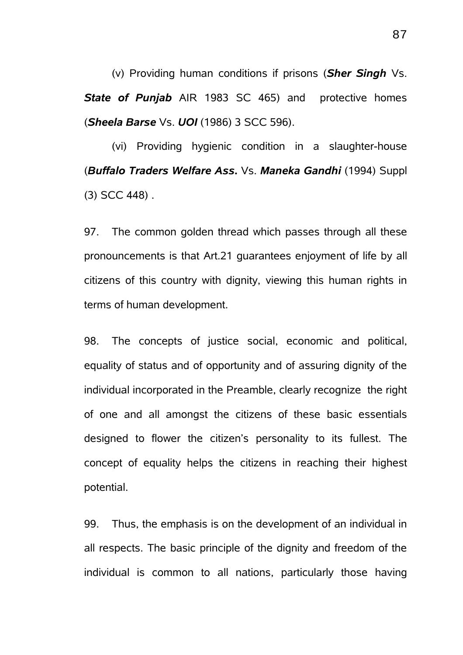(v) Providing human conditions if prisons (*Sher Singh* Vs. **State of Punjab** AIR 1983 SC 465) and protective homes (*Sheela Barse* Vs. *UOI* (1986) 3 SCC 596).

(vi) Providing hygienic condition in a slaughter-house (*Buffalo Traders Welfare Ass.* Vs. *Maneka Gandhi* (1994) Suppl (3) SCC 448) .

97. The common golden thread which passes through all these pronouncements is that Art.21 guarantees enjoyment of life by all citizens of this country with dignity, viewing this human rights in terms of human development.

98. The concepts of justice social, economic and political, equality of status and of opportunity and of assuring dignity of the individual incorporated in the Preamble, clearly recognize the right of one and all amongst the citizens of these basic essentials designed to flower the citizen's personality to its fullest. The concept of equality helps the citizens in reaching their highest potential.

99. Thus, the emphasis is on the development of an individual in all respects. The basic principle of the dignity and freedom of the individual is common to all nations, particularly those having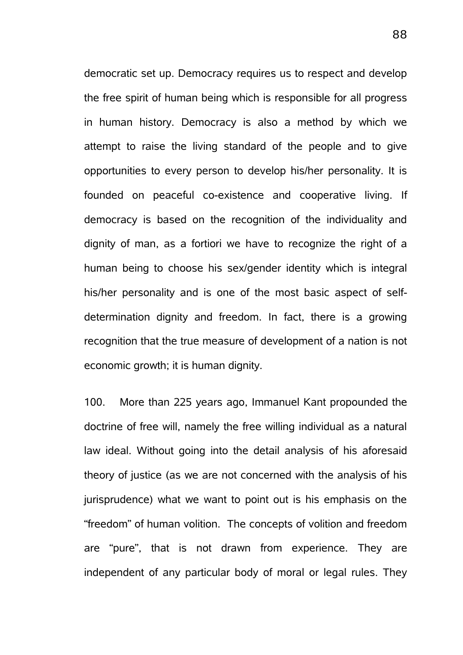democratic set up. Democracy requires us to respect and develop the free spirit of human being which is responsible for all progress in human history. Democracy is also a method by which we attempt to raise the living standard of the people and to give opportunities to every person to develop his/her personality. It is founded on peaceful co-existence and cooperative living. If democracy is based on the recognition of the individuality and dignity of man, as a fortiori we have to recognize the right of a human being to choose his sex/gender identity which is integral his/her personality and is one of the most basic aspect of selfdetermination dignity and freedom. In fact, there is a growing recognition that the true measure of development of a nation is not economic growth; it is human dignity.

100. More than 225 years ago, Immanuel Kant propounded the doctrine of free will, namely the free willing individual as a natural law ideal. Without going into the detail analysis of his aforesaid theory of justice (as we are not concerned with the analysis of his jurisprudence) what we want to point out is his emphasis on the "freedom" of human volition. The concepts of volition and freedom are "pure", that is not drawn from experience. They are independent of any particular body of moral or legal rules. They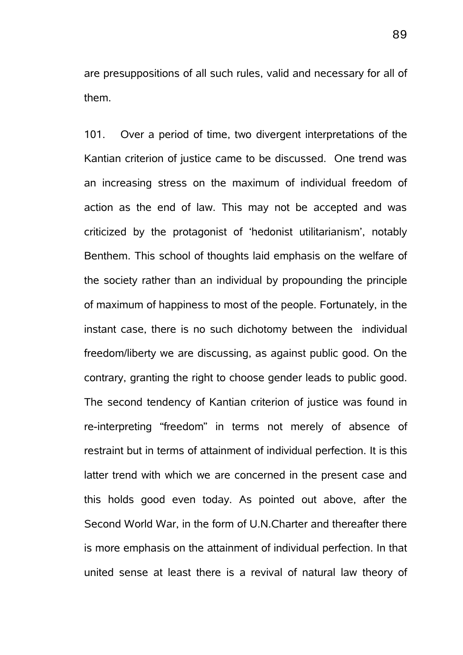are presuppositions of all such rules, valid and necessary for all of them.

101. Over a period of time, two divergent interpretations of the Kantian criterion of justice came to be discussed. One trend was an increasing stress on the maximum of individual freedom of action as the end of law. This may not be accepted and was criticized by the protagonist of 'hedonist utilitarianism', notably Benthem. This school of thoughts laid emphasis on the welfare of the society rather than an individual by propounding the principle of maximum of happiness to most of the people. Fortunately, in the instant case, there is no such dichotomy between the individual freedom/liberty we are discussing, as against public good. On the contrary, granting the right to choose gender leads to public good. The second tendency of Kantian criterion of justice was found in re-interpreting "freedom" in terms not merely of absence of restraint but in terms of attainment of individual perfection. It is this latter trend with which we are concerned in the present case and this holds good even today. As pointed out above, after the Second World War, in the form of U.N.Charter and thereafter there is more emphasis on the attainment of individual perfection. In that united sense at least there is a revival of natural law theory of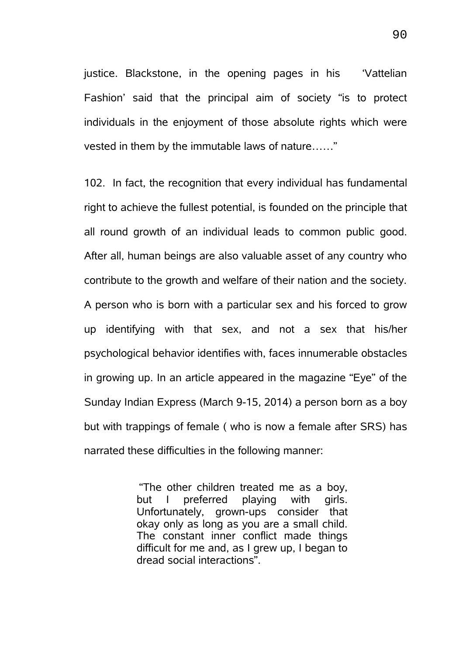justice. Blackstone, in the opening pages in his 'Vattelian Fashion' said that the principal aim of society "is to protect individuals in the enjoyment of those absolute rights which were vested in them by the immutable laws of nature……"

102. In fact, the recognition that every individual has fundamental right to achieve the fullest potential, is founded on the principle that all round growth of an individual leads to common public good. After all, human beings are also valuable asset of any country who contribute to the growth and welfare of their nation and the society. A person who is born with a particular sex and his forced to grow up identifying with that sex, and not a sex that his/her psychological behavior identifies with, faces innumerable obstacles in growing up. In an article appeared in the magazine "Eye" of the Sunday Indian Express (March 9-15, 2014) a person born as a boy but with trappings of female ( who is now a female after SRS) has narrated these difficulties in the following manner:

> "The other children treated me as a boy, but I preferred playing with girls. Unfortunately, grown-ups consider that okay only as long as you are a small child. The constant inner conflict made things difficult for me and, as I grew up, I began to dread social interactions".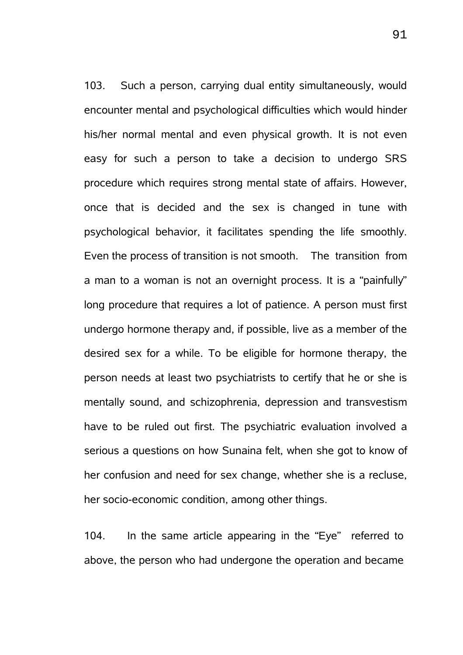103. Such a person, carrying dual entity simultaneously, would encounter mental and psychological difficulties which would hinder his/her normal mental and even physical growth. It is not even easy for such a person to take a decision to undergo SRS procedure which requires strong mental state of affairs. However, once that is decided and the sex is changed in tune with psychological behavior, it facilitates spending the life smoothly. Even the process of transition is not smooth. The transition from a man to a woman is not an overnight process. It is a "painfully" long procedure that requires a lot of patience. A person must first undergo hormone therapy and, if possible, live as a member of the desired sex for a while. To be eligible for hormone therapy, the person needs at least two psychiatrists to certify that he or she is mentally sound, and schizophrenia, depression and transvestism have to be ruled out first. The psychiatric evaluation involved a serious a questions on how Sunaina felt, when she got to know of her confusion and need for sex change, whether she is a recluse, her socio-economic condition, among other things.

104. In the same article appearing in the "Eye" referred to above, the person who had undergone the operation and became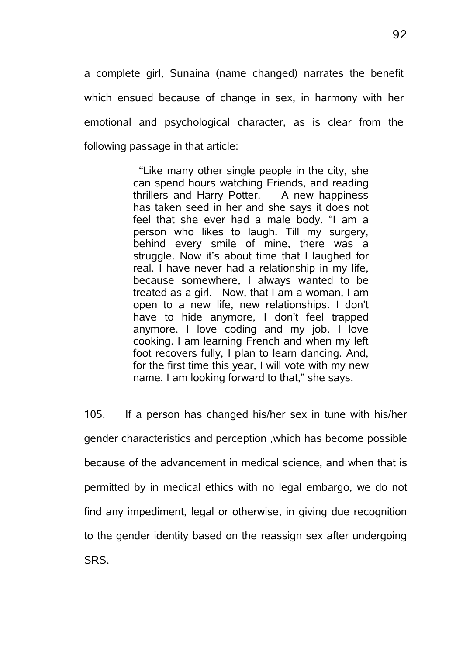a complete girl, Sunaina (name changed) narrates the benefit which ensued because of change in sex, in harmony with her emotional and psychological character, as is clear from the following passage in that article:

> "Like many other single people in the city, she can spend hours watching Friends, and reading thrillers and Harry Potter. A new happiness has taken seed in her and she says it does not feel that she ever had a male body. "I am a person who likes to laugh. Till my surgery, behind every smile of mine, there was a struggle. Now it's about time that I laughed for real. I have never had a relationship in my life, because somewhere, I always wanted to be treated as a girl. Now, that I am a woman, I am open to a new life, new relationships. I don't have to hide anymore, I don't feel trapped anymore. I love coding and my job. I love cooking. I am learning French and when my left foot recovers fully, I plan to learn dancing. And, for the first time this year, I will vote with my new name. I am looking forward to that," she says.

105. If a person has changed his/her sex in tune with his/her gender characteristics and perception ,which has become possible because of the advancement in medical science, and when that is permitted by in medical ethics with no legal embargo, we do not find any impediment, legal or otherwise, in giving due recognition to the gender identity based on the reassign sex after undergoing SRS.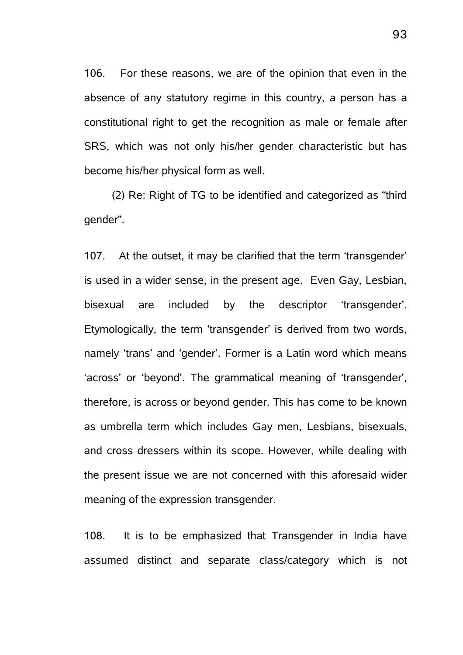106. For these reasons, we are of the opinion that even in the absence of any statutory regime in this country, a person has a constitutional right to get the recognition as male or female after SRS, which was not only his/her gender characteristic but has become his/her physical form as well.

(2) Re: Right of TG to be identified and categorized as "third gender".

107. At the outset, it may be clarified that the term 'transgender' is used in a wider sense, in the present age. Even Gay, Lesbian, bisexual are included by the descriptor 'transgender'. Etymologically, the term 'transgender' is derived from two words, namely 'trans' and 'gender'. Former is a Latin word which means 'across' or 'beyond'. The grammatical meaning of 'transgender', therefore, is across or beyond gender. This has come to be known as umbrella term which includes Gay men, Lesbians, bisexuals, and cross dressers within its scope. However, while dealing with the present issue we are not concerned with this aforesaid wider meaning of the expression transgender.

108. It is to be emphasized that Transgender in India have assumed distinct and separate class/category which is not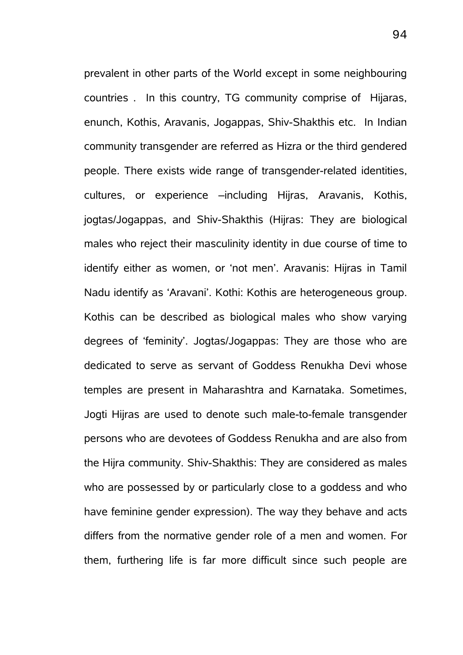prevalent in other parts of the World except in some neighbouring countries . In this country, TG community comprise of Hijaras, enunch, Kothis, Aravanis, Jogappas, Shiv-Shakthis etc. In Indian community transgender are referred as Hizra or the third gendered people. There exists wide range of transgender-related identities, cultures, or experience –including Hijras, Aravanis, Kothis, jogtas/Jogappas, and Shiv-Shakthis (Hijras: They are biological males who reject their masculinity identity in due course of time to identify either as women, or 'not men'. Aravanis: Hijras in Tamil Nadu identify as 'Aravani'. Kothi: Kothis are heterogeneous group. Kothis can be described as biological males who show varying degrees of 'feminity'. Jogtas/Jogappas: They are those who are dedicated to serve as servant of Goddess Renukha Devi whose temples are present in Maharashtra and Karnataka. Sometimes, Jogti Hijras are used to denote such male-to-female transgender persons who are devotees of Goddess Renukha and are also from the Hijra community. Shiv-Shakthis: They are considered as males who are possessed by or particularly close to a goddess and who have feminine gender expression). The way they behave and acts differs from the normative gender role of a men and women. For them, furthering life is far more difficult since such people are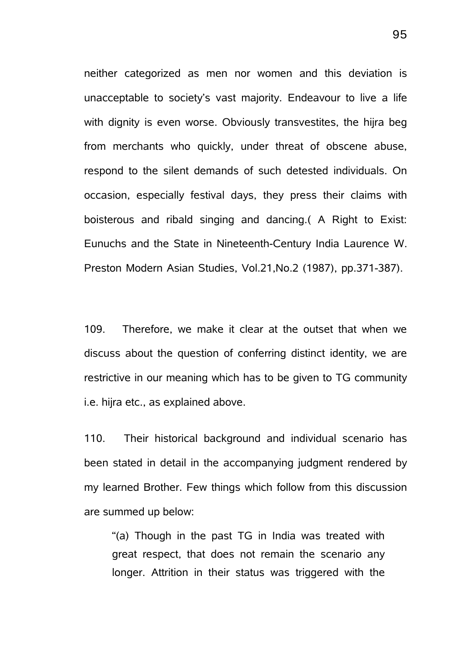neither categorized as men nor women and this deviation is unacceptable to society's vast majority. Endeavour to live a life with dignity is even worse. Obviously transvestites, the hijra beg from merchants who quickly, under threat of obscene abuse, respond to the silent demands of such detested individuals. On occasion, especially festival days, they press their claims with boisterous and ribald singing and dancing.( A Right to Exist: Eunuchs and the State in Nineteenth-Century India Laurence W. Preston Modern Asian Studies, Vol.21,No.2 (1987), pp.371-387).

109. Therefore, we make it clear at the outset that when we discuss about the question of conferring distinct identity, we are restrictive in our meaning which has to be given to TG community i.e. hijra etc., as explained above.

110. Their historical background and individual scenario has been stated in detail in the accompanying judgment rendered by my learned Brother. Few things which follow from this discussion are summed up below:

"(a) Though in the past TG in India was treated with great respect, that does not remain the scenario any longer. Attrition in their status was triggered with the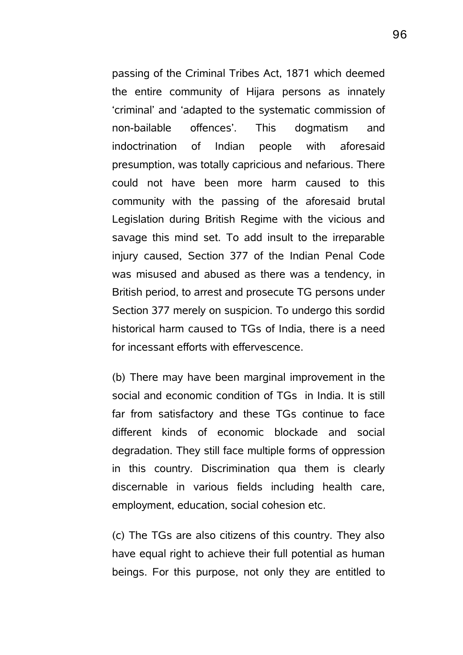passing of the Criminal Tribes Act, 1871 which deemed the entire community of Hijara persons as innately 'criminal' and 'adapted to the systematic commission of non-bailable offences'. This dogmatism and indoctrination of Indian people with aforesaid presumption, was totally capricious and nefarious. There could not have been more harm caused to this community with the passing of the aforesaid brutal Legislation during British Regime with the vicious and savage this mind set. To add insult to the irreparable injury caused, Section 377 of the Indian Penal Code was misused and abused as there was a tendency, in British period, to arrest and prosecute TG persons under Section 377 merely on suspicion. To undergo this sordid historical harm caused to TGs of India, there is a need for incessant efforts with effervescence.

(b) There may have been marginal improvement in the social and economic condition of TGs in India. It is still far from satisfactory and these TGs continue to face different kinds of economic blockade and social degradation. They still face multiple forms of oppression in this country. Discrimination qua them is clearly discernable in various fields including health care, employment, education, social cohesion etc.

(c) The TGs are also citizens of this country. They also have equal right to achieve their full potential as human beings. For this purpose, not only they are entitled to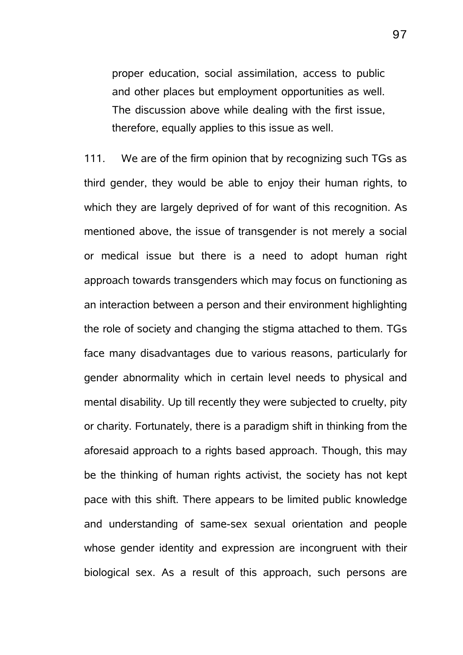proper education, social assimilation, access to public and other places but employment opportunities as well. The discussion above while dealing with the first issue, therefore, equally applies to this issue as well.

111. We are of the firm opinion that by recognizing such TGs as third gender, they would be able to enjoy their human rights, to which they are largely deprived of for want of this recognition. As mentioned above, the issue of transgender is not merely a social or medical issue but there is a need to adopt human right approach towards transgenders which may focus on functioning as an interaction between a person and their environment highlighting the role of society and changing the stigma attached to them. TGs face many disadvantages due to various reasons, particularly for gender abnormality which in certain level needs to physical and mental disability. Up till recently they were subjected to cruelty, pity or charity. Fortunately, there is a paradigm shift in thinking from the aforesaid approach to a rights based approach. Though, this may be the thinking of human rights activist, the society has not kept pace with this shift. There appears to be limited public knowledge and understanding of same-sex sexual orientation and people whose gender identity and expression are incongruent with their biological sex. As a result of this approach, such persons are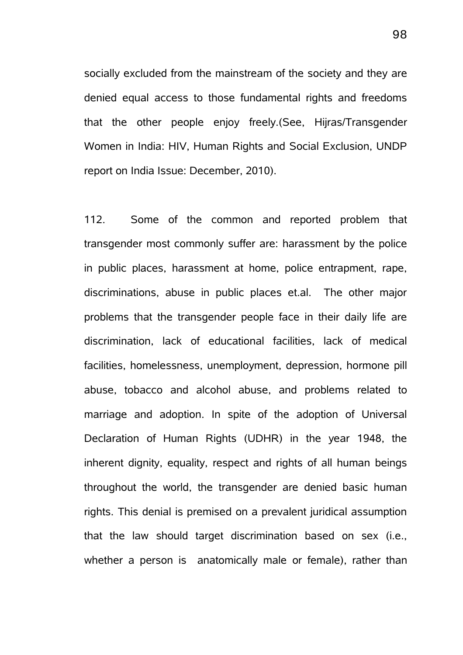socially excluded from the mainstream of the society and they are denied equal access to those fundamental rights and freedoms that the other people enjoy freely.(See, Hijras/Transgender Women in India: HIV, Human Rights and Social Exclusion, UNDP report on India Issue: December, 2010).

112. Some of the common and reported problem that transgender most commonly suffer are: harassment by the police in public places, harassment at home, police entrapment, rape, discriminations, abuse in public places et.al. The other major problems that the transgender people face in their daily life are discrimination, lack of educational facilities, lack of medical facilities, homelessness, unemployment, depression, hormone pill abuse, tobacco and alcohol abuse, and problems related to marriage and adoption. In spite of the adoption of Universal Declaration of Human Rights (UDHR) in the year 1948, the inherent dignity, equality, respect and rights of all human beings throughout the world, the transgender are denied basic human rights. This denial is premised on a prevalent juridical assumption that the law should target discrimination based on sex (i.e., whether a person is anatomically male or female), rather than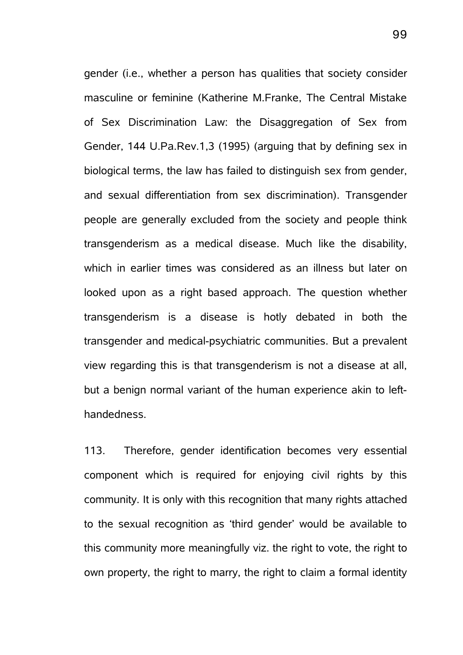gender (i.e., whether a person has qualities that society consider masculine or feminine (Katherine M.Franke, The Central Mistake of Sex Discrimination Law: the Disaggregation of Sex from Gender, 144 U.Pa.Rev.1,3 (1995) (arguing that by defining sex in biological terms, the law has failed to distinguish sex from gender, and sexual differentiation from sex discrimination). Transgender people are generally excluded from the society and people think transgenderism as a medical disease. Much like the disability, which in earlier times was considered as an illness but later on looked upon as a right based approach. The question whether transgenderism is a disease is hotly debated in both the transgender and medical-psychiatric communities. But a prevalent view regarding this is that transgenderism is not a disease at all, but a benign normal variant of the human experience akin to lefthandedness.

113. Therefore, gender identification becomes very essential component which is required for enjoying civil rights by this community. It is only with this recognition that many rights attached to the sexual recognition as 'third gender' would be available to this community more meaningfully viz. the right to vote, the right to own property, the right to marry, the right to claim a formal identity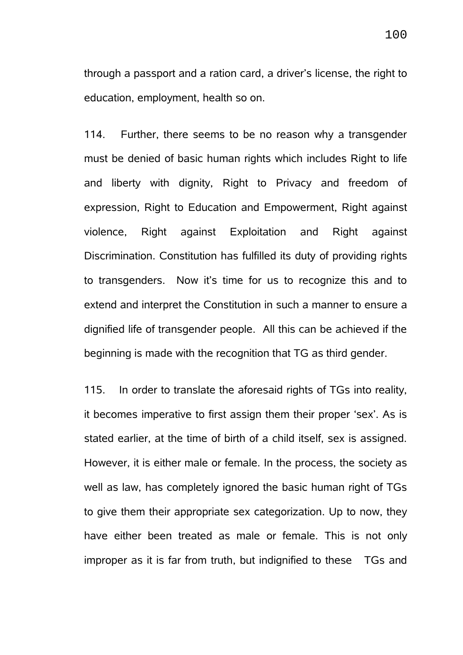through a passport and a ration card, a driver's license, the right to education, employment, health so on.

114. Further, there seems to be no reason why a transgender must be denied of basic human rights which includes Right to life and liberty with dignity, Right to Privacy and freedom of expression, Right to Education and Empowerment, Right against violence, Right against Exploitation and Right against Discrimination. Constitution has fulfilled its duty of providing rights to transgenders. Now it's time for us to recognize this and to extend and interpret the Constitution in such a manner to ensure a dignified life of transgender people. All this can be achieved if the beginning is made with the recognition that TG as third gender.

115. In order to translate the aforesaid rights of TGs into reality, it becomes imperative to first assign them their proper 'sex'. As is stated earlier, at the time of birth of a child itself, sex is assigned. However, it is either male or female. In the process, the society as well as law, has completely ignored the basic human right of TGs to give them their appropriate sex categorization. Up to now, they have either been treated as male or female. This is not only improper as it is far from truth, but indignified to these TGs and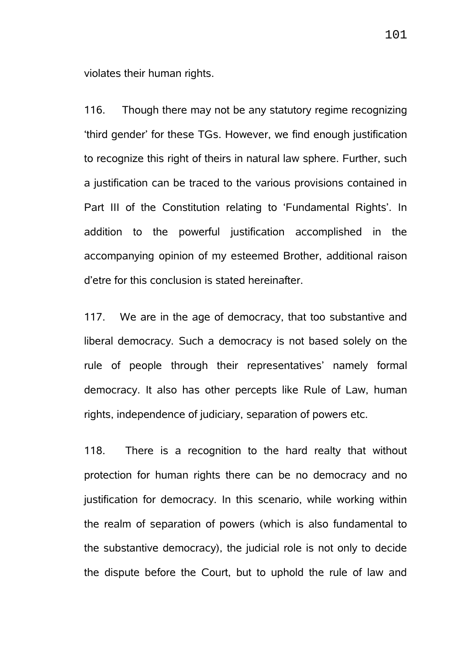violates their human rights.

116. Though there may not be any statutory regime recognizing 'third gender' for these TGs. However, we find enough justification to recognize this right of theirs in natural law sphere. Further, such a justification can be traced to the various provisions contained in Part III of the Constitution relating to 'Fundamental Rights'. In addition to the powerful justification accomplished in the accompanying opinion of my esteemed Brother, additional raison d'etre for this conclusion is stated hereinafter.

117. We are in the age of democracy, that too substantive and liberal democracy. Such a democracy is not based solely on the rule of people through their representatives' namely formal democracy. It also has other percepts like Rule of Law, human rights, independence of judiciary, separation of powers etc.

118. There is a recognition to the hard realty that without protection for human rights there can be no democracy and no justification for democracy. In this scenario, while working within the realm of separation of powers (which is also fundamental to the substantive democracy), the judicial role is not only to decide the dispute before the Court, but to uphold the rule of law and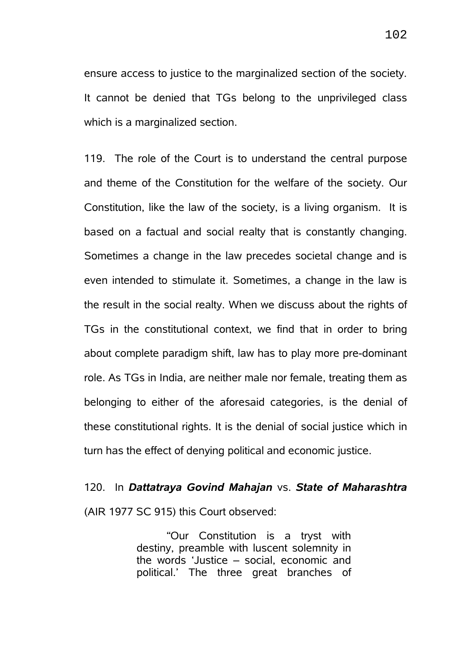ensure access to justice to the marginalized section of the society. It cannot be denied that TGs belong to the unprivileged class which is a marginalized section.

119. The role of the Court is to understand the central purpose and theme of the Constitution for the welfare of the society. Our Constitution, like the law of the society, is a living organism. It is based on a factual and social realty that is constantly changing. Sometimes a change in the law precedes societal change and is even intended to stimulate it. Sometimes, a change in the law is the result in the social realty. When we discuss about the rights of TGs in the constitutional context, we find that in order to bring about complete paradigm shift, law has to play more pre-dominant role. As TGs in India, are neither male nor female, treating them as belonging to either of the aforesaid categories, is the denial of these constitutional rights. It is the denial of social justice which in turn has the effect of denying political and economic justice.

## 120. In *Dattatraya Govind Mahajan* vs. *State of Maharashtra* (AIR 1977 SC 915) this Court observed:

"Our Constitution is a tryst with destiny, preamble with luscent solemnity in the words 'Justice – social, economic and political.' The three great branches of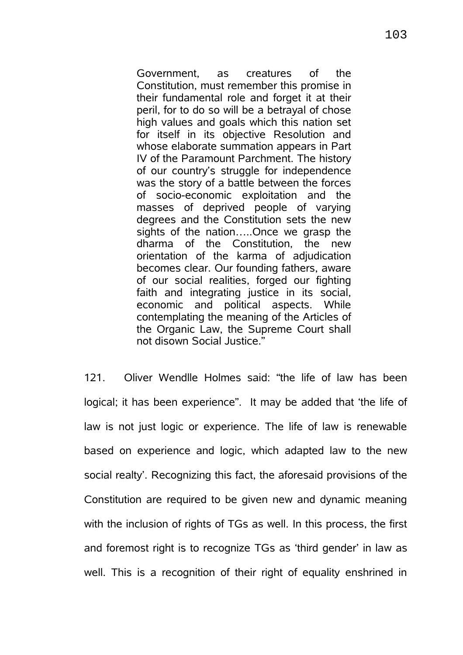Government, as creatures of the Constitution, must remember this promise in their fundamental role and forget it at their peril, for to do so will be a betrayal of chose high values and goals which this nation set for itself in its objective Resolution and whose elaborate summation appears in Part IV of the Paramount Parchment. The history of our country's struggle for independence was the story of a battle between the forces of socio-economic exploitation and the masses of deprived people of varying degrees and the Constitution sets the new sights of the nation…..Once we grasp the dharma of the Constitution, the new orientation of the karma of adjudication becomes clear. Our founding fathers, aware of our social realities, forged our fighting faith and integrating justice in its social, economic and political aspects. While contemplating the meaning of the Articles of the Organic Law, the Supreme Court shall not disown Social Justice."

121. Oliver Wendlle Holmes said: "the life of law has been logical; it has been experience". It may be added that 'the life of law is not just logic or experience. The life of law is renewable based on experience and logic, which adapted law to the new social realty'. Recognizing this fact, the aforesaid provisions of the Constitution are required to be given new and dynamic meaning with the inclusion of rights of TGs as well. In this process, the first and foremost right is to recognize TGs as 'third gender' in law as well. This is a recognition of their right of equality enshrined in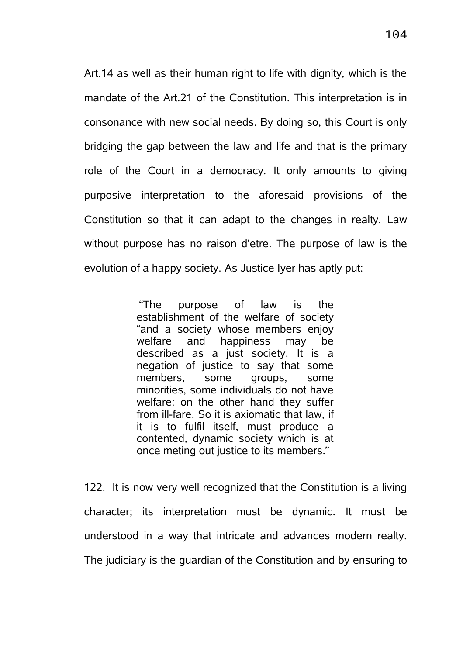Art.14 as well as their human right to life with dignity, which is the mandate of the Art.21 of the Constitution. This interpretation is in consonance with new social needs. By doing so, this Court is only bridging the gap between the law and life and that is the primary role of the Court in a democracy. It only amounts to giving purposive interpretation to the aforesaid provisions of the Constitution so that it can adapt to the changes in realty. Law without purpose has no raison d'etre. The purpose of law is the evolution of a happy society. As Justice Iyer has aptly put:

> "The purpose of law is the establishment of the welfare of society "and a society whose members enjoy welfare and happiness may be described as a just society. It is a negation of justice to say that some members, some groups, some minorities, some individuals do not have welfare: on the other hand they suffer from ill-fare. So it is axiomatic that law, if it is to fulfil itself, must produce a contented, dynamic society which is at once meting out justice to its members."

122. It is now very well recognized that the Constitution is a living character; its interpretation must be dynamic. It must be understood in a way that intricate and advances modern realty. The judiciary is the guardian of the Constitution and by ensuring to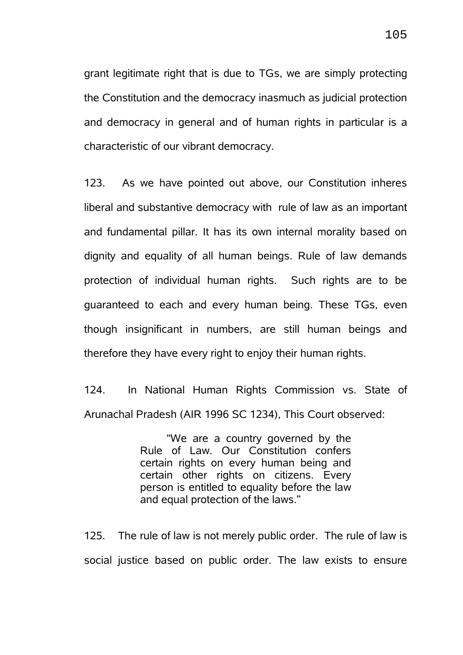grant legitimate right that is due to TGs, we are simply protecting the Constitution and the democracy inasmuch as judicial protection and democracy in general and of human rights in particular is a characteristic of our vibrant democracy.

123. As we have pointed out above, our Constitution inheres liberal and substantive democracy with rule of law as an important and fundamental pillar. It has its own internal morality based on dignity and equality of all human beings. Rule of law demands protection of individual human rights. Such rights are to be guaranteed to each and every human being. These TGs, even though insignificant in numbers, are still human beings and therefore they have every right to enjoy their human rights.

124. In National Human Rights Commission vs. State of Arunachal Pradesh (AIR 1996 SC 1234), This Court observed:

> "We are a country governed by the Rule of Law. Our Constitution confers certain rights on every human being and certain other rights on citizens. Every person is entitled to equality before the law and equal protection of the laws."

125. The rule of law is not merely public order. The rule of law is social justice based on public order. The law exists to ensure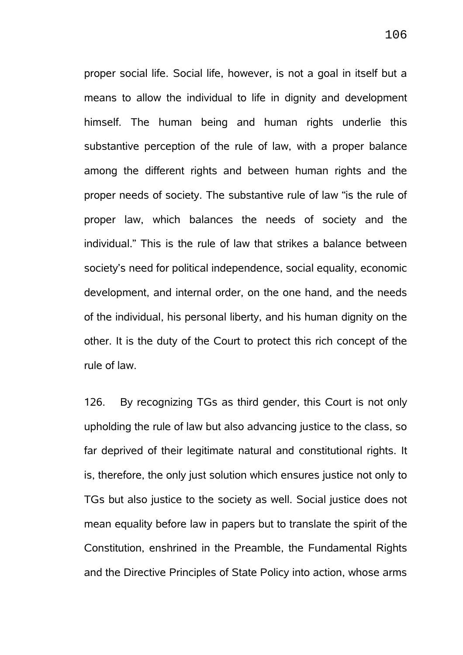proper social life. Social life, however, is not a goal in itself but a means to allow the individual to life in dignity and development himself. The human being and human rights underlie this substantive perception of the rule of law, with a proper balance among the different rights and between human rights and the proper needs of society. The substantive rule of law "is the rule of proper law, which balances the needs of society and the individual." This is the rule of law that strikes a balance between society's need for political independence, social equality, economic development, and internal order, on the one hand, and the needs of the individual, his personal liberty, and his human dignity on the other. It is the duty of the Court to protect this rich concept of the rule of law.

126. By recognizing TGs as third gender, this Court is not only upholding the rule of law but also advancing justice to the class, so far deprived of their legitimate natural and constitutional rights. It is, therefore, the only just solution which ensures justice not only to TGs but also justice to the society as well. Social justice does not mean equality before law in papers but to translate the spirit of the Constitution, enshrined in the Preamble, the Fundamental Rights and the Directive Principles of State Policy into action, whose arms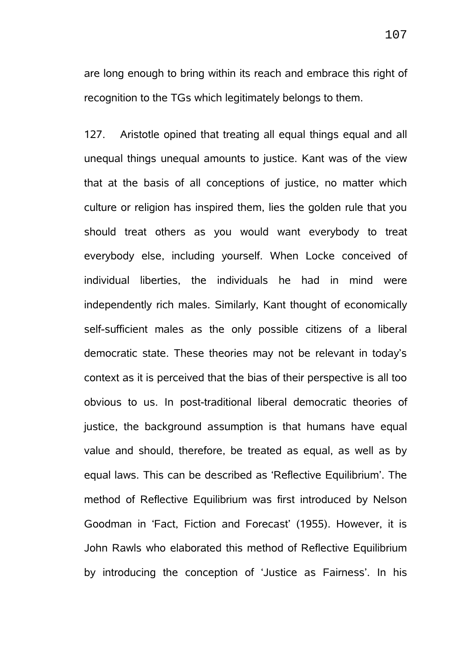are long enough to bring within its reach and embrace this right of recognition to the TGs which legitimately belongs to them.

127. Aristotle opined that treating all equal things equal and all unequal things unequal amounts to justice. Kant was of the view that at the basis of all conceptions of justice, no matter which culture or religion has inspired them, lies the golden rule that you should treat others as you would want everybody to treat everybody else, including yourself. When Locke conceived of individual liberties, the individuals he had in mind were independently rich males. Similarly, Kant thought of economically self-sufficient males as the only possible citizens of a liberal democratic state. These theories may not be relevant in today's context as it is perceived that the bias of their perspective is all too obvious to us. In post-traditional liberal democratic theories of justice, the background assumption is that humans have equal value and should, therefore, be treated as equal, as well as by equal laws. This can be described as 'Reflective Equilibrium'. The method of Reflective Equilibrium was first introduced by Nelson Goodman in 'Fact, Fiction and Forecast' (1955). However, it is John Rawls who elaborated this method of Reflective Equilibrium by introducing the conception of 'Justice as Fairness'. In his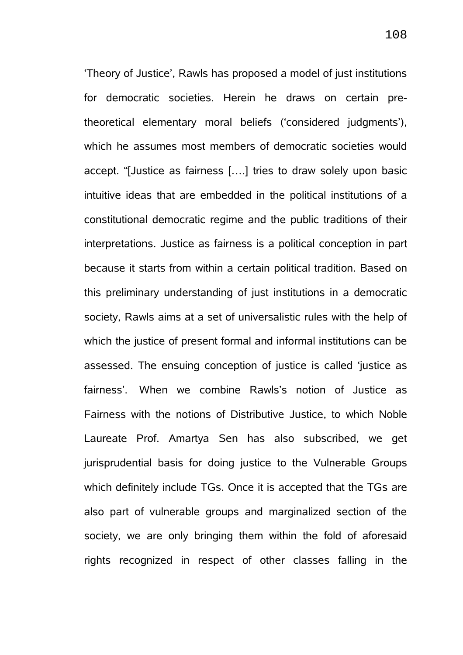'Theory of Justice', Rawls has proposed a model of just institutions for democratic societies. Herein he draws on certain pretheoretical elementary moral beliefs ('considered judgments'), which he assumes most members of democratic societies would accept. "[Justice as fairness [….] tries to draw solely upon basic intuitive ideas that are embedded in the political institutions of a constitutional democratic regime and the public traditions of their interpretations. Justice as fairness is a political conception in part because it starts from within a certain political tradition. Based on this preliminary understanding of just institutions in a democratic society, Rawls aims at a set of universalistic rules with the help of which the justice of present formal and informal institutions can be assessed. The ensuing conception of justice is called 'justice as fairness'. When we combine Rawls's notion of Justice as Fairness with the notions of Distributive Justice, to which Noble Laureate Prof. Amartya Sen has also subscribed, we get jurisprudential basis for doing justice to the Vulnerable Groups which definitely include TGs. Once it is accepted that the TGs are also part of vulnerable groups and marginalized section of the society, we are only bringing them within the fold of aforesaid rights recognized in respect of other classes falling in the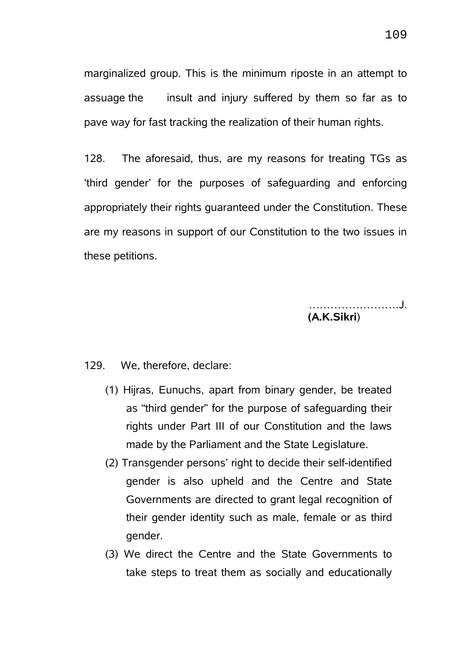marginalized group. This is the minimum riposte in an attempt to assuage the insult and injury suffered by them so far as to pave way for fast tracking the realization of their human rights.

128. The aforesaid, thus, are my reasons for treating TGs as 'third gender' for the purposes of safeguarding and enforcing appropriately their rights guaranteed under the Constitution. These are my reasons in support of our Constitution to the two issues in these petitions.

> …………………….J. **(A.K.Sikri**)

129. We, therefore, declare:

- (1) Hijras, Eunuchs, apart from binary gender, be treated as "third gender" for the purpose of safeguarding their rights under Part III of our Constitution and the laws made by the Parliament and the State Legislature.
- (2) Transgender persons' right to decide their self-identified gender is also upheld and the Centre and State Governments are directed to grant legal recognition of their gender identity such as male, female or as third gender.
- (3) We direct the Centre and the State Governments to take steps to treat them as socially and educationally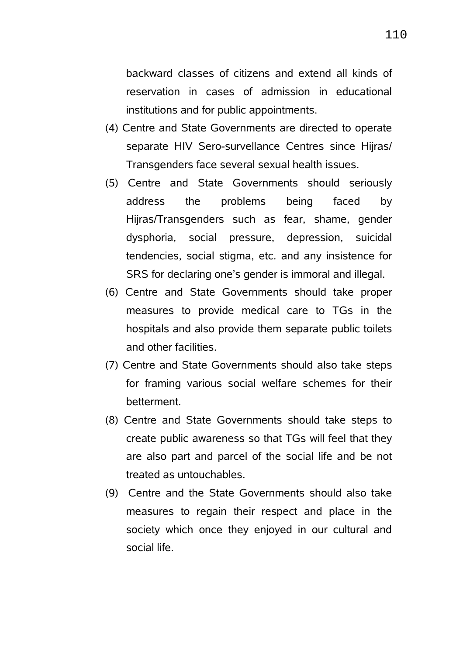backward classes of citizens and extend all kinds of reservation in cases of admission in educational institutions and for public appointments.

- (4) Centre and State Governments are directed to operate separate HIV Sero-survellance Centres since Hijras/ Transgenders face several sexual health issues.
- (5) Centre and State Governments should seriously address the problems being faced by Hijras/Transgenders such as fear, shame, gender dysphoria, social pressure, depression, suicidal tendencies, social stigma, etc. and any insistence for SRS for declaring one's gender is immoral and illegal.
- (6) Centre and State Governments should take proper measures to provide medical care to TGs in the hospitals and also provide them separate public toilets and other facilities.
- (7) Centre and State Governments should also take steps for framing various social welfare schemes for their betterment.
- (8) Centre and State Governments should take steps to create public awareness so that TGs will feel that they are also part and parcel of the social life and be not treated as untouchables.
- (9) Centre and the State Governments should also take measures to regain their respect and place in the society which once they enjoyed in our cultural and social life.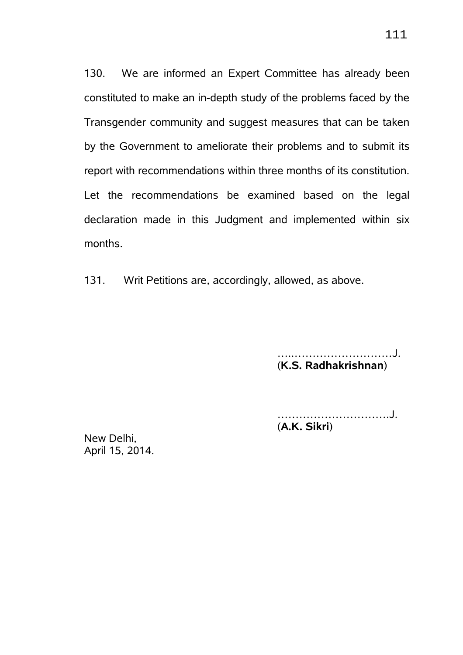130. We are informed an Expert Committee has already been constituted to make an in-depth study of the problems faced by the Transgender community and suggest measures that can be taken by the Government to ameliorate their problems and to submit its report with recommendations within three months of its constitution. Let the recommendations be examined based on the legal declaration made in this Judgment and implemented within six months.

131. Writ Petitions are, accordingly, allowed, as above.

…..………………………J. (**K.S. Radhakrishnan**)

………………………….J. (**A.K. Sikri**)

New Delhi, April 15, 2014.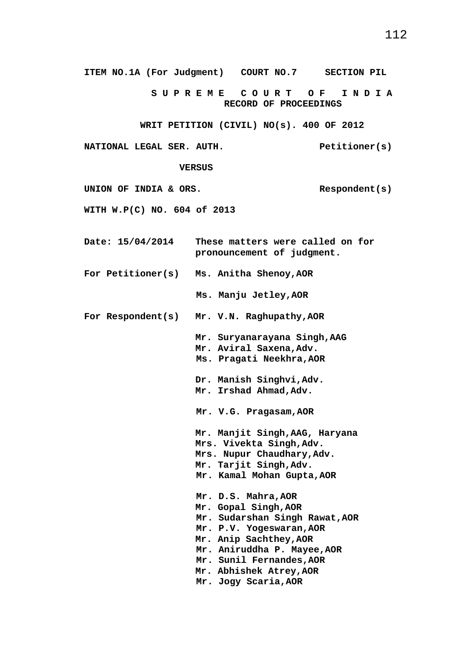**ITEM NO.1A (For Judgment) COURT NO.7 SECTION PIL S U P R E M E C O U R T O F I N D I A RECORD OF PROCEEDINGS WRIT PETITION (CIVIL) NO(s). 400 OF 2012 NATIONAL LEGAL SER. AUTH.** Petitioner(s)  **VERSUS** UNION OF INDIA & ORS. Respondent(s) **WITH W.P(C) NO. 604 of 2013 Date: 15/04/2014 These matters were called on for pronouncement of judgment. For Petitioner(s) Ms. Anitha Shenoy,AOR Ms. Manju Jetley,AOR For Respondent(s) Mr. V.N. Raghupathy,AOR Mr. Suryanarayana Singh,AAG Mr. Aviral Saxena,Adv. Ms. Pragati Neekhra,AOR Dr. Manish Singhvi,Adv. Mr. Irshad Ahmad,Adv. Mr. V.G. Pragasam,AOR Mr. Manjit Singh,AAG, Haryana Mrs. Vivekta Singh,Adv. Mrs. Nupur Chaudhary,Adv. Mr. Tarjit Singh,Adv. Mr. Kamal Mohan Gupta,AOR Mr. D.S. Mahra,AOR Mr. Gopal Singh,AOR Mr. Sudarshan Singh Rawat,AOR Mr. P.V. Yogeswaran,AOR Mr. Anip Sachthey,AOR Mr. Aniruddha P. Mayee,AOR Mr. Sunil Fernandes,AOR Mr. Abhishek Atrey,AOR Mr. Jogy Scaria,AOR**